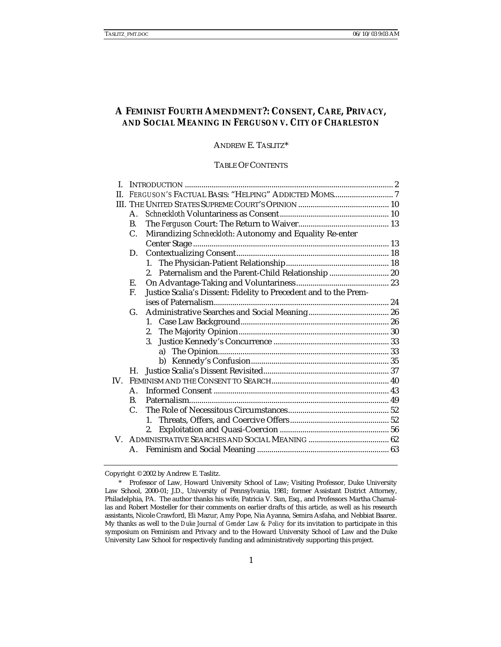# **A FEMINIST FOURTH AMENDMENT?: CONSENT, CARE, PRIVACY, AND SOCIAL MEANING IN** *FERGUSON V. CITY OF CHARLESTON*

# ANDREW E. TASLITZ\*

## TABLE OF CONTENTS

| Н   |                | FERGUSON'S FACTUAL BASIS: "HELPING" ADDICTED MOMS7               |  |
|-----|----------------|------------------------------------------------------------------|--|
|     |                |                                                                  |  |
|     | $\mathsf{A}$ . |                                                                  |  |
|     | $\mathbf{B}$ . |                                                                  |  |
|     | $C_{\cdot}$    | Mirandizing Schneckloth: Autonomy and Equality Re-enter          |  |
|     |                |                                                                  |  |
|     | D.             |                                                                  |  |
|     |                |                                                                  |  |
|     |                | 2. Paternalism and the Parent-Child Relationship  20             |  |
|     | Е.             |                                                                  |  |
|     | $\mathbf{F}$ . | Justice Scalia's Dissent: Fidelity to Precedent and to the Prem- |  |
|     |                |                                                                  |  |
|     | G.             |                                                                  |  |
|     |                |                                                                  |  |
|     |                | 2.                                                               |  |
|     |                | 3.                                                               |  |
|     |                |                                                                  |  |
|     |                |                                                                  |  |
|     | H.             |                                                                  |  |
| IV. |                |                                                                  |  |
|     | $\mathbf{A}$   |                                                                  |  |
|     | $\mathbf{B}$ . |                                                                  |  |
|     | $C_{\cdot}$    |                                                                  |  |
|     |                |                                                                  |  |
|     |                | 2.                                                               |  |
| V   |                |                                                                  |  |
|     | $A_{\cdot}$    |                                                                  |  |

Copyright © 2002 by Andrew E. Taslitz.

<sup>\*</sup> Professor of Law, Howard University School of Law; Visiting Professor, Duke University Law School, 2000-01; J.D., University of Pennsylvania, 1981; former Assistant District Attorney, Philadelphia, PA. The author thanks his wife, Patricia V. Sun, Esq., and Professors Martha Chamallas and Robert Mosteller for their comments on earlier drafts of this article, as well as his research assistants, Nicole Crawford, Eli Mazur, Amy Pope, Nia Ayanna, Semira Asfaha, and Nebbiat Baarez. My thanks as well to the *Duke Journal of Gender Law & Policy* for its invitation to participate in this symposium on Feminism and Privacy and to the Howard University School of Law and the Duke University Law School for respectively funding and administratively supporting this project.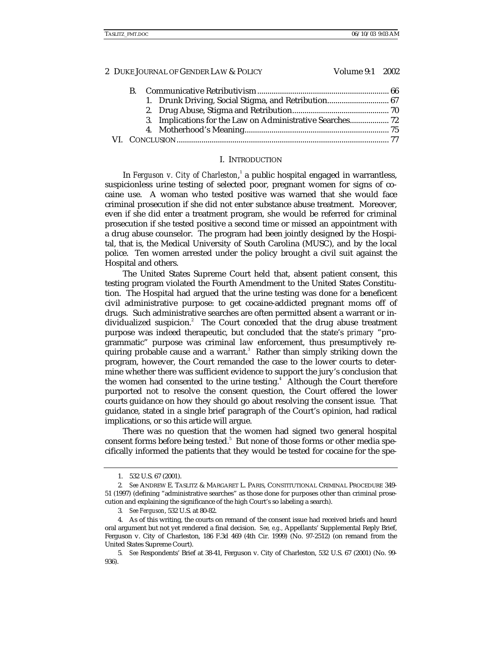|  | 3. Implications for the Law on Administrative Searches 72 |  |
|--|-----------------------------------------------------------|--|
|  |                                                           |  |
|  |                                                           |  |
|  |                                                           |  |

# I. INTRODUCTION

In *Ferguson v. City of Charleston*, 1 a public hospital engaged in warrantless, suspicionless urine testing of selected poor, pregnant women for signs of cocaine use. A woman who tested positive was warned that she would face criminal prosecution if she did not enter substance abuse treatment. Moreover, even if she did enter a treatment program, she would be referred for criminal prosecution if she tested positive a second time or missed an appointment with a drug abuse counselor. The program had been jointly designed by the Hospital, that is, the Medical University of South Carolina (MUSC), and by the local police. Ten women arrested under the policy brought a civil suit against the Hospital and others.

The United States Supreme Court held that, absent patient consent, this testing program violated the Fourth Amendment to the United States Constitution. The Hospital had argued that the urine testing was done for a beneficent civil administrative purpose: to get cocaine-addicted pregnant moms off of drugs. Such administrative searches are often permitted absent a warrant or individualized suspicion. $^{2}$  The Court conceded that the drug abuse treatment purpose was indeed therapeutic, but concluded that the state's *primary* "programmatic" purpose was criminal law enforcement, thus presumptively requiring probable cause and a warrant.<sup>3</sup> Rather than simply striking down the program, however, the Court remanded the case to the lower courts to determine whether there was sufficient evidence to support the jury's conclusion that the women had consented to the urine testing.<sup>4</sup> Although the Court therefore purported not to resolve the consent question, the Court offered the lower courts guidance on how they should go about resolving the consent issue. That guidance, stated in a single brief paragraph of the Court's opinion, had radical implications, or so this article will argue.

There was no question that the women had signed two general hospital consent forms before being tested.<sup>5</sup> But none of those forms or other media specifically informed the patients that they would be tested for cocaine for the spe-

<sup>1. 532</sup> U.S. 67 (2001).

<sup>2</sup>*. See* ANDREW E. TASLITZ & MARGARET L. PARIS, CONSTITUTIONAL CRIMINAL PROCEDURE 349- 51 (1997) (defining "administrative searches" as those done for purposes other than criminal prosecution and explaining the significance of the high Court's so labeling a search).

<sup>3</sup>*. See Ferguson*, 532 U.S. at 80-82.

<sup>4.</sup> As of this writing, the courts on remand of the consent issue had received briefs and heard oral argument but not yet rendered a final decision. *See, e.g.,* Appellants' Supplemental Reply Brief, Ferguson v. City of Charleston, 186 F.3d 469 (4th Cir. 1999) (No. 97-2512) (on remand from the United States Supreme Court).

<sup>5</sup>*. See* Respondents' Brief at 38-41, Ferguson v. City of Charleston, 532 U.S. 67 (2001) (No. 99- 936).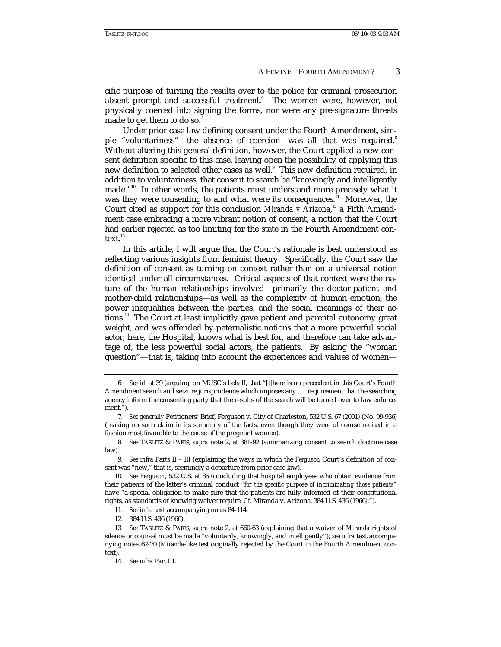cific purpose of turning the results over to the police for criminal prosecution absent prompt and successful treatment. $^{\circ}$  The women were, however, not physically coerced into signing the forms, nor were any pre-signature threats made to get them to do so.<sup>7</sup>

Under prior case law defining consent under the Fourth Amendment, simple "voluntariness"—the absence of coercion—was all that was required.<sup>8</sup> Without altering this general definition, however, the Court applied a new consent definition specific to this case, leaving open the possibility of applying this new definition to selected other cases as well. $^{\circ}$  This new definition required, in addition to voluntariness, that consent to search be "knowingly and intelligently made."<sup>10</sup> In other words, the patients must understand more precisely what it was they were consenting to and what were its consequences.<sup>11</sup> Moreover, the Court cited as support for this conclusion *Miranda v Arizona*, <sup>12</sup> a Fifth Amendment case embracing a more vibrant notion of consent, a notion that the Court had earlier rejected as too limiting for the state in the Fourth Amendment context. $^{13}$ 

In this article, I will argue that the Court's rationale is best understood as reflecting various insights from feminist theory. Specifically, the Court saw the definition of consent as turning on context rather than on a universal notion identical under all circumstances. Critical aspects of that context were the nature of the human relationships involved—primarily the doctor-patient and mother-child relationships—as well as the complexity of human emotion, the power inequalities between the parties, and the social meanings of their actions.<sup>14</sup> The Court at least implicitly gave patient and parental autonomy great weight, and was offended by paternalistic notions that a more powerful social actor, here, the Hospital, knows what is best for, and therefore can take advantage of, the less powerful social actors, the patients. By asking the "woman question"—that is, taking into account the experiences and values of women—

<sup>6</sup>*. See id*. at 39 (arguing, on MUSC's behalf, that "[t]here is no precedent in this Court's Fourth Amendment search and seizure jurisprudence which imposes any . . . requirement that the searching agency inform the consenting party that the results of the search will be turned over to law enforcement.").

<sup>7</sup>*. See generally* Petitioners' Brief, Ferguson v. City of Charleston, 532 U.S. 67 (2001) (No. 99-936) (making no such claim in its summary of the facts, even though they were of course recited in a fashion most favorable to the cause of the pregnant women).

<sup>8</sup>*. See* TASLITZ & PARIS, *supra* note 2, at 381-92 (summarizing consent to search doctrine case law).

<sup>9</sup>*. See infra* Parts II – III (explaining the ways in which the *Ferguson* Court's definition of consent was "new," that is, seemingly a departure from prior case law).

<sup>10</sup>*. See Ferguson*, 532 U.S. at 85 (concluding that hospital employees who obtain evidence from their patients of the latter's criminal conduct *"for the specific purpose of incriminating those patients"* have "a special obligation to make sure that the patients are fully informed of their constitutional rights, as standards of knowing waiver require. *Cf.* Miranda v. Arizona, 384 U.S. 436 (1966).").

<sup>11</sup>*. See infra* text accompanying notes 84-114.

<sup>12. 384</sup> U.S. 436 (1966).

<sup>13</sup>*. See* TASLITZ & PARIS, *supra* note 2, at 660-63 (explaining that a waiver of *Miranda* rights of silence or counsel must be made "voluntarily, knowingly, and intelligently"); *see infra* text accompanying notes 62-70 (*Miranda*-like test originally rejected by the Court in the Fourth Amendment context).

<sup>14</sup>*. See infra* Part III.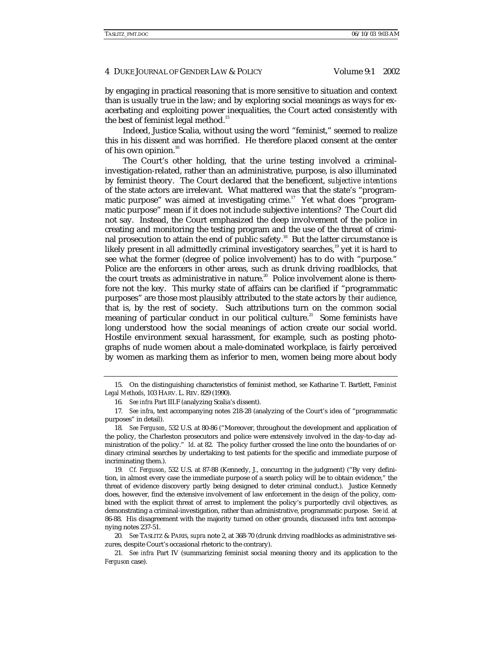by engaging in practical reasoning that is more sensitive to situation and context than is usually true in the law; and by exploring social meanings as ways for exacerbating and exploiting power inequalities, the Court acted consistently with the best of feminist legal method.<sup>15</sup>

Indeed, Justice Scalia, without using the word "feminist," seemed to realize this in his dissent and was horrified. He therefore placed consent at the center of his own opinion.<sup>16</sup>

The Court's other holding, that the urine testing involved a criminalinvestigation-related, rather than an administrative, purpose, is also illuminated by feminist theory. The Court declared that the beneficent, *subjective intentions* of the state actors are irrelevant. What mattered was that the state's "programmatic purpose" was aimed at investigating crime.<sup>17</sup> Yet what does "programmatic purpose" mean if it does not include subjective intentions? The Court did not say. Instead, the Court emphasized the deep involvement of the police in creating and monitoring the testing program and the use of the threat of criminal prosecution to attain the end of public safety.<sup>18</sup> But the latter circumstance is likely present in all admittedly criminal investigatory searches.<sup>19</sup> yet it is hard to see what the former (degree of police involvement) has to do with "purpose." Police are the enforcers in other areas, such as drunk driving roadblocks, that the court treats as administrative in nature.<sup>20</sup> Police involvement alone is therefore not the key. This murky state of affairs can be clarified if "programmatic purposes" are those most plausibly attributed to the state actors *by their audience*, that is, by the rest of society. Such attributions turn on the common social meaning of particular conduct in our political culture.<sup>21</sup> Some feminists have long understood how the social meanings of action create our social world. Hostile environment sexual harassment, for example, such as posting photographs of nude women about a male-dominated workplace, is fairly perceived by women as marking them as inferior to men, women being more about body

<sup>15.</sup> On the distinguishing characteristics of feminist method, *see* Katharine T. Bartlett, *Feminist Legal Methods*, 103 HARV. L. REV. 829 (1990).

<sup>16</sup>*. See infra* Part III.F (analyzing Scalia's dissent).

<sup>17</sup>*. See infra*, text accompanying notes 218-28 (analyzing of the Court's idea of "programmatic purposes" in detail).

<sup>18</sup>*. See Ferguson*, 532 U.S. at 80-86 ("Moreover, throughout the development and application of the policy, the Charleston prosecutors and police were extensively involved in the day-to-day administration of the policy." *Id*. at 82. The policy further crossed the line onto the boundaries of ordinary criminal searches by undertaking to test patients for the specific and immediate purpose of incriminating them.).

<sup>19</sup>*. Cf. Ferguson*, 532 U.S. at 87-88 (Kennedy, J., concurring in the judgment) ("By very definition, in almost every case the immediate purpose of a search policy will be to obtain evidence," the threat of evidence discovery partly being designed to deter criminal conduct.). Justice Kennedy does, however, find the extensive involvement of law enforcement in the *design* of the policy, combined with the explicit threat of arrest to implement the policy's purportedly civil objectives, as demonstrating a criminal-investigation, rather than administrative, programmatic purpose. *See id.* at 86-88. His disagreement with the majority turned on other grounds, discussed *infra* text accompanying notes 237-51.

<sup>20</sup>*. See* TASLITZ & PARIS, *supra* note 2, at 368-70 (drunk driving roadblocks as administrative seizures, despite Court's occasional rhetoric to the contrary).

<sup>21</sup>*. See infra* Part IV (summarizing feminist social meaning theory and its application to the *Ferguson* case).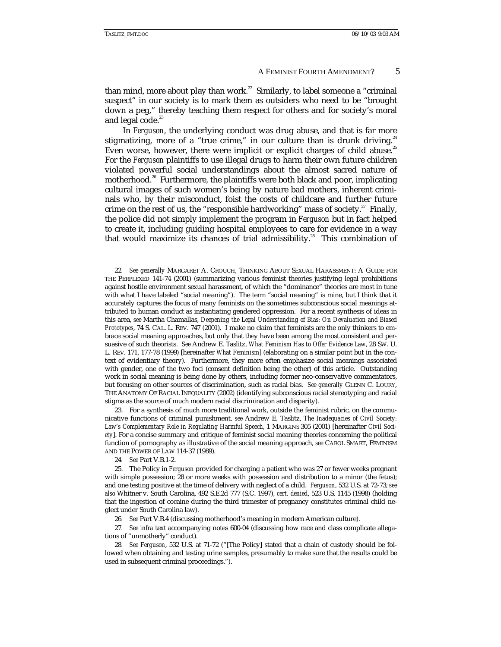than mind, more about play than work.<sup>22</sup> Similarly, to label someone a "criminal suspect" in our society is to mark them as outsiders who need to be "brought down a peg," thereby teaching them respect for others and for society's moral and legal code.<sup>23</sup>

In *Ferguson*, the underlying conduct was drug abuse, and that is far more stigmatizing, more of a "true crime," in our culture than is drunk driving. Even worse, however, there were implicit or explicit charges of child abuse.<sup>25</sup> For the *Ferguson* plaintiffs to use illegal drugs to harm their own future children violated powerful social understandings about the almost sacred nature of motherhood.<sup>26</sup> Furthermore, the plaintiffs were both black and poor, implicating cultural images of such women's being by nature bad mothers, inherent criminals who, by their misconduct, foist the costs of childcare and further future crime on the rest of us, the "responsible hardworking" mass of society.<sup>27</sup> Finally, the police did not simply implement the program in *Ferguson* but in fact helped to create it, including guiding hospital employees to care for evidence in a way that would maximize its chances of trial admissibility.<sup>28</sup> This combination of

23. For a synthesis of much more traditional work, outside the feminist rubric, on the communicative functions of criminal punishment, *see* Andrew E. Taslitz, *The Inadequacies of Civil Society:* Law's Complementary Role in Regulating Harmful Speech, 1 MARGINS 305 (2001) [hereinafter *Civil Society*]. For a concise summary and critique of feminist social meaning theories concerning the political function of pornography as illustrative of the social meaning approach, *see* CAROL SMART, FEMINISM AND THE POWER OF LAW 114-37 (1989).

<sup>22.</sup> See generally MARGARET A. CROUCH, THINKING ABOUT SEXUAL HARASSMENT: A GUIDE FOR THE PERPLEXED 141-74 (2001) (summarizing various feminist theories justifying legal prohibitions against hostile environment sexual harassment, of which the "dominance" theories are most in tune with what I have labeled "social meaning"). The term "social meaning" is mine, but I think that it accurately captures the focus of many feminists on the sometimes subconscious social meanings attributed to human conduct as instantiating gendered oppression. For a recent synthesis of ideas in this area, *see* Martha Chamallas, *Deepening the Legal Understanding of Bias: On Devaluation and Biased Prototypes*, 74 S. CAL. L. REV. 747 (2001). I make no claim that feminists are the only thinkers to embrace social meaning approaches, but only that they have been among the most consistent and persuasive of such theorists. *See* Andrew E. Taslitz, *What Feminism Has to Offer Evidence Law*, 28 SW. U. L. REV. 171, 177-78 (1999) [hereinafter *What Feminism*] (elaborating on a similar point but in the context of evidentiary theory). Furthermore, they more often emphasize social meanings associated with gender, one of the two foci (consent definition being the other) of this article. Outstanding work in social meaning is being done by others, including former neo-conservative commentators, but focusing on other sources of discrimination, such as racial bias. *See generally* GLENN C. LOURY, THE ANATOMY OF RACIAL INEQUALITY (2002) (identifying subconscious racial stereotyping and racial stigma as the source of much modern racial discrimination and disparity).

<sup>24</sup>*. See* Part V.B.1-2.

<sup>25.</sup> The Policy in *Ferguson* provided for charging a patient who was 27 or fewer weeks pregnant with simple possession; 28 or more weeks with possession and distribution to a minor (the fetus); and one testing positive at the time of delivery with neglect of a child. *Ferguson*, 532 U.S. at 72-73; *see also* Whitner v. South Carolina, 492 S.E.2d 777 (S.C. 1997), *cert. denied*, 523 U.S. 1145 (1998) (holding that the ingestion of cocaine during the third trimester of pregnancy constitutes criminal child neglect under South Carolina law).

<sup>26</sup>*. See* Part V.B.4 (discussing motherhood's meaning in modern American culture).

<sup>27</sup>*. See infra* text accompanying notes 600-04 (discussing how race and class complicate allegations of "unmotherly" conduct).

<sup>28</sup>*. See Ferguson*, 532 U.S. at 71-72 ("[The Policy] stated that a chain of custody should be followed when obtaining and testing urine samples, presumably to make sure that the results could be used in subsequent criminal proceedings.").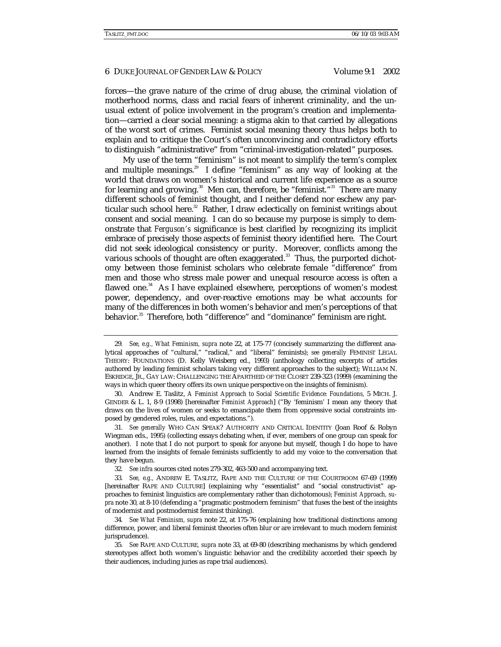forces—the grave nature of the crime of drug abuse, the criminal violation of motherhood norms, class and racial fears of inherent criminality, and the unusual extent of police involvement in the program's creation and implementation—carried a clear social meaning: a stigma akin to that carried by allegations of the worst sort of crimes. Feminist social meaning theory thus helps both to explain and to critique the Court's often unconvincing and contradictory efforts to distinguish "administrative" from "criminal-investigation-related" purposes.

My use of the term "feminism" is not meant to simplify the term's complex and multiple meanings.<sup>29</sup> I define "feminism" as any way of looking at the world that draws on women's historical and current life experience as a source for learning and growing.<sup>30</sup> Men can, therefore, be "feminist."<sup>31</sup> There are many different schools of feminist thought, and I neither defend nor eschew any particular such school here. $32$  Rather, I draw eclectically on feminist writings about consent and social meaning. I can do so because my purpose is simply to demonstrate that *Ferguson's* significance is best clarified by recognizing its implicit embrace of precisely those aspects of feminist theory identified here. The Court did not seek ideological consistency or purity. Moreover, conflicts among the various schools of thought are often exaggerated. $33$  Thus, the purported dichotomy between those feminist scholars who celebrate female "difference" from men and those who stress male power and unequal resource access is often a flawed one.<sup>34</sup> As I have explained elsewhere, perceptions of women's modest power, dependency, and over-reactive emotions may be what accounts for many of the differences in both women's behavior and men's perceptions of that behavior.<sup>35</sup> Therefore, both "difference" and "dominance" feminism are right.

30. Andrew E. Taslitz, *A Feminist Approach to Social Scientific Evidence: Foundations,* 5 MICH. J. GENDER & L. 1, 8-9 (1998) [hereinafter *Feminist Approach*] ("By 'feminism' I mean any theory that draws on the lives of women or seeks to emancipate them from oppressive social constraints imposed by gendered roles, rules, and expectations.").

31*. See generally* WHO CAN SPEAK? AUTHORITY AND CRITICAL IDENTITY (Joan Roof & Robyn Wiegman eds., 1995) (collecting essays debating when, if ever, members of one group can speak for another). I note that I do not purport to speak for anyone but myself, though I do hope to have learned from the insights of female feminists sufficiently to add my voice to the conversation that they have begun.

<sup>29</sup>*. See, e.g., What Feminism, supra* note 22, at 175-77 (concisely summarizing the different analytical approaches of "cultural," "radical," and "liberal" feminists); *see generally* FEMINIST LEGAL THEORY: FOUNDATIONS (D. Kelly Weisberg ed., 1993) (anthology collecting excerpts of articles authored by leading feminist scholars taking very different approaches to the subject); WILLIAM N. ESKRIDGE, JR., GAY LAW: CHALLENGING THE APARTHEID OF THE CLOSET 239-323 (1999) (examining the ways in which queer theory offers its own unique perspective on the insights of feminism).

<sup>32</sup>*. See infra* sources cited notes 279-302, 463-500 and accompanying text.

<sup>33</sup>*. See, e.g.,* ANDREW E. TASLITZ, RAPE AND THE CULTURE OF THE COURTROOM 67-69 (1999) [hereinafter RAPE AND CULTURE] (explaining why "essentialist" and "social constructivist" approaches to feminist linguistics are complementary rather than dichotomous); *Feminist Approach, supra* note 30, at 8-10 (defending a "pragmatic postmodern feminism" that fuses the best of the insights of modernist and postmodernist feminist thinking).

<sup>34</sup>*. See What Feminism, supra* note 22, at 175-76 (explaining how traditional distinctions among difference, power, and liberal feminist theories often blur or are irrelevant to much modern feminist jurisprudence).

<sup>35</sup>*. See* RAPE AND CULTURE*, supra* note 33, at 69-80 (describing mechanisms by which gendered stereotypes affect both women's linguistic behavior and the credibility accorded their speech by their audiences, including juries as rape trial audiences).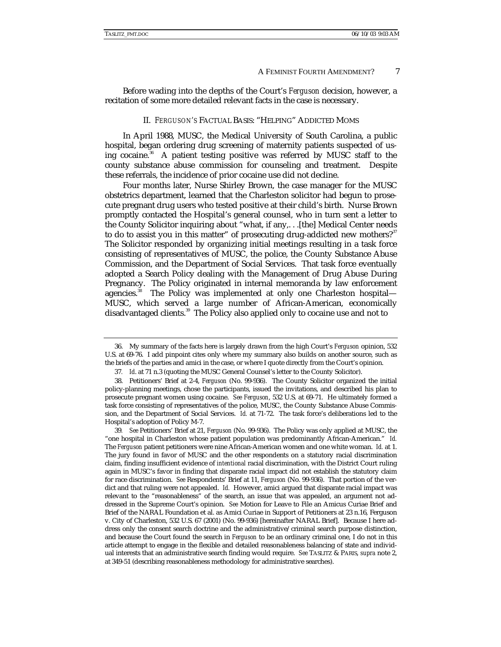Before wading into the depths of the Court's *Ferguson* decision, however, a recitation of some more detailed relevant facts in the case is necessary.

# II. *FERGUSON'S* FACTUAL BASIS: "HELPING" ADDICTED MOMS

In April 1988, MUSC, the Medical University of South Carolina, a public hospital, began ordering drug screening of maternity patients suspected of using cocaine.<sup>36</sup> A patient testing positive was referred by MUSC staff to the county substance abuse commission for counseling and treatment. Despite these referrals, the incidence of prior cocaine use did not decline.

Four months later, Nurse Shirley Brown, the case manager for the MUSC obstetrics department, learned that the Charleston solicitor had begun to prosecute pregnant drug users who tested positive at their child's birth. Nurse Brown promptly contacted the Hospital's general counsel, who in turn sent a letter to the County Solicitor inquiring about "what, if any,. . .[the] Medical Center needs to do to assist you in this matter" of prosecuting drug-addicted new mothers?  $3^{37}$ The Solicitor responded by organizing initial meetings resulting in a task force consisting of representatives of MUSC, the police, the County Substance Abuse Commission, and the Department of Social Services. That task force eventually adopted a Search Policy dealing with the Management of Drug Abuse During Pregnancy. The Policy originated in internal memoranda by law enforcement agencies.<sup>38</sup> The Policy was implemented at only one Charleston hospital— MUSC, which served a large number of African-American, economically disadvantaged clients.<sup>39</sup> The Policy also applied only to cocaine use and not to

<sup>36.</sup> My summary of the facts here is largely drawn from the high Court's *Ferguson* opinion, 532 U.S. at 69-76. I add pinpoint cites only where my summary also builds on another source, such as the briefs of the parties and amici in the case, or where I quote directly from the Court's opinion.

<sup>37</sup>*. Id*. at 71 n.3 (quoting the MUSC General Counsel's letter to the County Solicitor).

<sup>38.</sup> Petitioners' Brief at 2-4, *Ferguson* (No. 99-936). The County Solicitor organized the initial policy-planning meetings, chose the participants, issued the invitations, and described his plan to prosecute pregnant women using cocaine. *See Ferguson*, 532 U.S. at 69-71. He ultimately formed a task force consisting of representatives of the police, MUSC, the County Substance Abuse Commission, and the Department of Social Services. *Id.* at 71-72. The task force's deliberations led to the Hospital's adoption of Policy M-7.

<sup>39</sup>*. See* Petitioners' Brief at 21, *Ferguson* (No. 99-936). The Policy was only applied at MUSC, the "one hospital in Charleston whose patient population was predominantly African-American." *Id.* The *Ferguson* patient petitioners were nine African-American women and one white woman. *Id.* at 1. The jury found in favor of MUSC and the other respondents on a statutory racial discrimination claim, finding insufficient evidence of *intentional* racial discrimination, with the District Court ruling again in MUSC's favor in finding that disparate racial impact did not establish the statutory claim for race discrimination. *See* Respondents' Brief at 11, *Ferguson* (No. 99-936). That portion of the verdict and that ruling were not appealed. *Id.* However, amici argued that disparate racial impact was relevant to the "reasonableness" of the search, an issue that was appealed, an argument not addressed in the Supreme Court's opinion. *See* Motion for Leave to File an Amicus Curiae Brief and Brief of the NARAL Foundation et al. as Amici Curiae in Support of Petitioners at 23 n.16, Ferguson v. City of Charleston, 532 U.S. 67 (2001) (No. 99-936) [hereinafter NARAL Brief]. Because I here address only the consent search doctrine and the administrative/criminal search purpose distinction, and because the Court found the search in *Ferguson* to be an ordinary criminal one, I do not in this article attempt to engage in the flexible and detailed reasonableness balancing of state and individual interests that an administrative search finding would require. *See* TASLITZ & PARIS, *supra* note 2, at 349-51 (describing reasonableness methodology for administrative searches).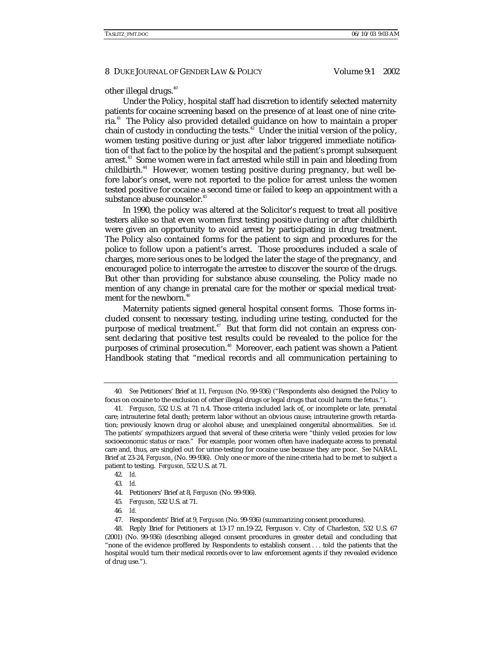other illegal drugs.<sup>40</sup>

Under the Policy, hospital staff had discretion to identify selected maternity patients for cocaine screening based on the presence of at least one of nine criteria.<sup>41</sup> The Policy also provided detailed guidance on how to maintain a proper chain of custody in conducting the tests. $42^{\circ}$  Under the initial version of the policy, women testing positive during or just after labor triggered immediate notification of that fact to the police by the hospital and the patient's prompt subsequent arrest.<sup>43</sup> Some women were in fact arrested while still in pain and bleeding from childbirth.<sup>44</sup> However, women testing positive during pregnancy, but well before labor's onset, were not reported to the police for arrest unless the women tested positive for cocaine a second time or failed to keep an appointment with a substance abuse counselor.<sup>45</sup>

In 1990, the policy was altered at the Solicitor's request to treat all positive testers alike so that even women first testing positive during or after childbirth were given an opportunity to avoid arrest by participating in drug treatment. The Policy also contained forms for the patient to sign and procedures for the police to follow upon a patient's arrest. Those procedures included a scale of charges, more serious ones to be lodged the later the stage of the pregnancy, and encouraged police to interrogate the arrestee to discover the source of the drugs. But other than providing for substance abuse counseling, the Policy made no mention of any change in prenatal care for the mother or special medical treatment for the newborn.<sup>46</sup>

Maternity patients signed general hospital consent forms. Those forms included consent to necessary testing, including urine testing, conducted for the purpose of medical treatment.<sup>47</sup> But that form did not contain an express consent declaring that positive test results could be revealed to the police for the purposes of criminal prosecution.<sup>48</sup> Moreover, each patient was shown a Patient Handbook stating that "medical records and all communication pertaining to

<sup>40</sup>*. See* Petitioners' Brief at 11, *Ferguson* (No. 99-936) ("Respondents also designed the Policy to focus on cocaine to the exclusion of other illegal drugs or legal drugs that could harm the fetus.").

<sup>41</sup>*. Ferguson*, 532 U.S. at 71 n.4. Those criteria included lack of, or incomplete or late, prenatal care; intrauterine fetal death; preterm labor without an obvious cause; intrauterine growth retardation; previously known drug or alcohol abuse; and unexplained congenital abnormalities. *See id.* The patients' sympathizers argued that several of these criteria were "thinly veiled proxies for low socioeconomic status or race." For example, poor women often have inadequate access to prenatal care and, thus, are singled out for urine-testing for cocaine use because they are poor. *See* NARAL Brief at 23-24, *Ferguson*, (No. 99-936). Only one or more of the nine criteria had to be met to subject a patient to testing. *Ferguson,* 532 U.S. at 71.

<sup>42</sup>*. Id.*

<sup>43</sup>*. Id.*

<sup>44.</sup> Petitioners' Brief at 8, *Ferguson* (No. 99-936).

<sup>45</sup>*. Ferguson,* 532 U.S. at 71.

<sup>46</sup>*. Id.*

<sup>47.</sup> Respondents' Brief at 9, *Ferguson* (No. 99-936) (summarizing consent procedures).

<sup>48.</sup> Reply Brief for Petitioners at 13-17 nn.19-22, Ferguson v. City of Charleston, 532 U.S. 67 (2001) (No. 99-936) (describing alleged consent procedures in greater detail and concluding that "none of the evidence proffered by Respondents to establish consent . . . told the patients that the hospital would turn their medical records over to law enforcement agents if they revealed evidence of drug use.").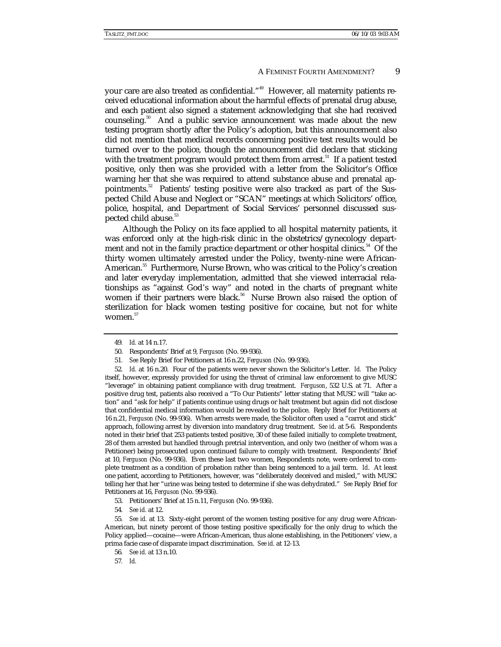your care are also treated as confidential."<sup>49</sup> However, all maternity patients received educational information about the harmful effects of prenatal drug abuse, and each patient also signed a statement acknowledging that she had received counseling.<sup>50</sup> And a public service announcement was made about the new testing program shortly after the Policy's adoption, but this announcement also did not mention that medical records concerning positive test results would be turned over to the police, though the announcement did declare that sticking with the treatment program would protect them from arrest.<sup>51</sup> If a patient tested positive, only then was she provided with a letter from the Solicitor's Office warning her that she was required to attend substance abuse and prenatal appointments.<sup>52</sup> Patients' testing positive were also tracked as part of the Suspected Child Abuse and Neglect or "SCAN" meetings at which Solicitors' office, police, hospital, and Department of Social Services' personnel discussed suspected child abuse.<sup>53</sup>

Although the Policy on its face applied to all hospital maternity patients, it was enforced only at the high-risk clinic in the obstetrics/gynecology department and not in the family practice department or other hospital clinics.<sup>54</sup> Of the thirty women ultimately arrested under the Policy, twenty-nine were African-American.<sup>55</sup> Furthermore, Nurse Brown, who was critical to the Policy's creation and later everyday implementation, admitted that she viewed interracial relationships as "against God's way" and noted in the charts of pregnant white women if their partners were black.<sup>56</sup> Nurse Brown also raised the option of sterilization for black women testing positive for cocaine, but not for white women.<sup>57</sup>

52*. Id.* at 16 n.20. Four of the patients were never shown the Solicitor's Letter. *Id.* The Policy itself, however, expressly provided for using the threat of criminal law enforcement to give MUSC "leverage" in obtaining patient compliance with drug treatment. *Ferguson*, 532 U.S. at 71. After a positive drug test, patients also received a "To Our Patients" letter stating that MUSC will "take action" and "ask for help" if patients continue using drugs or halt treatment but again did not disclose that confidential medical information would be revealed to the police. Reply Brief for Petitioners at 16 n.21, *Ferguson* (No. 99-936). When arrests were made, the Solicitor often used a "carrot and stick" approach, following arrest by diversion into mandatory drug treatment. *See id*. at 5-6. Respondents noted in their brief that 253 patients tested positive, 30 of these failed initially to complete treatment, 28 of them arrested but handled through pretrial intervention, and only two (neither of whom was a Petitioner) being prosecuted upon continued failure to comply with treatment. Respondents' Brief at 10, *Ferguson* (No. 99-936). Even these last two women, Respondents note, were ordered to complete treatment as a condition of probation rather than being sentenced to a jail term. *Id*. At least one patient, according to Petitioners, however, was "deliberately deceived and misled," with MUSC telling her that her "urine was being tested to determine if she was dehydrated." *See* Reply Brief for Petitioners at 16, *Ferguson* (No. 99-936).

53. Petitioners' Brief at 15 n.11, *Ferguson* (No. 99-936).

54*. See id.* at 12.

55*. See id.* at 13. Sixty-eight percent of the women testing positive for any drug were African-American, but ninety percent of those testing positive specifically for the only drug to which the Policy applied—cocaine—were African-American, thus alone establishing, in the Petitioners' view, a prima facie case of disparate impact discrimination. *See id.* at 12-13.

56*. See id.* at 13 n.10.

57*. Id.*

<sup>49</sup>*. Id.* at 14 n.17.

<sup>50.</sup> Respondents' Brief at 9, *Ferguson* (No. 99-936).

<sup>51</sup>*. See* Reply Brief for Petitioners at 16 n.22, *Ferguson* (No. 99-936).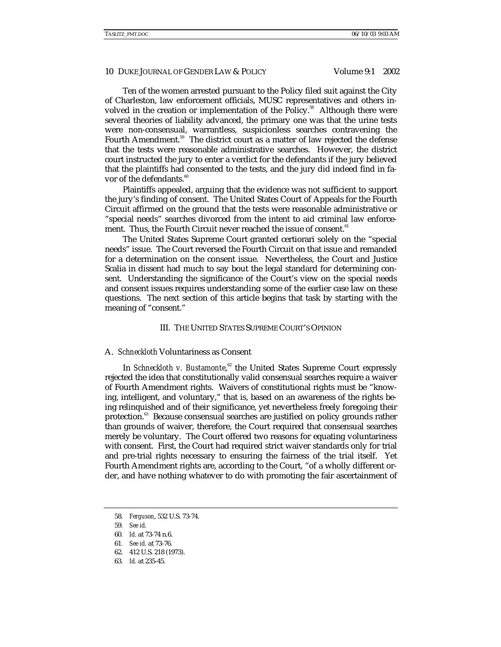Ten of the women arrested pursuant to the Policy filed suit against the City of Charleston, law enforcement officials, MUSC representatives and others involved in the creation or implementation of the Policy.<sup>58</sup> Although there were several theories of liability advanced, the primary one was that the urine tests were non-consensual, warrantless, suspicionless searches contravening the Fourth Amendment.<sup>59</sup> The district court as a matter of law rejected the defense that the tests were reasonable administrative searches. However, the district court instructed the jury to enter a verdict for the defendants if the jury believed that the plaintiffs had consented to the tests, and the jury did indeed find in favor of the defendants.<sup>60</sup>

Plaintiffs appealed, arguing that the evidence was not sufficient to support the jury's finding of consent. The United States Court of Appeals for the Fourth Circuit affirmed on the ground that the tests were reasonable administrative or "special needs" searches divorced from the intent to aid criminal law enforcement. Thus, the Fourth Circuit never reached the issue of consent.<sup>61</sup>

The United States Supreme Court granted certiorari solely on the "special needs" issue. The Court reversed the Fourth Circuit on that issue and remanded for a determination on the consent issue. Nevertheless, the Court and Justice Scalia in dissent had much to say bout the legal standard for determining consent. Understanding the significance of the Court's view on the special needs and consent issues requires understanding some of the earlier case law on these questions. The next section of this article begins that task by starting with the meaning of "consent."

# III. THE UNITED STATES SUPREME COURT'S OPINION

#### A. *Schneckloth* Voluntariness as Consent

In *Schneckloth v. Bustamonte*,<sup>82</sup> the United States Supreme Court expressly rejected the idea that constitutionally valid consensual searches require a waiver of Fourth Amendment rights. Waivers of constitutional rights must be "knowing, intelligent, and voluntary," that is, based on an awareness of the rights being relinquished and of their significance, yet nevertheless freely foregoing their protection.<sup>63</sup> Because consensual searches are justified on policy grounds rather than grounds of waiver, therefore, the Court required that consensual searches merely be voluntary. The Court offered two reasons for equating voluntariness with consent. First, the Court had required strict waiver standards only for trial and pre-trial rights necessary to ensuring the fairness of the trial itself. Yet Fourth Amendment rights are, according to the Court, "of a wholly different order, and have nothing whatever to do with promoting the fair ascertainment of

<sup>58</sup>*. Ferguson*, 532 U.S. 73-74.

<sup>59</sup>*. See id.*

<sup>60</sup>*. Id.* at 73-74 n.6.

<sup>61</sup>*. See id.* at 73-76.

<sup>62. 412</sup> U.S. 218 (1973).

<sup>63</sup>*. Id.* at 235-45.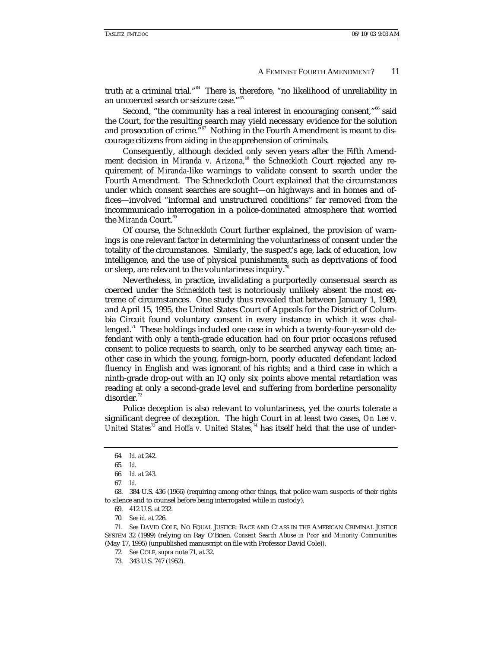truth at a criminal trial."<sup>64</sup> There is, therefore, "no likelihood of unreliability in an uncoerced search or seizure case."<sup>65</sup>

Second, "the community has a real interest in encouraging consent,"<sup>66</sup> said the Court, for the resulting search may yield necessary evidence for the solution and prosecution of crime."<sup>67</sup> Nothing in the Fourth Amendment is meant to discourage citizens from aiding in the apprehension of criminals.

Consequently, although decided only seven years after the Fifth Amendment decision in *Miranda v. Arizona*, <sup>68</sup> the *Schneckloth* Court rejected any requirement of *Miranda*-like warnings to validate consent to search under the Fourth Amendment. The Schneckcloth Court explained that the circumstances under which consent searches are sought—on highways and in homes and offices—involved "informal and unstructured conditions" far removed from the incommunicado interrogation in a police-dominated atmosphere that worried the *Miranda* Court.<sup>69</sup>

Of course, the *Schneckloth* Court further explained, the provision of warnings is one relevant factor in determining the voluntariness of consent under the totality of the circumstances. Similarly, the suspect's age, lack of education, low intelligence, and the use of physical punishments, such as deprivations of food or sleep, are relevant to the voluntariness inquiry.<sup>70</sup>

Nevertheless, in practice, invalidating a purportedly consensual search as coerced under the *Schneckloth* test is notoriously unlikely absent the most extreme of circumstances. One study thus revealed that between January 1, 1989, and April 15, 1995, the United States Court of Appeals for the District of Columbia Circuit found voluntary consent in every instance in which it was challenged.<sup>71</sup> These holdings included one case in which a twenty-four-year-old defendant with only a tenth-grade education had on four prior occasions refused consent to police requests to search, only to be searched anyway each time; another case in which the young, foreign-born, poorly educated defendant lacked fluency in English and was ignorant of his rights; and a third case in which a ninth-grade drop-out with an IQ only six points above mental retardation was reading at only a second-grade level and suffering from borderline personality disorder.<sup>72</sup>

Police deception is also relevant to voluntariness, yet the courts tolerate a significant degree of deception. The high Court in at least two cases, *On Lee v. United States*<sup>3</sup> and *Hoffa v. United States*,<sup>74</sup> has itself held that the use of under-

<sup>64</sup>*. Id.* at 242.

<sup>65</sup>*. Id.*

<sup>66</sup>*. Id.* at 243.

<sup>67</sup>*. Id.*

<sup>68. 384</sup> U.S. 436 (1966) (requiring among other things, that police warn suspects of their rights to silence and to counsel before being interrogated while in custody).

<sup>69. 412</sup> U.S. at 232.

<sup>70</sup>*. See id.* at 226.

<sup>71</sup>*. See* DAVID COLE, NO EQUAL JUSTICE: RACE AND CLASS IN THE AMERICAN CRIMINAL JUSTICE SYSTEM 32 (1999) (relying on Ray O'Brien, *Consent Search Abuse in Poor and Minority Communities* (May 17, 1995) (unpublished manuscript on file with Professor David Cole)).

<sup>72</sup>*. See* COLE, *supra* note 71, at 32.

<sup>73. 343</sup> U.S. 747 (1952).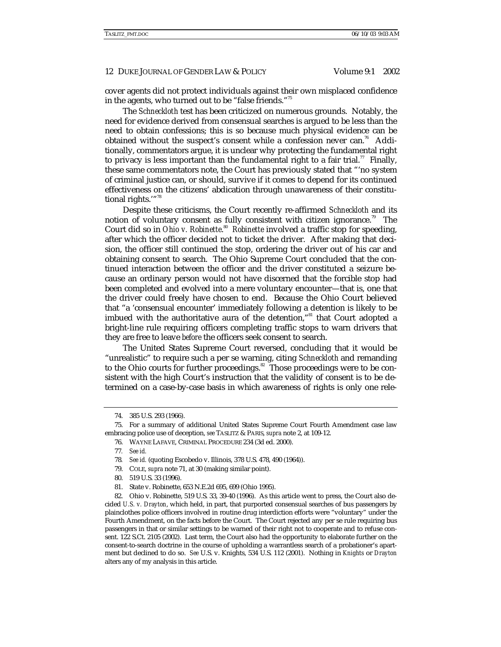cover agents did not protect individuals against their own misplaced confidence in the agents, who turned out to be "false friends."<sup>75</sup>

The *Schneckloth* test has been criticized on numerous grounds. Notably, the need for evidence derived from consensual searches is argued to be less than the need to obtain confessions; this is so because much physical evidence can be obtained without the suspect's consent while a confession never can.<sup>76</sup> Additionally, commentators argue, it is unclear why protecting the fundamental right to privacy is less important than the fundamental right to a fair trial.<sup>77</sup> Finally, these same commentators note, the Court has previously stated that "'no system of criminal justice can, or should, survive if it comes to depend for its continued effectiveness on the citizens' abdication through unawareness of their constitutional rights.'"78

Despite these criticisms, the Court recently re-affirmed *Schneckloth* and its notion of voluntary consent as fully consistent with citizen ignorance.<sup>79</sup> The Court did so in *Ohio v. Robinette*. <sup>80</sup> *Robinette* involved a traffic stop for speeding, after which the officer decided not to ticket the driver. After making that decision, the officer still continued the stop, ordering the driver out of his car and obtaining consent to search. The Ohio Supreme Court concluded that the continued interaction between the officer and the driver constituted a seizure because an ordinary person would not have discerned that the forcible stop had been completed and evolved into a mere voluntary encounter—that is, one that the driver could freely have chosen to end. Because the Ohio Court believed that "a 'consensual encounter' immediately following a detention is likely to be imbued with the authoritative aura of the detention,"<sup>81</sup> that Court adopted a bright-line rule requiring officers completing traffic stops to warn drivers that they are free to leave *before* the officers seek consent to search.

The United States Supreme Court reversed, concluding that it would be "unrealistic" to require such a per se warning, citing *Schneckloth* and remanding to the Ohio courts for further proceedings. $82$  Those proceedings were to be consistent with the high Court's instruction that the validity of consent is to be determined on a case-by-case basis in which awareness of rights is only one rele-

76. WAYNE LAFAVE, CRIMINAL PROCEDURE 234 (3d ed. 2000).

80. 519 U.S. 33 (1996).

<sup>74. 385</sup> U.S. 293 (1966).

<sup>75.</sup> For a summary of additional United States Supreme Court Fourth Amendment case law embracing police use of deception, *see* TASLITZ & PARIS, *supra* note 2, at 109-12.

<sup>77</sup>*. See id.*

<sup>78</sup>*. See id.* (quoting Escobedo v. Illinois, 378 U.S. 478, 490 (1964)).

<sup>79.</sup> COLE, *supra* note 71, at 30 (making similar point).

<sup>81.</sup> State v. Robinette, 653 N.E.2d 695, 699 (Ohio 1995).

<sup>82.</sup> Ohio v. Robinette, 519 U.S. 33, 39-40 (1996). As this article went to press, the Court also decided *U.S. v. Drayton*, which held, in part, that purported consensual searches of bus passengers by plainclothes police officers involved in routine drug interdiction efforts were "voluntary" under the Fourth Amendment, on the facts before the Court. The Court rejected any per se rule requiring bus passengers in that or similar settings to be warned of their right not to cooperate and to refuse consent. 122 S.Ct. 2105 (2002). Last term, the Court also had the opportunity to elaborate further on the consent-to-search doctrine in the course of upholding a warrantless search of a probationer's apartment but declined to do so. *See* U.S. v. Knights, 534 U.S. 112 (2001). Nothing in *Knights* or *Drayton* alters any of my analysis in this article.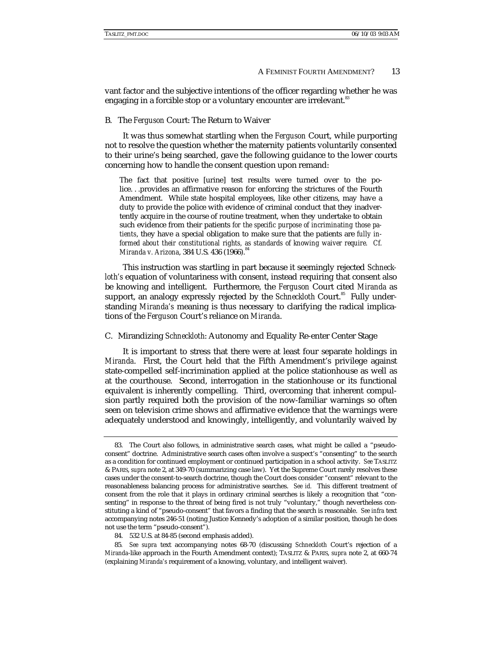vant factor and the subjective intentions of the officer regarding whether he was engaging in a forcible stop or a voluntary encounter are irrelevant.<sup>83</sup>

#### B. The *Ferguson* Court: The Return to Waiver

It was thus somewhat startling when the *Ferguson* Court, while purporting not to resolve the question whether the maternity patients voluntarily consented to their urine's being searched, gave the following guidance to the lower courts concerning how to handle the consent question upon remand:

The fact that positive [urine] test results were turned over to the police. . .provides an affirmative reason for enforcing the strictures of the Fourth Amendment. While state hospital employees, like other citizens, may have a duty to provide the police with evidence of criminal conduct that they inadvertently acquire in the course of routine treatment, when they undertake to obtain such evidence from their patients *for the specific purpose of incriminating those patients*, they have a special obligation to make sure that the patients are *fully informed about their constitutional rights, as standards of knowing waiver require. Cf. Miranda v. Arizona*, 384 U.S. 436 (1966).<sup>84</sup>

This instruction was startling in part because it seemingly rejected *Schneckloth's* equation of voluntariness with consent, instead requiring that consent also be knowing and intelligent. Furthermore, the *Ferguson* Court cited *Miranda* as support, an analogy expressly rejected by the *Schneckloth* Court.<sup>85</sup> Fully understanding *Miranda's* meaning is thus necessary to clarifying the radical implications of the *Ferguson* Court's reliance on *Miranda*.

## C. Mirandizing *Schneckloth*: Autonomy and Equality Re-enter Center Stage

It is important to stress that there were at least four separate holdings in *Miranda*. First, the Court held that the Fifth Amendment's privilege against state-compelled self-incrimination applied at the police stationhouse as well as at the courthouse. Second, interrogation in the stationhouse or its functional equivalent is inherently compelling. Third, overcoming that inherent compulsion partly required both the provision of the now-familiar warnings so often seen on television crime shows *and* affirmative evidence that the warnings were adequately understood and knowingly, intelligently, and voluntarily waived by

<sup>83.</sup> The Court also follows, in administrative search cases, what might be called a "pseudoconsent" doctrine. Administrative search cases often involve a suspect's "consenting" to the search as a condition for continued employment or continued participation in a school activity. *See* TASLITZ & PARIS, *supra* note 2, at 349-70 (summarizing case law). Yet the Supreme Court rarely resolves these cases under the consent-to-search doctrine, though the Court does consider "consent" relevant to the reasonableness balancing process for administrative searches. *See id.* This different treatment of consent from the role that it plays in ordinary criminal searches is likely a recognition that "consenting" in response to the threat of being fired is not truly "voluntary," though nevertheless constituting a kind of "pseudo-consent" that favors a finding that the search is reasonable. *See infra* text accompanying notes 246-51 (noting Justice Kennedy's adoption of a similar position, though he does not use the term "pseudo-consent").

<sup>84. 532</sup> U.S. at 84-85 (second emphasis added).

<sup>85</sup>*. See supra* text accompanying notes 68-70 (discussing *Schneckloth* Court's rejection of a *Miranda*-like approach in the Fourth Amendment context); TASLITZ & PARIS, *supra* note 2, at 660-74 (explaining *Miranda's* requirement of a knowing, voluntary, and intelligent waiver).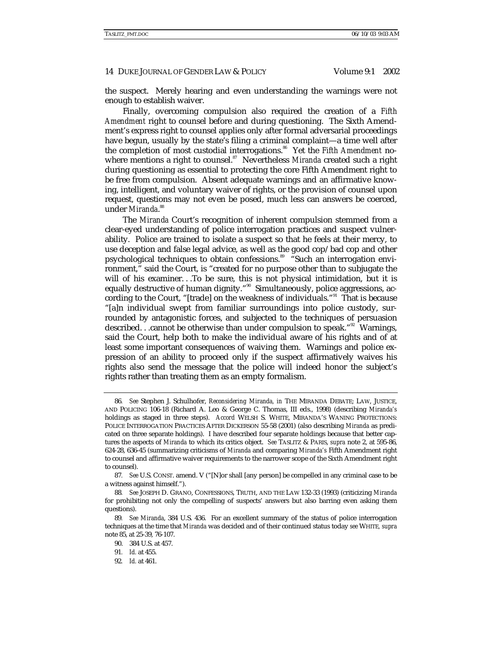the suspect. Merely hearing and even understanding the warnings were not enough to establish waiver.

Finally, overcoming compulsion also required the creation of a *Fifth Amendment* right to counsel before and during questioning. The Sixth Amendment's express right to counsel applies only after formal adversarial proceedings have begun, usually by the state's filing a criminal complaint—a time well after the completion of most custodial interrogations.<sup>86</sup> Yet the *Fifth Amendment* nowhere mentions a right to counsel.<sup>87</sup> Nevertheless Miranda created such a right during questioning as essential to protecting the core Fifth Amendment right to be free from compulsion. Absent adequate warnings and an affirmative knowing, intelligent, and voluntary waiver of rights, or the provision of counsel upon request, questions may not even be posed, much less can answers be coerced, under *Miranda*.<sup>88</sup>

The *Miranda* Court's recognition of inherent compulsion stemmed from a clear-eyed understanding of police interrogation practices and suspect vulnerability. Police are trained to isolate a suspect so that he feels at their mercy, to use deception and false legal advice, as well as the good cop/bad cop and other psychological techniques to obtain confessions.<sup>89</sup> "Such an interrogation environment," said the Court, is "created for no purpose other than to subjugate the will of his examiner. . .To be sure, this is not physical intimidation, but it is equally destructive of human dignity."<sup>90</sup> Simultaneously, police aggressions, according to the Court, "[trade] on the weakness of individuals." $\frac{3}{1}$  That is because "[a]n individual swept from familiar surroundings into police custody, surrounded by antagonistic forces, and subjected to the techniques of persuasion described. . .cannot be otherwise than under compulsion to speak."<sup>92</sup> Warnings, said the Court, help both to make the individual aware of his rights and of at least some important consequences of waiving them. Warnings and police expression of an ability to proceed only if the suspect affirmatively waives his rights also send the message that the police will indeed honor the subject's rights rather than treating them as an empty formalism.

<sup>86</sup>*. See* Stephen J. Schulhofer, *Reconsidering Miranda, in* THE MIRANDA DEBATE; LAW, JUSTICE, AND POLICING 106-18 (Richard A. Leo & George C. Thomas, III eds., 1998) (describing *Miranda's* holdings as staged in three steps). *Accord* WELSH S. WHITE, MIRANDA'S WANING PROTECTIONS: POLICE INTERROGATION PRACTICES AFTER DICKERSON 55-58 (2001) (also describing *Miranda* as predicated on three separate holdings). I have described four separate holdings because that better captures the aspects of *Miranda* to which its critics object. *See* TASLITZ & PARIS, *supra* note 2, at 595-86, 624-28, 636-45 (summarizing criticisms of *Miranda* and comparing *Miranda's* Fifth Amendment right to counsel and affirmative waiver requirements to the narrower scope of the Sixth Amendment right to counsel).

<sup>87</sup>*. See* U.S. CONST. amend. V ("[N]or shall [any person] be compelled in any criminal case to be a witness against himself.").

<sup>88</sup>*. See* JOSEPH D. GRANO, CONFESSIONS, TRUTH, AND THE LAW 132-33 (1993) (criticizing *Miranda* for prohibiting not only the compelling of suspects' answers but also barring even asking them questions).

<sup>89</sup>*. See Miranda*, 384 U.S. 436. For an excellent summary of the status of police interrogation techniques at the time that *Miranda* was decided and of their continued status today *see* WHITE*, supra* note 85, at 25-39, 76-107.

<sup>90. 384</sup> U.S. at 457.

<sup>91</sup>*. Id.* at 455.

<sup>92</sup>*. Id.* at 461.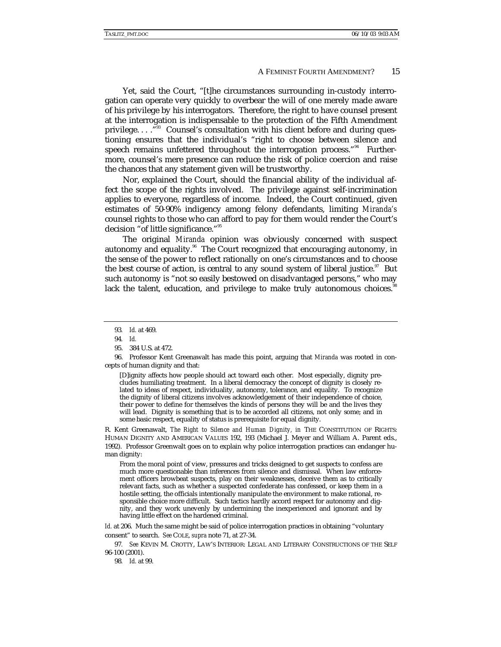Yet, said the Court, "[t]he circumstances surrounding in-custody interrogation can operate very quickly to overbear the will of one merely made aware of his privilege by his interrogators. Therefore, the right to have counsel present at the interrogation is indispensable to the protection of the Fifth Amendment privilege...."<sup>33</sup> Counsel's consultation with his client before and during questioning ensures that the individual's "right to choose between silence and speech remains unfettered throughout the interrogation process."<sup>94</sup> Furthermore, counsel's mere presence can reduce the risk of police coercion and raise the chances that any statement given will be trustworthy.

Nor, explained the Court, should the financial ability of the individual affect the scope of the rights involved. The privilege against self-incrimination applies to everyone, regardless of income. Indeed, the Court continued, given estimates of 50-90% indigency among felony defendants, limiting *Miranda's* counsel rights to those who can afford to pay for them would render the Court's decision "of little significance."<sup>95</sup>

The original *Miranda* opinion was obviously concerned with suspect autonomy and equality.<sup>96</sup> The Court recognized that encouraging autonomy, in the sense of the power to reflect rationally on one's circumstances and to choose the best course of action, is central to any sound system of liberal justice.<sup>97</sup> But such autonomy is "not so easily bestowed on disadvantaged persons," who may lack the talent, education, and privilege to make truly autonomous choices.<sup>98</sup>

[D]ignity affects how people should act toward each other. Most especially, dignity precludes humiliating treatment. In a liberal democracy the concept of dignity is closely related to ideas of respect, individuality, autonomy, tolerance, and equality. To recognize the dignity of liberal citizens involves acknowledgement of their independence of choice, their power to define for themselves the kinds of persons they will be and the lives they will lead. Dignity is something that is to be accorded all citizens, not only some; and in some basic respect, equality of status is prerequisite for equal dignity.

R. Kent Greenawalt, *The Right to Silence and Human Dignity, in* THE CONSTITUTION OF RIGHTS: HUMAN DIGNITY AND AMERICAN VALUES 192, 193 (Michael J. Meyer and William A. Parent eds., 1992). Professor Greenwalt goes on to explain why police interrogation practices can endanger human dignity:

From the moral point of view, pressures and tricks designed to get suspects to confess are much more questionable than inferences from silence and dismissal. When law enforcement officers browbeat suspects, play on their weaknesses, deceive them as to critically relevant facts, such as whether a suspected confederate has confessed, or keep them in a hostile setting, the officials intentionally manipulate the environment to make rational, responsible choice more difficult. Such tactics hardly accord respect for autonomy and dignity, and they work unevenly by undermining the inexperienced and ignorant and by having little effect on the hardened criminal.

*Id.* at 206. Much the same might be said of police interrogation practices in obtaining "voluntary consent" to search. *See* COLE, *supra* note 71, at 27-34.

97*. See* KEVIN M. CROTTY, LAW'S INTERIOR: LEGAL AND LITERARY CONSTRUCTIONS OF THE SELF 96-100 (2001).

98*. Id.* at 99.

<sup>93</sup>*. Id.* at 469.

<sup>94</sup>*. Id.*

<sup>95. 384</sup> U.S. at 472.

<sup>96.</sup> Professor Kent Greenawalt has made this point, arguing that *Miranda* was rooted in concepts of human dignity and that: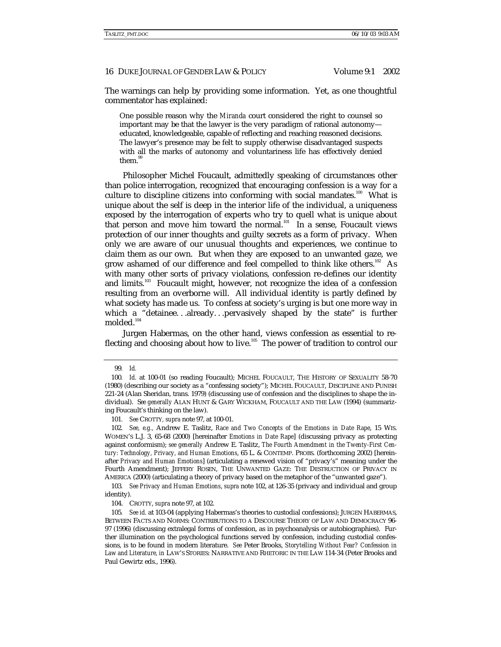The warnings can help by providing some information. Yet, as one thoughtful commentator has explained:

One possible reason why the *Miranda* court considered the right to counsel so important may be that the lawyer is the very paradigm of rational autonomy educated, knowledgeable, capable of reflecting and reaching reasoned decisions. The lawyer's presence may be felt to supply otherwise disadvantaged suspects with all the marks of autonomy and voluntariness life has effectively denied them.<sup>9</sup>

Philosopher Michel Foucault, admittedly speaking of circumstances other than police interrogation, recognized that encouraging confession is a way for a culture to discipline citizens into conforming with social mandates.<sup>100</sup> What is unique about the self is deep in the interior life of the individual, a uniqueness exposed by the interrogation of experts who try to quell what is unique about that person and move him toward the normal.<sup>101</sup> In a sense, Foucault views protection of our inner thoughts and guilty secrets as a form of privacy. When only we are aware of our unusual thoughts and experiences, we continue to claim them as our own. But when they are exposed to an unwanted gaze, we grow ashamed of our difference and feel compelled to think like others.<sup>102</sup> As with many other sorts of privacy violations, confession re-defines our identity and limits.<sup>103</sup> Foucault might, however, not recognize the idea of a confession resulting from an overborne will. All individual identity is partly defined by what society has made us. To confess at society's urging is but one more way in which a "detainee. . .already. . .pervasively shaped by the state" is further molded. $104$ 

Jurgen Habermas, on the other hand, views confession as essential to reflecting and choosing about how to live.<sup>105</sup> The power of tradition to control our

<sup>99</sup>*. Id.*

<sup>100</sup>*. Id.* at 100-01 (so reading Foucault); MICHEL FOUCAULT, THE HISTORY OF SEXUALITY 58-70 (1980) (describing our society as a "confessing society"); MICHEL FOUCAULT, DISCIPLINE AND PUNISH 221-24 (Alan Sheridan, trans. 1979) (discussing use of confession and the disciplines to shape the individual). S*ee generally* ALAN HUNT & GARY WICKHAM, FOUCAULT AND THE LAW (1994) (summarizing Foucault's thinking on the law).

<sup>101</sup>*. See* CROTTY*, supra* note 97, at 100-01.

<sup>102</sup>*. See, e.g.,* Andrew E. Taslitz, *Race and Two Concepts of the Emotions in Date Rape*, 15 WIS. WOMEN'S L.J. 3, 65-68 (2000) [hereinafter *Emotions in Date Rape*] (discussing privacy as protecting against conformism); *see generally* Andrew E. Taslitz, *The Fourth Amendment in the Twenty-First Century: Technology, Privacy, and Human Emotions*, 65 L. & CONTEMP. PROBS. (forthcoming 2002) [hereinafter *Privacy and Human Emotions*] (articulating a renewed vision of "privacy's" meaning under the Fourth Amendment); JEFFERY ROSEN, THE UNWANTED GAZE: THE DESTRUCTION OF PRIVACY IN AMERICA (2000) (articulating a theory of privacy based on the metaphor of the "unwanted gaze").

<sup>103</sup>*. See Privacy and Human Emotions*, *supra* note 102, at 126-35 (privacy and individual and group identity).

<sup>104.</sup> CROTTY, *supra* note 97, at 102.

<sup>105</sup>*. See id.* at 103-04 (applying Habermas's theories to custodial confessions); JURGEN HABERMAS, BETWEEN FACTS AND NORMS: CONTRIBUTIONS TO A DISCOURSE THEORY OF LAW AND DEMOCRACY 96- 97 (1996) (discussing extralegal forms of confession, as in psychoanalysis or autobiographies). Further illumination on the psychological functions served by confession, including custodial confessions, is to be found in modern literature. *See* Peter Brooks, *Storytelling Without Fear? Confession in Law and Literature, in* LAW'S STORIES: NARRATIVE AND RHETORIC IN THE LAW 114-34 (Peter Brooks and Paul Gewirtz eds., 1996).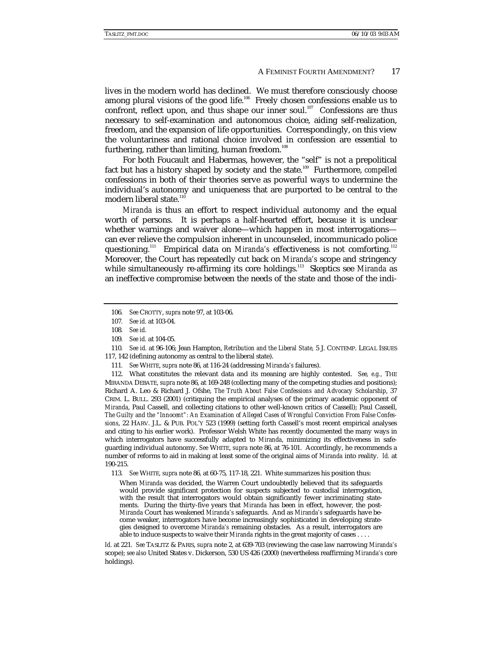lives in the modern world has declined. We must therefore consciously choose among plural visions of the good life.<sup>106</sup> Freely chosen confessions enable us to confront, reflect upon, and thus shape our inner soul.<sup>107</sup> Confessions are thus necessary to self-examination and autonomous choice, aiding self-realization, freedom, and the expansion of life opportunities. Correspondingly, on this view the voluntariness and rational choice involved in confession are essential to furthering, rather than limiting, human freedom.<sup>108</sup>

For both Foucault and Habermas, however, the "self" is not a prepolitical fact but has a history shaped by society and the state.<sup>109</sup> Furthermore, *compelled* confessions in both of their theories serve as powerful ways to undermine the individual's autonomy and uniqueness that are purported to be central to the modern liberal state.<sup>110</sup>

*Miranda* is thus an effort to respect individual autonomy and the equal worth of persons. It is perhaps a half-hearted effort, because it is unclear whether warnings and waiver alone—which happen in most interrogations can ever relieve the compulsion inherent in uncounseled, incommunicado police questioning.<sup>111</sup> Empirical data on *Miranda's* effectiveness is not comforting.<sup>112</sup> Moreover, the Court has repeatedly cut back on *Miranda's* scope and stringency while simultaneously re-affirming its core holdings.<sup>113</sup> Skeptics see *Miranda* as an ineffective compromise between the needs of the state and those of the indi-

110*. See id.* at 96-106; Jean Hampton, *Retribution and the Liberal State,* 5 J. CONTEMP. LEGAL ISSUES 117, 142 (defining autonomy as central to the liberal state).

112. What constitutes the relevant data and its meaning are highly contested. *See, e.g.,* THE MIRANDA DEBATE, *supra* note 86, at 169-248 (collecting many of the competing studies and positions); Richard A. Leo & Richard J. Ofshe, *The Truth About False Confessions and Advocacy Scholarship*, 37 CRIM. L. BULL. 293 (2001) (critiquing the empirical analyses of the primary academic opponent of *Miranda*, Paul Cassell, and collecting citations to other well-known critics of Cassell); Paul Cassell, *The Guilty and the "Innocent": An Examination of Alleged Cases of Wrongful Conviction From False Confessions*, 22 HARV. J.L. & PUB. POL'Y 523 (1999) (setting forth Cassell's most recent empirical analyses and citing to his earlier work). Professor Welsh White has recently documented the many ways in which interrogators have successfully adapted to *Miranda*, minimizing its effectiveness in safeguarding individual autonomy. *See* WHITE, *supra* note 86, at 76-101. Accordingly, he recommends a number of reforms to aid in making at least some of the original aims of *Miranda* into reality. *Id.* at 190-215.

113*. See* WHITE*, supra* note 86*,* at 60-75, 117-18, 221. White summarizes his position thus:

When *Miranda* was decided, the Warren Court undoubtedly believed that its safeguards would provide significant protection for suspects subjected to custodial interrogation, with the result that interrogators would obtain significantly fewer incriminating statements. During the thirty-five years that *Miranda* has been in effect, however, the post-*Miranda* Court has weakened *Miranda's* safeguards. And as *Miranda's* safeguards have become weaker, interrogators have become increasingly sophisticated in developing strategies designed to overcome *Miranda's* remaining obstacles. As a result, interrogators are able to induce suspects to waive their *Miranda* rights in the great majority of cases . . . .

*Id.* at 221. *See* TASLITZ & PARIS, *supra* note 2, at 639-703 (reviewing the case law narrowing *Miranda's* scope); *see also* United States v. Dickerson, 530 US 426 (2000) (nevertheless reaffirming *Miranda's* core holdings).

<sup>106</sup>*. See* CROTTY, *supra* note 97, at 103-06.

<sup>107</sup>*. See id.* at 103-04.

<sup>108</sup>*. See id.*

<sup>109</sup>*. See id.* at 104-05.

<sup>111</sup>*. See* WHITE, *supra* note 86, at 116-24 (addressing *Miranda's* failures).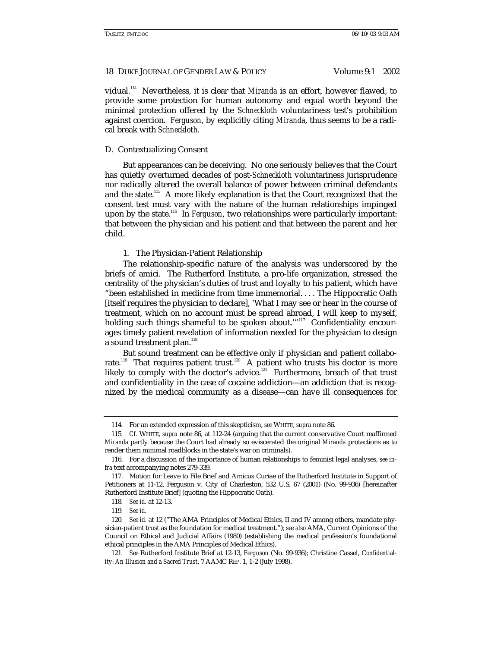vidual.<sup>114</sup> Nevertheless, it is clear that *Miranda* is an effort, however flawed, to provide some protection for human autonomy and equal worth beyond the minimal protection offered by the *Schneckloth* voluntariness test's prohibition against coercion. *Ferguson*, by explicitly citing *Miranda*, thus seems to be a radical break with *Schneckloth*.

### D. Contextualizing Consent

But appearances can be deceiving. No one seriously believes that the Court has quietly overturned decades of post-*Schneckloth* voluntariness jurisprudence nor radically altered the overall balance of power between criminal defendants and the state.<sup>115</sup> A more likely explanation is that the Court recognized that the consent test must vary with the nature of the human relationships impinged upon by the state.<sup>116</sup> In *Ferguson*, two relationships were particularly important: that between the physician and his patient and that between the parent and her child.

#### 1. The Physician-Patient Relationship

The relationship-specific nature of the analysis was underscored by the briefs of amici. The Rutherford Institute, a pro-life organization, stressed the centrality of the physician's duties of trust and loyalty to his patient, which have "been established in medicine from time immemorial. . . . The Hippocratic Oath [itself requires the physician to declare], 'What I may see or hear in the course of treatment, which on no account must be spread abroad, I will keep to myself, holding such things shameful to be spoken about.'"<sup>117</sup> Confidentiality encourages timely patient revelation of information needed for the physician to design a sound treatment plan.<sup>118</sup>

But sound treatment can be effective only if physician and patient collaborate.<sup>119</sup> That requires patient trust.<sup>120</sup> A patient who trusts his doctor is more likely to comply with the doctor's advice.<sup>121</sup> Furthermore, breach of that trust and confidentiality in the case of cocaine addiction—an addiction that is recognized by the medical community as a disease—can have ill consequences for

<sup>114.</sup> For an extended expression of this skepticism, *see* WHITE, *supra* note 86.

<sup>115</sup>*. Cf.* WHITE, *supra* note 86, at 112-24 (arguing that the current conservative Court reaffirmed *Miranda* partly because the Court had already so eviscerated the original *Miranda* protections as to render them minimal roadblocks in the state's war on criminals).

<sup>116.</sup> For a discussion of the importance of human relationships to feminist legal analyses, *see infra* text accompanying notes 279-339.

<sup>117.</sup> Motion for Leave to File Brief and Amicus Curiae of the Rutherford Institute in Support of Petitioners at 11-12, Ferguson v. City of Charleston, 532 U.S. 67 (2001) (No. 99-936) [hereinafter Rutherford Institute Brief] (quoting the Hippocratic Oath).

<sup>118</sup>*. See id.* at 12-13.

<sup>119</sup>*. See id.*

<sup>120</sup>*. See id.* at 12 ("The AMA Principles of Medical Ethics, II and IV among others, mandate physician-patient trust as the foundation for medical treatment."); *see also* AMA, Current Opinions of the Council on Ethical and Judicial Affairs (1980) (establishing the medical profession's foundational ethical principles in the AMA Principles of Medical Ethics).

<sup>121</sup>*. See* Rutherford Institute Brief at 12-13, *Ferguson* (No. 99-936); Christine Cassel, C*onfidentiality: An Illusion and a Sacred Trust*, 7 AAMC REP. 1, 1-2 (July 1998).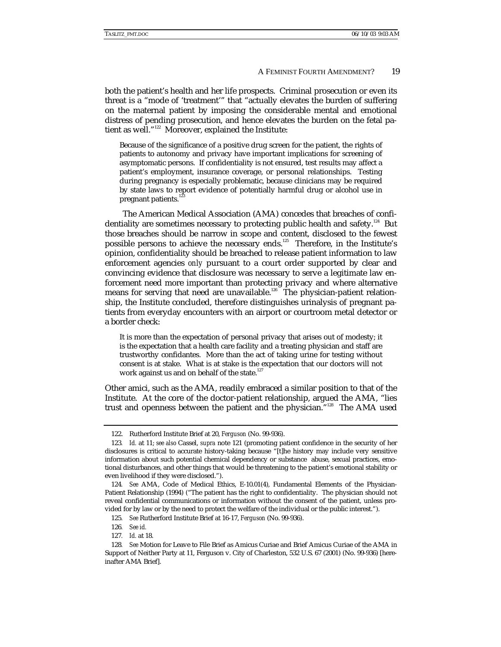both the patient's health and her life prospects. Criminal prosecution or even its threat is a "mode of 'treatment'" that "actually elevates the burden of suffering on the maternal patient by imposing the considerable mental and emotional distress of pending prosecution, and hence elevates the burden on the fetal patient as well."<sup>122</sup> Moreover, explained the Institute:

Because of the significance of a positive drug screen for the patient, the rights of patients to autonomy and privacy have important implications for screening of asymptomatic persons. If confidentiality is not ensured, test results may affect a patient's employment, insurance coverage, or personal relationships. Testing during pregnancy is especially problematic, because clinicians may be required by state laws to report evidence of potentially harmful drug or alcohol use in pregnant patients.

The American Medical Association (AMA) concedes that breaches of confidentiality are sometimes necessary to protecting public health and safety.<sup>124</sup> But those breaches should be narrow in scope and content, disclosed to the fewest possible persons to achieve the necessary ends.<sup>125</sup> Therefore, in the Institute's opinion, confidentiality should be breached to release patient information to law enforcement agencies *only* pursuant to a court order supported by clear and convincing evidence that disclosure was necessary to serve a legitimate law enforcement need more important than protecting privacy and where alternative means for serving that need are unavailable.<sup>126</sup> The physician-patient relationship, the Institute concluded, therefore distinguishes urinalysis of pregnant patients from everyday encounters with an airport or courtroom metal detector or a border check:

It is more than the expectation of personal privacy that arises out of modesty; it is the expectation that a health care facility and a treating physician and staff are trustworthy confidantes. More than the act of taking urine for testing without consent is at stake. What is at stake is the expectation that our doctors will not work against us and on behalf of the state.<sup>127</sup>

Other amici, such as the AMA, readily embraced a similar position to that of the Institute. At the core of the doctor-patient relationship, argued the AMA, "lies trust and openness between the patient and the physician."<sup>128</sup> The AMA used

<sup>122.</sup> Rutherford Institute Brief at 20, *Ferguson* (No. 99-936).

<sup>123</sup>*. Id.* at 11; *see also* Cassel, *supra* note 121 (promoting patient confidence in the security of her disclosures is critical to accurate history-taking because "[t]he history may include very sensitive information about such potential chemical dependency or substance abuse, sexual practices, emotional disturbances, and other things that would be threatening to the patient's emotional stability or even livelihood if they were disclosed.").

<sup>124</sup>*. See* AMA, Code of Medical Ethics, E-10.01(4), Fundamental Elements of the Physician-Patient Relationship (1994) ("The patient has the right to confidentiality. The physician should not reveal confidential communications or information without the consent of the patient, unless provided for by law or by the need to protect the welfare of the individual or the public interest.").

<sup>125</sup>*. See* Rutherford Institute Brief at 16-17, *Ferguson* (No. 99-936).

<sup>126</sup>*. See id.*

<sup>127</sup>*. Id.* at 18.

<sup>128</sup>*. See* Motion for Leave to File Brief as Amicus Curiae and Brief Amicus Curiae of the AMA in Support of Neither Party at 11, Ferguson v. City of Charleston, 532 U.S. 67 (2001) (No. 99-936) [hereinafter AMA Brief].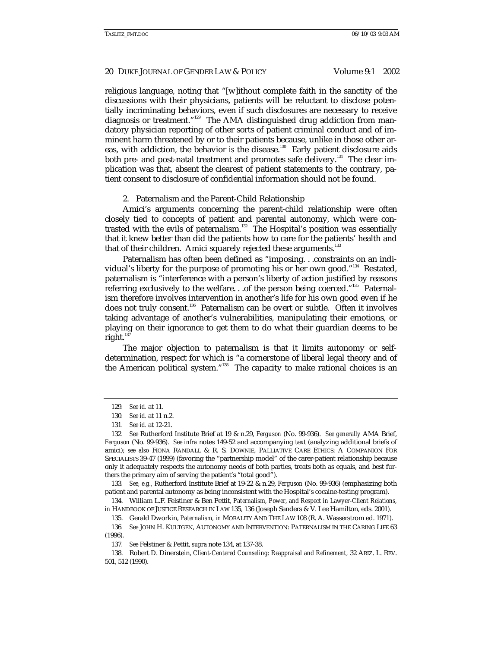religious language, noting that "[w]ithout complete faith in the sanctity of the discussions with their physicians, patients will be reluctant to disclose potentially incriminating behaviors, even if such disclosures are necessary to receive diagnosis or treatment."<sup>129</sup> The AMA distinguished drug addiction from mandatory physician reporting of other sorts of patient criminal conduct and of imminent harm threatened by or to their patients because, unlike in those other areas, with addiction, the behavior *is* the disease.<sup>130</sup> Early patient disclosure aids both pre- and post-natal treatment and promotes safe delivery.<sup>131</sup> The clear implication was that, absent the clearest of patient statements to the contrary, patient consent to disclosure of confidential information should not be found.

## 2. Paternalism and the Parent-Child Relationship

Amici's arguments concerning the parent-child relationship were often closely tied to concepts of patient and parental autonomy, which were contrasted with the evils of paternalism.<sup>132</sup> The Hospital's position was essentially that it knew better than did the patients how to care for the patients' health and that of their children. Amici squarely rejected these arguments.<sup>133</sup>

Paternalism has often been defined as "imposing. . . constraints on an individual's liberty for the purpose of promoting his or her own good."<sup>134</sup> Restated, paternalism is "interference with a person's liberty of action justified by reasons referring exclusively to the welfare. . .of the person being coerced."<sup>135</sup> Paternalism therefore involves intervention in another's life for his own good even if he does not truly consent.<sup>136</sup> Paternalism can be overt or subtle. Often it involves taking advantage of another's vulnerabilities, manipulating their emotions, or playing on their ignorance to get them to do what their guardian deems to be right. $137$ 

The major objection to paternalism is that it limits autonomy or selfdetermination, respect for which is "a cornerstone of liberal legal theory and of the American political system."<sup>138</sup> The capacity to make rational choices is an

133*. See, e.g.,* Rutherford Institute Brief at 19-22 & n.29, *Ferguson* (No. 99-936) (emphasizing both patient and parental autonomy as being inconsistent with the Hospital's cocaine-testing program).

134. William L.F. Felstiner & Ben Pettit, *Paternalism, Power, and Respect in Lawyer-Client Relations, in* HANDBOOK OF JUSTICE RESEARCH IN LAW 135, 136 (Joseph Sanders & V. Lee Hamilton, eds. 2001).

135. Gerald Dworkin, *Paternalism, in* MORALITY AND THE LAW 108 (R. A. Wasserstrom ed. 1971). 136*. See* JOHN H. KULTGEN, AUTONOMY AND INTERVENTION: PATERNALISM IN THE CARING LIFE 63

138. Robert D. Dinerstein, *Client-Centered Counseling: Reappraisal and Refinement,* 32 ARIZ. L. REV. 501, 512 (1990).

<sup>129</sup>*. See id.* at 11.

<sup>130</sup>*. See id.* at 11 n.2.

<sup>131</sup>*. See id.* at 12-21.

<sup>132</sup>*. See* Rutherford Institute Brief at 19 & n.29, *Ferguson* (No. 99-936). *See generally* AMA Brief, *Ferguson* (No. 99-936). *See infra* notes 149-52 and accompanying text (analyzing additional briefs of amici); *see also* FIONA RANDALL & R. S. DOWNIE, PALLIATIVE CARE ETHICS: A COMPANION FOR SPECIALISTS 39-47 (1999) (favoring the "partnership model" of the carer-patient relationship because only it adequately respects the autonomy needs of both parties, treats both as equals, and best furthers the primary aim of serving the patient's "total good").

<sup>(1996).</sup>

<sup>137</sup>*. See* Felstiner & Pettit, *supra* note 134, at 137-38.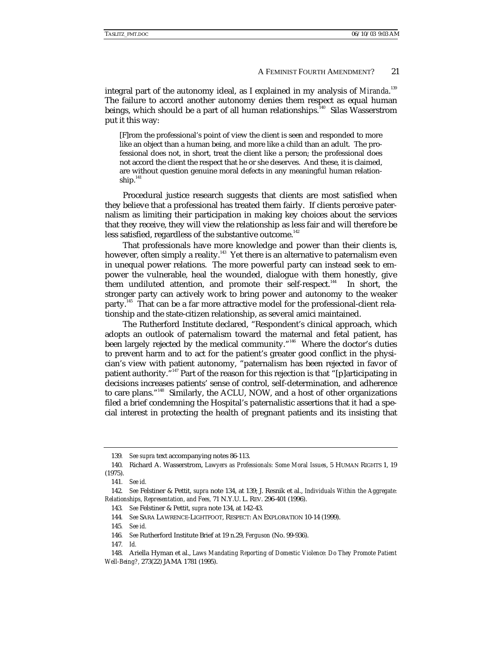integral part of the autonomy ideal, as I explained in my analysis of *Miranda*. 139 The failure to accord another autonomy denies them respect as equal human beings, which should be a part of all human relationships.<sup>140</sup> Silas Wasserstrom put it this way:

[F]rom the professional's point of view the client is seen and responded to more like an object than a human being, and more like a child than an adult. The professional does not, in short, treat the client like a person; the professional does not accord the client the respect that he or she deserves. And these, it is claimed, are without question genuine moral defects in any meaningful human relationship. $141$ 

Procedural justice research suggests that clients are most satisfied when they believe that a professional has treated them fairly. If clients perceive paternalism as limiting their participation in making key choices about the services that they receive, they will view the relationship as less fair and will therefore be less satisfied, regardless of the substantive outcome.<sup>142</sup>

That professionals have more knowledge and power than their clients is, however, often simply a reality.<sup>143</sup> Yet there is an alternative to paternalism even in unequal power relations. The more powerful party can instead seek to empower the vulnerable, heal the wounded, dialogue with them honestly, give them undiluted attention, and promote their self-respect.<sup>144</sup> In short, the stronger party can actively work to bring power and autonomy to the weaker party.<sup>145</sup> That can be a far more attractive model for the professional-client relationship and the state-citizen relationship, as several amici maintained.

The Rutherford Institute declared, "Respondent's clinical approach, which adopts an outlook of paternalism toward the maternal and fetal patient, has been largely rejected by the medical community."<sup>146</sup> Where the doctor's duties to prevent harm and to act for the patient's greater good conflict in the physician's view with patient autonomy, "paternalism has been rejected in favor of patient authority."<sup>147</sup> Part of the reason for this rejection is that "[p]articipating in decisions increases patients' sense of control, self-determination, and adherence to care plans."<sup>148</sup> Similarly, the ACLU, NOW, and a host of other organizations filed a brief condemning the Hospital's paternalistic assertions that it had a special interest in protecting the health of pregnant patients and its insisting that

<sup>139</sup>*. See supra* text accompanying notes 86-113.

<sup>140.</sup> Richard A. Wasserstrom, *Lawyers as Professionals: Some Moral Issues*,5HUMAN RIGHTS 1, 19 (1975).

<sup>141</sup>*. See id.*

<sup>142</sup>*. See* Felstiner & Pettit, *supra* note 134, at 139; J. Resnik et al., *Individuals Within the Aggregate: Relationships, Representation, and Fees,* 71 N.Y.U. L. REV. 296-401 (1996).

<sup>143</sup>*. See* Felstiner & Pettit, *supra* note 134, at 142-43.

<sup>144</sup>*. See* SARA LAWRENCE-LIGHTFOOT, RESPECT: AN EXPLORATION 10-14 (1999).

<sup>145</sup>*. See id.*

<sup>146</sup>*. See* Rutherford Institute Brief at 19 n.29, *Ferguson* (No. 99-936).

<sup>147</sup>*. Id.*

<sup>148.</sup> Ariella Hyman et al., *Laws Mandating Reporting of Domestic Violence: Do They Promote Patient Well-Being?,* 273(22) JAMA 1781 (1995).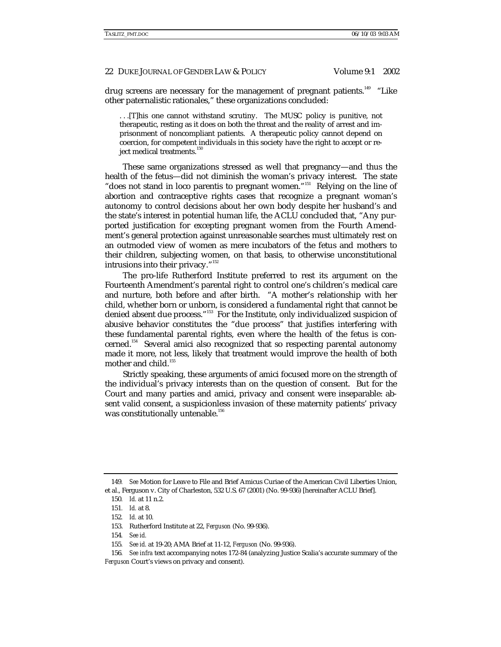drug screens are necessary for the management of pregnant patients.<sup>149</sup> "Like other paternalistic rationales," these organizations concluded:

. . .[T]his one cannot withstand scrutiny. The MUSC policy is punitive, not therapeutic, resting as it does on both the threat and the reality of arrest and imprisonment of noncompliant patients. A therapeutic policy cannot depend on coercion, for competent individuals in this society have the right to accept or reject medical treatments.<sup>150</sup>

These same organizations stressed as well that pregnancy—and thus the health of the fetus—did not diminish the woman's privacy interest. The state "does not stand in loco parentis to pregnant women."<sup>151</sup> Relying on the line of abortion and contraceptive rights cases that recognize a pregnant woman's autonomy to control decisions about her own body despite her husband's and the state's interest in potential human life, the ACLU concluded that, "Any purported justification for excepting pregnant women from the Fourth Amendment's general protection against unreasonable searches must ultimately rest on an outmoded view of women as mere incubators of the fetus and mothers to their children, subjecting women, on that basis, to otherwise unconstitutional intrusions into their privacy."<sup>152</sup>

The pro-life Rutherford Institute preferred to rest its argument on the Fourteenth Amendment's parental right to control one's children's medical care and nurture, both before and after birth. "A mother's relationship with her child, whether born or unborn, is considered a fundamental right that cannot be denied absent due process."<sup>153</sup> For the Institute, only individualized suspicion of abusive behavior constitutes the "due process" that justifies interfering with these fundamental parental rights, even where the health of the fetus is concerned.<sup>154</sup> Several amici also recognized that so respecting parental autonomy made it more, not less, likely that treatment would improve the health of both mother and child.<sup>155</sup>

Strictly speaking, these arguments of amici focused more on the strength of the individual's privacy interests than on the question of consent. But for the Court and many parties and amici, privacy and consent were inseparable: absent valid consent, a suspicionless invasion of these maternity patients' privacy was constitutionally untenable.<sup>156</sup>

<sup>149</sup>*. See* Motion for Leave to File and Brief Amicus Curiae of the American Civil Liberties Union, et al., Ferguson v. City of Charleston, 532 U.S. 67 (2001) (No. 99-936) [hereinafter ACLU Brief].

<sup>150</sup>*. Id.* at 11 n.2.

<sup>151</sup>*. Id.* at 8.

<sup>152</sup>*. Id.* at 10.

<sup>153.</sup> Rutherford Institute at 22, *Ferguson* (No. 99-936).

<sup>154</sup>*. See id.*

<sup>155</sup>*. See id.* at 19-20; AMA Brief at 11-12, *Ferguson* (No. 99-936).

<sup>156</sup>*. See infra* text accompanying notes 172-84 (analyzing Justice Scalia's accurate summary of the *Ferguson* Court's views on privacy and consent).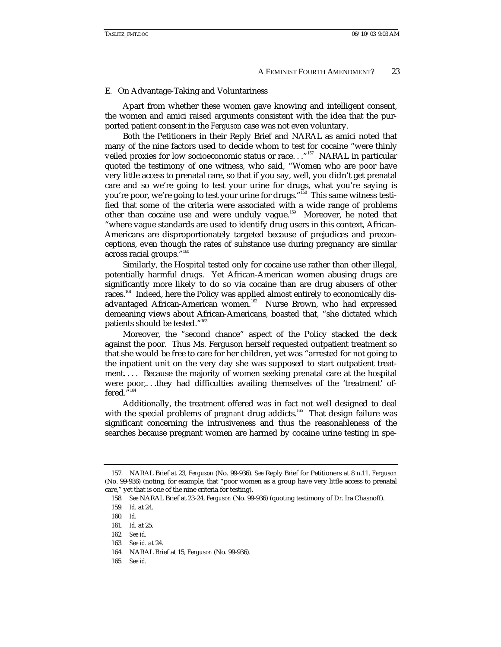#### E. On Advantage-Taking and Voluntariness

Apart from whether these women gave knowing and intelligent consent, the women and amici raised arguments consistent with the idea that the purported patient consent in the *Ferguson* case was not even voluntary.

Both the Petitioners in their Reply Brief and NARAL as amici noted that many of the nine factors used to decide whom to test for cocaine "were thinly veiled proxies for low socioeconomic status or race..."<sup>157</sup> NARAL in particular quoted the testimony of one witness, who said, "Women who are poor have very little access to prenatal care, so that if you say, well, you didn't get prenatal care and so we're going to test your urine for drugs, what you're saying is you're poor, we're going to test your urine for drugs."<sup>158</sup> This same witness testified that some of the criteria were associated with a wide range of problems other than cocaine use and were unduly vague.<sup>159</sup> Moreover, he noted that "where vague standards are used to identify drug users in this context, African-Americans are disproportionately targeted because of prejudices and preconceptions, even though the rates of substance use during pregnancy are similar across racial groups."<sup>160</sup>

Similarly, the Hospital tested only for cocaine use rather than other illegal, potentially harmful drugs. Yet African-American women abusing drugs are significantly more likely to do so via cocaine than are drug abusers of other races.<sup>161</sup> Indeed, here the Policy was applied almost entirely to economically disadvantaged African-American women.<sup>162</sup> Nurse Brown, who had expressed demeaning views about African-Americans, boasted that, "she dictated which patients should be tested."<sup>163</sup>

Moreover, the "second chance" aspect of the Policy stacked the deck against the poor. Thus Ms. Ferguson herself requested outpatient treatment so that she would be free to care for her children, yet was "arrested for not going to the inpatient unit on the very day she was supposed to start outpatient treatment. . . . Because the majority of women seeking prenatal care at the hospital were poor,. . .they had difficulties availing themselves of the 'treatment' offered. $\overline{1,004}$ 

Additionally, the treatment offered was in fact not well designed to deal with the special problems of *pregnant* drug addicts.<sup>165</sup> That design failure was significant concerning the intrusiveness and thus the reasonableness of the searches because pregnant women are harmed by cocaine urine testing in spe-

<sup>157.</sup> NARAL Brief at 23, *Ferguson* (No. 99-936). *See* Reply Brief for Petitioners at 8 n.11, *Ferguson* (No. 99-936) (noting, for example, that "poor women as a group have very little access to prenatal care," yet that is one of the nine criteria for testing).

<sup>158</sup>*. See* NARAL Brief at 23-24, *Ferguson* (No. 99-936) (quoting testimony of Dr. Ira Chasnoff).

<sup>159</sup>*. Id.* at 24.

<sup>160</sup>*. Id.*

<sup>161</sup>*. Id.* at 25.

<sup>162</sup>*. See id.*

<sup>163</sup>*. See id.* at 24.

<sup>164.</sup> NARAL Brief at 15, *Ferguson* (No. 99-936).

<sup>165</sup>*. See id.*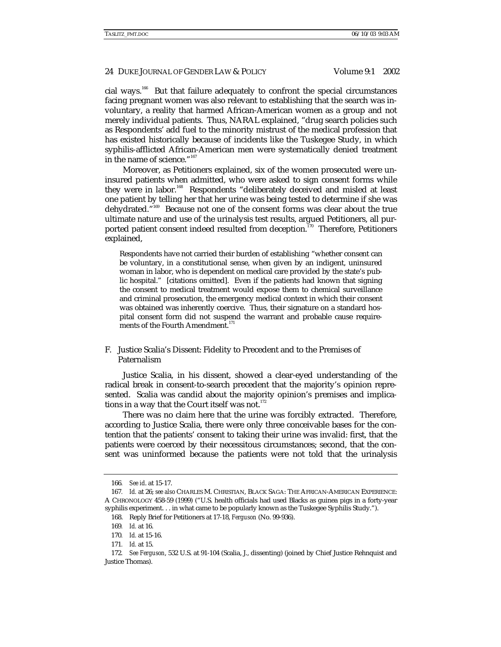cial ways.<sup>166</sup> But that failure adequately to confront the special circumstances facing pregnant women was also relevant to establishing that the search was involuntary, a reality that harmed African-American women as a group and not merely individual patients. Thus, NARAL explained, "drug search policies such as Respondents' add fuel to the minority mistrust of the medical profession that has existed historically because of incidents like the Tuskegee Study, in which syphilis-afflicted African-American men were systematically denied treatment in the name of science."<sup>167</sup>

Moreover, as Petitioners explained, six of the women prosecuted were uninsured patients when admitted, who were asked to sign consent forms while they were in labor.<sup>168</sup> Respondents "deliberately deceived and misled at least one patient by telling her that her urine was being tested to determine if she was dehydrated."<sup>169</sup> Because not one of the consent forms was clear about the true ultimate nature and use of the urinalysis test results, argued Petitioners, all purported patient consent indeed resulted from deception.<sup>170</sup> Therefore, Petitioners explained,

Respondents have not carried their burden of establishing "whether consent can be voluntary, in a constitutional sense, when given by an indigent, uninsured woman in labor, who is dependent on medical care provided by the state's public hospital." [citations omitted]. Even if the patients had known that signing the consent to medical treatment would expose them to chemical surveillance and criminal prosecution, the emergency medical context in which their consent was obtained was inherently coercive. Thus, their signature on a standard hospital consent form did not suspend the warrant and probable cause requirements of the Fourth Amendment.<sup>171</sup>

F. Justice Scalia's Dissent: Fidelity to Precedent and to the Premises of Paternalism

Justice Scalia, in his dissent, showed a clear-eyed understanding of the radical break in consent-to-search precedent that the majority's opinion represented. Scalia was candid about the majority opinion's premises and implications in a way that the Court itself was not. $172$ 

There was no claim here that the urine was forcibly extracted. Therefore, according to Justice Scalia, there were only three conceivable bases for the contention that the patients' consent to taking their urine was invalid: first, that the patients were coerced by their necessitous circumstances; second, that the consent was uninformed because the patients were not told that the urinalysis

<sup>166</sup>*. See id*. at 15-17.

<sup>167</sup>*. Id.* at 26; *see also* CHARLES M. CHRISTIAN, BLACK SAGA: THE AFRICAN-AMERICAN EXPERIENCE: A CHRONOLOGY 458-59 (1999) ("U.S. health officials had used Blacks as guinea pigs in a forty-year syphilis experiment. . . in what came to be popularly known as the Tuskegee Syphilis Study.").

<sup>168.</sup> Reply Brief for Petitioners at 17-18, *Ferguson* (No. 99-936).

<sup>169</sup>*. Id.* at 16.

<sup>170</sup>*. Id.* at 15-16.

<sup>171</sup>*. Id.* at 15.

<sup>172</sup>*. See Ferguson*, 532 U.S. at 91-104 (Scalia, J., dissenting) (joined by Chief Justice Rehnquist and Justice Thomas).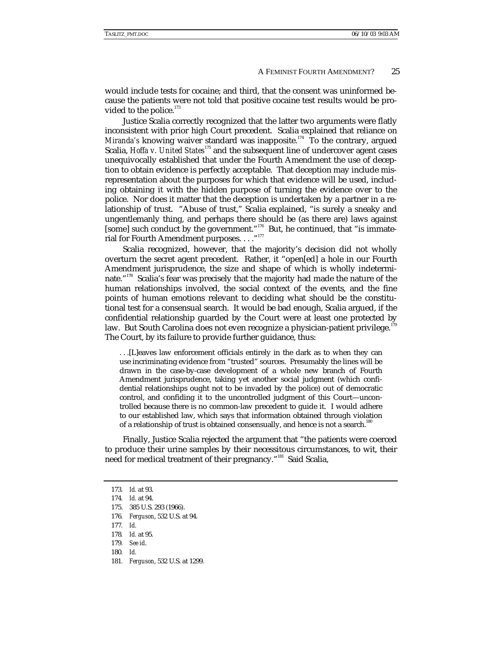would include tests for cocaine; and third, that the consent was uninformed because the patients were not told that positive cocaine test results would be provided to the police. $173$ 

Justice Scalia correctly recognized that the latter two arguments were flatly inconsistent with prior high Court precedent. Scalia explained that reliance on *Miranda's* knowing waiver standard was inapposite.<sup>174</sup> To the contrary, argued Scalia, *Hoffa v. United States<sup>175</sup>* and the subsequent line of undercover agent cases unequivocally established that under the Fourth Amendment the use of deception to obtain evidence is perfectly acceptable. That deception may include misrepresentation about the purposes for which that evidence will be used, including obtaining it with the hidden purpose of turning the evidence over to the police. Nor does it matter that the deception is undertaken by a partner in a relationship of trust. "Abuse of trust," Scalia explained, "is surely a sneaky and ungentlemanly thing, and perhaps there should be (as there are) laws against [some] such conduct by the government."<sup>176</sup> But, he continued, that "is immaterial for Fourth Amendment purposes. . . ."177

Scalia recognized, however, that the majority's decision did not wholly overturn the secret agent precedent. Rather, it "open[ed] a hole in our Fourth Amendment jurisprudence, the size and shape of which is wholly indeterminate."<sup>178</sup> Scalia's fear was precisely that the majority had made the nature of the human relationships involved, the social context of the events, and the fine points of human emotions relevant to deciding what should be the constitutional test for a consensual search. It would be bad enough, Scalia argued, if the confidential relationship guarded by the Court were at least one protected by law. But South Carolina does not even recognize a physician-patient privilege.<sup>179</sup> The Court, by its failure to provide further guidance, thus:

. . .[L]eaves law enforcement officials entirely in the dark as to when they can use incriminating evidence from "trusted" sources. Presumably the lines will be drawn in the case-by-case development of a whole new branch of Fourth Amendment jurisprudence, taking yet another social judgment (which confidential relationships ought not to be invaded by the police) out of democratic control, and confiding it to the uncontrolled judgment of this Court—uncontrolled because there is no common-law precedent to guide it. I would adhere to our established law, which says that information obtained through violation of a relationship of trust is obtained consensually, and hence is not a search.<sup>180</sup>

Finally, Justice Scalia rejected the argument that "the patients were coerced to produce their urine samples by their necessitous circumstances, to wit, their need for medical treatment of their pregnancy."<sup>181</sup> Said Scalia,

178*. Id.* at 95*.*

- 180*. Id.*
- 181*. Ferguson*, 532 U.S. at 1299*.*

<sup>173</sup>*. Id.* at 93.

<sup>174</sup>*. Id.* at 94.

<sup>175. 385</sup> U.S. 293 (1966).

<sup>176</sup>*. Ferguson*, 532 U.S. at 94.

<sup>177</sup>*. Id.*

<sup>179</sup>*. See id*.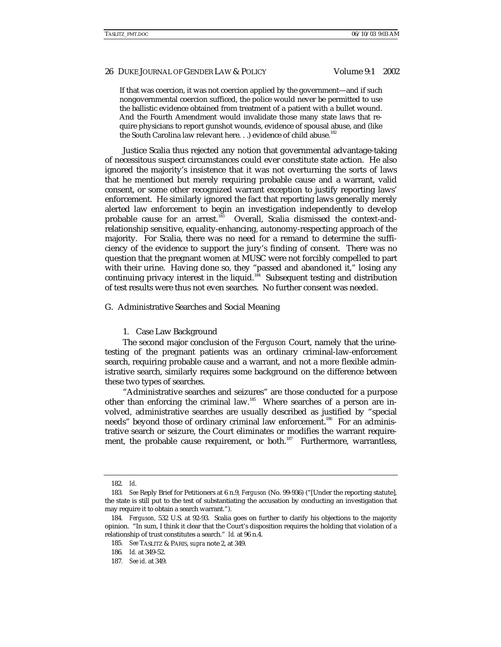#### 26 DUKE JOURNAL OF GENDER LAW & POLICY Volume 9:1 2002

If that was coercion, it was not coercion applied by the government—and if such nongovernmental coercion sufficed, the police would never be permitted to use the ballistic evidence obtained from treatment of a patient with a bullet wound. And the Fourth Amendment would invalidate those many state laws that require physicians to report gunshot wounds, evidence of spousal abuse, and (like the South Carolina law relevant here...) evidence of child abuse.<sup>18</sup>

Justice Scalia thus rejected any notion that governmental advantage-taking of necessitous suspect circumstances could ever constitute state action. He also ignored the majority's insistence that it was not overturning the sorts of laws that he mentioned but merely requiring probable cause and a warrant, valid consent, or some other recognized warrant exception to justify reporting laws' enforcement. He similarly ignored the fact that reporting laws generally merely alerted law enforcement to begin an investigation independently to develop<br>probable cause for an arrest.<sup>183</sup> Overall, Scalia dismissed the context-and-Overall, Scalia dismissed the context-andrelationship sensitive, equality-enhancing, autonomy-respecting approach of the majority. For Scalia, there was no need for a remand to determine the sufficiency of the evidence to support the jury's finding of consent. There was no question that the pregnant women at MUSC were not forcibly compelled to part with their urine. Having done so, they "passed and abandoned it," losing any continuing privacy interest in the liquid.<sup>184</sup> Subsequent testing and distribution of test results were thus not even searches. No further consent was needed.

#### G. Administrative Searches and Social Meaning

#### 1. Case Law Background

The second major conclusion of the *Ferguson* Court, namely that the urinetesting of the pregnant patients was an ordinary criminal-law-enforcement search, requiring probable cause and a warrant, and not a more flexible administrative search, similarly requires some background on the difference between these two types of searches.

"Administrative searches and seizures" are those conducted for a purpose other than enforcing the criminal law.<sup>185</sup> Where searches of a person are involved, administrative searches are usually described as justified by "special needs" beyond those of ordinary criminal law enforcement.<sup>186</sup> For an administrative search or seizure, the Court eliminates or modifies the warrant requirement, the probable cause requirement, or both.<sup>187</sup> Furthermore, warrantless,

<sup>182</sup>*. Id*.

<sup>183</sup>*. See* Reply Brief for Petitioners at 6 n.9, *Ferguson* (No. 99-936) ("[Under the reporting statute], the state is still put to the test of substantiating the accusation by conducting an investigation that may require it to obtain a search warrant.").

<sup>184</sup>*. Ferguson,* 532 U.S. at 92-93. Scalia goes on further to clarify his objections to the majority opinion. "In sum, I think it clear that the Court's disposition requires the holding that violation of a relationship of trust constitutes a search." *Id.* at 96 n.4.

<sup>185</sup>*. See* TASLITZ & PARIS, *supra* note 2, at 349.

<sup>186</sup>*. Id.* at 349-52.

<sup>187</sup>*. See id.* at 349.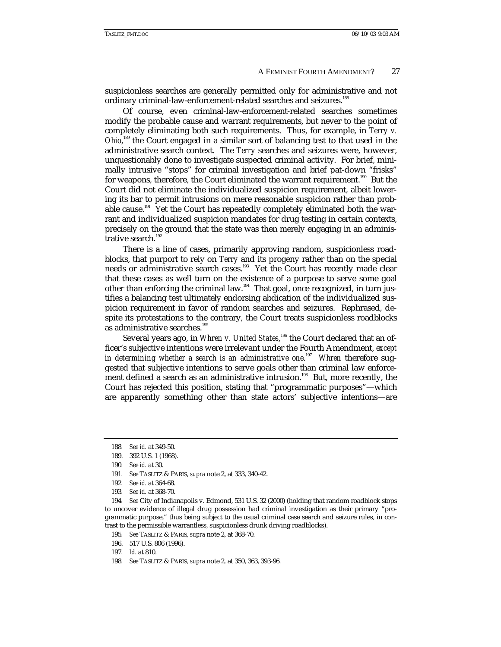suspicionless searches are generally permitted only for administrative and not ordinary criminal-law-enforcement-related searches and seizures.<sup>188</sup>

Of course, even criminal-law-enforcement-related searches sometimes modify the probable cause and warrant requirements, but never to the point of completely eliminating both such requirements. Thus, for example, in *Terry v. Ohio*, <sup>189</sup> the Court engaged in a similar sort of balancing test to that used in the administrative search context. The *Terry* searches and seizures were, however, unquestionably done to investigate suspected criminal activity. For brief, minimally intrusive "stops" for criminal investigation and brief pat-down "frisks" for weapons, therefore, the Court eliminated the warrant requirement.<sup>190</sup> But the Court did not eliminate the individualized suspicion requirement, albeit lowering its bar to permit intrusions on mere reasonable suspicion rather than probable cause.<sup>191</sup> Yet the Court has repeatedly completely eliminated both the warrant and individualized suspicion mandates for drug testing in certain contexts, precisely on the ground that the state was then merely engaging in an administrative search.<sup>192</sup>

There is a line of cases, primarily approving random, suspicionless roadblocks, that purport to rely on *Terry* and its progeny rather than on the special needs or administrative search cases.<sup>193</sup> Yet the Court has recently made clear that these cases as well turn on the existence of a purpose to serve some goal other than enforcing the criminal law. $194$  That goal, once recognized, in turn justifies a balancing test ultimately endorsing abdication of the individualized suspicion requirement in favor of random searches and seizures. Rephrased, despite its protestations to the contrary, the Court treats suspicionless roadblocks as administrative searches.<sup>195</sup>

Several years ago, in *Whren v. United States*,'' the Court declared that an officer's subjective intentions were irrelevant under the Fourth Amendment, *except* in determining whether a search is an administrative one.<sup>197</sup> Whren therefore suggested that subjective intentions to serve goals other than criminal law enforcement defined a search as an administrative intrusion.<sup>198</sup> But, more recently, the Court has rejected this position, stating that "programmatic purposes"—which are apparently something other than state actors' subjective intentions—are

<sup>188</sup>*. See id.* at 349-50.

<sup>189. 392</sup> U.S. 1 (1968).

<sup>190</sup>*. See id.* at 30.

<sup>191</sup>*. See* TASLITZ & PARIS, *supra* note 2, at 333, 340-42.

<sup>192</sup>*. See id.* at 364-68.

<sup>193</sup>*. See id.* at 368-70.

<sup>194</sup>*. See* City of Indianapolis v. Edmond, 531 U.S. 32 (2000) (holding that random roadblock stops to uncover evidence of illegal drug possession had criminal investigation as their primary "programmatic purpose," thus being subject to the usual criminal case search and seizure rules, in contrast to the permissible warrantless, suspicionless drunk driving roadblocks).

<sup>195</sup>*. See* TASLITZ & PARIS*, supra* note 2, at 368-70.

<sup>196. 517</sup> U.S. 806 (1996).

<sup>197</sup>*. Id*. at 810.

<sup>198</sup>*. See* TASLITZ & PARIS*, supra* note 2*,* at 350, 363, 393-96*.*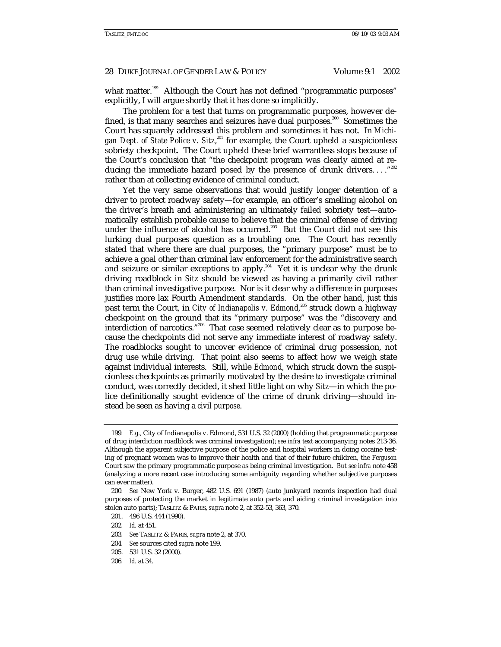what matter.<sup>199</sup> Although the Court has not defined "programmatic purposes" explicitly, I will argue shortly that it has done so implicitly.

The problem for a test that turns on programmatic purposes, however defined, is that many searches and seizures have dual purposes.<sup>200</sup> Sometimes the Court has squarely addressed this problem and sometimes it has not. In *Michigan Dept. of State Police v. Sitz*, <sup>201</sup> for example, the Court upheld a suspicionless sobriety checkpoint. The Court upheld these brief warrantless stops because of the Court's conclusion that "the checkpoint program was clearly aimed at reducing the immediate hazard posed by the presence of drunk drivers...."<sup>202</sup> rather than at collecting evidence of criminal conduct.

Yet the very same observations that would justify longer detention of a driver to protect roadway safety—for example, an officer's smelling alcohol on the driver's breath and administering an ultimately failed sobriety test—automatically establish probable cause to believe that the criminal offense of driving under the influence of alcohol has occurred.<sup>203</sup> But the Court did not see this lurking dual purposes question as a troubling one. The Court has recently stated that where there are dual purposes, the "primary purpose" must be to achieve a goal other than criminal law enforcement for the administrative search and seizure or similar exceptions to apply.<sup>204</sup> Yet it is unclear why the drunk driving roadblock in *Sitz* should be viewed as having a primarily civil rather than criminal investigative purpose. Nor is it clear why a difference in purposes justifies more lax Fourth Amendment standards. On the other hand, just this past term the Court, in *City of Indianapolis v. Edmond,<sup>205</sup> s*truck down a highway checkpoint on the ground that its "primary purpose" was the "discovery and interdiction of narcotics."<sup>206</sup> That case seemed relatively clear as to purpose because the checkpoints did not serve any immediate interest of roadway safety. The roadblocks sought to uncover evidence of criminal drug possession, not drug use while driving. That point also seems to affect how we weigh state against individual interests. Still, while *Edmond*, which struck down the suspicionless checkpoints as primarily motivated by the desire to investigate criminal conduct, was correctly decided, it shed little light on why *Sitz*—in which the police definitionally sought evidence of the crime of drunk driving—should instead be seen as having a *civil purpose*.

<sup>199</sup>*. E.g.*, City of Indianapolis v. Edmond, 531 U.S. 32 (2000) (holding that programmatic purpose of drug interdiction roadblock was criminal investigation); *see infra* text accompanying notes 213-36. Although the apparent subjective purpose of the police and hospital workers in doing cocaine testing of pregnant women was to improve their health and that of their future children, the *Ferguson* Court saw the primary programmatic purpose as being criminal investigation. *But see infra* note 458 (analyzing a more recent case introducing some ambiguity regarding whether subjective purposes can ever matter).

<sup>200</sup>*. See* New York v. Burger, 482 U.S. 691 (1987) (auto junkyard records inspection had dual purposes of protecting the market in legitimate auto parts and aiding criminal investigation into stolen auto parts); TASLITZ & PARIS, *supra* note 2, at 352-53, 363, 370.

<sup>201. 496</sup> U.S. 444 (1990).

<sup>202</sup>*. Id.* at 451.

<sup>203</sup>*. See* TASLITZ & PARIS, *supra* note 2, at 370.

<sup>204</sup>*. See* sources cited *supra* note 199.

<sup>205. 531</sup> U.S. 32 (2000).

<sup>206</sup>*. Id.* at 34.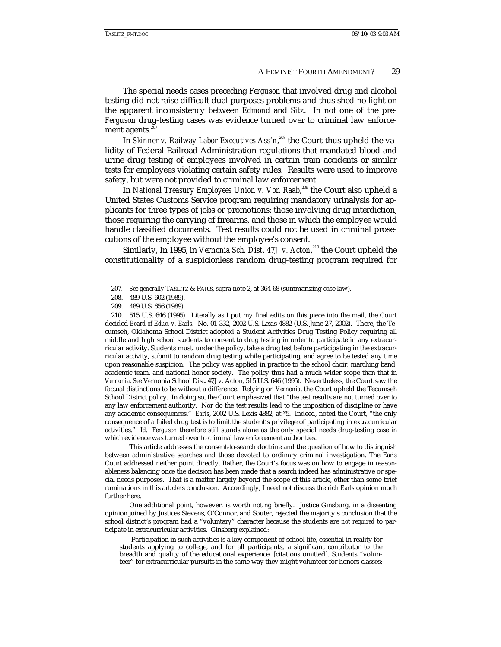The special needs cases preceding *Ferguson* that involved drug and alcohol testing did not raise difficult dual purposes problems and thus shed no light on the apparent inconsistency between *Edmond* and *Sitz*. In not one of the pre-*Ferguson* drug-testing cases was evidence turned over to criminal law enforcement agents. $\frac{3}{2}$ 

In *Skinner v. Railway Labor Executives Ass'n*, <sup>208</sup> the Court thus upheld the validity of Federal Railroad Administration regulations that mandated blood and urine drug testing of employees involved in certain train accidents or similar tests for employees violating certain safety rules. Results were used to improve safety, but were not provided to criminal law enforcement.

In *National Treasury Employees Union v. Von Raab*, $^{209}$  the Court also upheld a United States Customs Service program requiring mandatory urinalysis for applicants for three types of jobs or promotions: those involving drug interdiction, those requiring the carrying of firearms, and those in which the employee would handle classified documents. Test results could not be used in criminal prosecutions of the employee without the employee's consent.

Similarly, In 1995, in *Vernonia Sch. Dist. 47J v. Acton*, <sup>210</sup> the Court upheld the constitutionality of a suspicionless random drug-testing program required for

This article addresses the consent-to-search doctrine and the question of how to distinguish between administrative searches and those devoted to ordinary criminal investigation. The *Earls* Court addressed neither point directly. Rather, the Court's focus was on how to engage in reasonableness balancing once the decision has been made that a search indeed has administrative or special needs purposes. That is a matter largely beyond the scope of this article, other than some brief ruminations in this article's conclusion. Accordingly, I need not discuss the rich *Earls* opinion much further here.

One additional point, however, is worth noting briefly. Justice Ginsburg, in a dissenting opinion joined by Justices Stevens, O'Connor, and Souter, rejected the majority's conclusion that the school district's program had a "voluntary" character because the students are *not required* to participate in extracurricular activities. Ginsberg explained:

Participation in such activities is a key component of school life, essential in reality for students applying to college, and for all participants, a significant contributor to the breadth and quality of the educational experience. [citations omitted]. Students "volunteer" for extracurricular pursuits in the same way they might volunteer for honors classes:

<sup>207</sup>*. See generally* TASLITZ & PARIS*, supra* note 2, at 364-68 (summarizing case law).

<sup>208. 489</sup> U.S. 602 (1989).

<sup>209. 489</sup> U.S. 656 (1989).

<sup>210. 515</sup> U.S. 646 (1995). Literally as I put my final edits on this piece into the mail, the Court decided *Board of Educ. v. Earls*. No. 01-332, 2002 U.S. Lexis 4882 (U.S. June 27, 2002). There, the Tecumseh, Oklahoma School District adopted a Student Activities Drug Testing Policy requiring all middle and high school students to consent to drug testing in order to participate in any extracurricular activity. Students must, under the policy, take a drug test before participating in the extracurricular activity, submit to random drug testing while participating, and agree to be tested any time upon reasonable suspicion. The policy was applied in practice to the school choir, marching band, academic team, and national honor society. The policy thus had a much wider scope than that in *Vernonia*. *See* Vernonia School Dist. 47J v. Acton, 515 U.S. 646 (1995). Nevertheless, the Court saw the factual distinctions to be without a difference. Relying on *Vernonia*, the Court upheld the Tecumseh School District policy. In doing so, the Court emphasized that "the test results are not turned over to any law enforcement authority. Nor do the test results lead to the imposition of discipline or have any academic consequences." *Earls*, 2002 U.S. Lexis 4882, at \*5. Indeed, noted the Court, "the only consequence of a failed drug test is to limit the student's privilege of participating in extracurricular activities." *Id. Ferguson* therefore still stands alone as the only special needs drug-testing case in which evidence was turned over to criminal law enforcement authorities.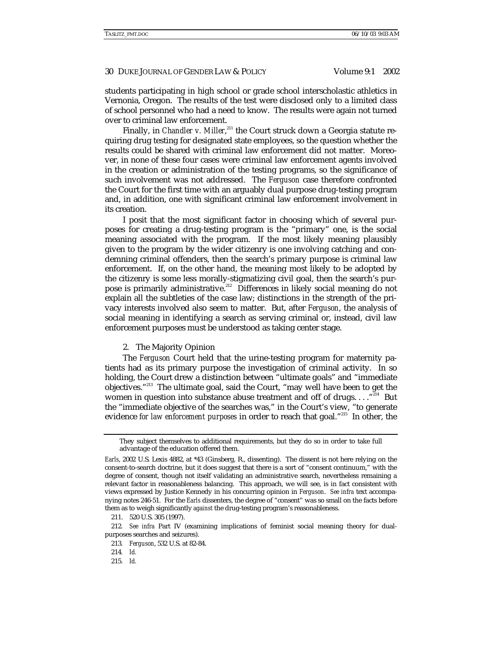students participating in high school or grade school interscholastic athletics in Vernonia, Oregon. The results of the test were disclosed only to a limited class of school personnel who had a need to know. The results were again not turned over to criminal law enforcement.

Finally, in *Chandler v. Miller*, $^{\text{211}}$  the Court struck down a Georgia statute requiring drug testing for designated state employees, so the question whether the results could be shared with criminal law enforcement did not matter. Moreover, in none of these four cases were criminal law enforcement agents involved in the creation or administration of the testing programs, so the significance of such involvement was not addressed. The *Ferguson* case therefore confronted the Court for the first time with an arguably dual purpose drug-testing program and, in addition, one with significant criminal law enforcement involvement in its creation.

I posit that the most significant factor in choosing which of several purposes for creating a drug-testing program is the "primary" one, is the social meaning associated with the program. If the most likely meaning plausibly given to the program by the wider citizenry is one involving catching and condemning criminal offenders, then the search's primary purpose is criminal law enforcement. If, on the other hand, the meaning most likely to be adopted by the citizenry is some less morally-stigmatizing civil goal, then the search's purpose is primarily administrative.<sup>212</sup> Differences in likely social meaning do not explain all the subtleties of the case law; distinctions in the strength of the privacy interests involved also seem to matter. But, after *Ferguson*, the analysis of social meaning in identifying a search as serving criminal or, instead, civil law enforcement purposes must be understood as taking center stage.

### 2. The Majority Opinion

The *Ferguson* Court held that the urine-testing program for maternity patients had as its primary purpose the investigation of criminal activity. In so holding, the Court drew a distinction between "ultimate goals" and "immediate objectives."<sup>213</sup> The ultimate goal, said the Court, "may well have been to get the women in question into substance abuse treatment and off of drugs.  $\dots$ <sup>214</sup> But the "immediate objective of the searches was," in the Court's view, "to generate evidence for law enforcement purposes in order to reach that goal."<sup>215</sup> In other, the

They subject themselves to additional requirements, but they do so in order to take full advantage of the education offered them.

*Earls*, 2002 U.S. Lexis 4882, at \*43 (Ginsberg, R., dissenting). The dissent is not here relying on the consent-to-search doctrine, but it does suggest that there is a sort of "consent continuum," with the degree of consent, though not itself validating an administrative search, nevertheless remaining a relevant factor in reasonableness balancing. This approach, we will see, is in fact consistent with views expressed by Justice Kennedy in his concurring opinion in *Ferguson*. *See infra* text accompanying notes 246-51. For the *Earls* dissenters, the degree of "consent" was so small on the facts before them as to weigh significantly *against* the drug-testing program's reasonableness.

<sup>211. 520</sup> U.S. 305 (1997).

<sup>212</sup>*. See infra* Part IV (examining implications of feminist social meaning theory for dualpurposes searches and seizures).

<sup>213</sup>*. Ferguson*, 532 U.S. at 82-84.

<sup>214</sup>*. Id.*

<sup>215</sup>*. Id.*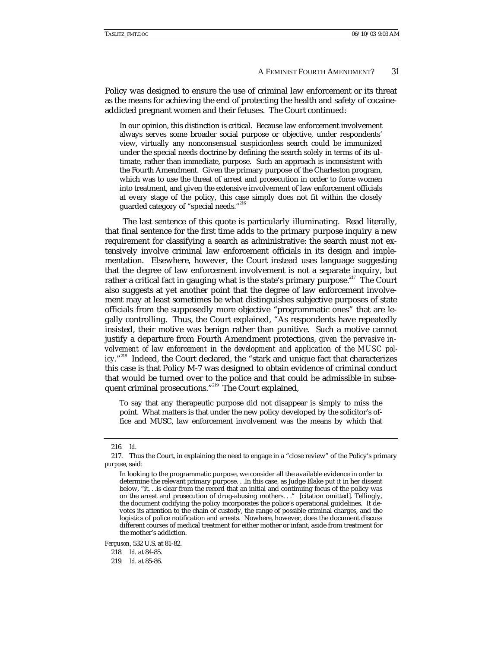Policy was designed to ensure the use of criminal law enforcement or its threat as the means for achieving the end of protecting the health and safety of cocaineaddicted pregnant women and their fetuses. The Court continued:

In our opinion, this distinction is critical. Because law enforcement involvement always serves some broader social purpose or objective, under respondents' view, virtually any nonconsensual suspicionless search could be immunized under the special needs doctrine by defining the search solely in terms of its ultimate, rather than immediate, purpose. Such an approach is inconsistent with the Fourth Amendment. Given the primary purpose of the Charleston program, which was to use the threat of arrest and prosecution in order to force women into treatment, and given the extensive involvement of law enforcement officials at every stage of the policy, this case simply does not fit within the closely guarded category of "special needs."<sup>216</sup>

The last sentence of this quote is particularly illuminating. Read literally, that final sentence for the first time adds to the primary purpose inquiry a new requirement for classifying a search as administrative: the search must not extensively involve criminal law enforcement officials in its design and implementation. Elsewhere, however, the Court instead uses language suggesting that the degree of law enforcement involvement is not a separate inquiry, but rather a critical fact in gauging what is the state's primary purpose.<sup>217</sup> The Court also suggests at yet another point that the degree of law enforcement involvement may at least sometimes be what distinguishes subjective purposes of state officials from the supposedly more objective "programmatic ones" that are legally controlling. Thus, the Court explained, "As respondents have repeatedly insisted, their motive was benign rather than punitive. Such a motive cannot justify a departure from Fourth Amendment protections, *given the pervasive involvement of law enforcement in the development and application of the MUSC policy.*" <sup>218</sup> Indeed, the Court declared, the "stark and unique fact that characterizes this case is that Policy M-7 was designed to obtain evidence of criminal conduct that would be turned over to the police and that could be admissible in subsequent criminal prosecutions."<sup>219</sup> The Court explained,

To say that any therapeutic purpose did not disappear is simply to miss the point. What matters is that under the new policy developed by the solicitor's office and MUSC, law enforcement involvement was the means by which that

<sup>216</sup>*. Id*.

<sup>217.</sup> Thus the Court, in explaining the need to engage in a "close review" of the Policy's primary *purpose*, said:

In looking to the programmatic purpose, we consider all the available evidence in order to determine the relevant primary purpose. . .In this case, as Judge Blake put it in her dissent below, "it. . .is clear from the record that an initial and continuing focus of the policy was on the arrest and prosecution of drug-abusing mothers. . ." [citation omitted]. Tellingly, the document codifying the policy incorporates the police's operational guidelines. It devotes its attention to the chain of custody, the range of possible criminal charges, and the logistics of police notification and arrests. Nowhere, however, does the document discuss different courses of medical treatment for either mother or infant, aside from treatment for the mother's addiction.

*Ferguson*, 532 U.S. at 81-82.

<sup>218</sup>*. Id.* at 84-85.

<sup>219</sup>*. Id*. at 85-86.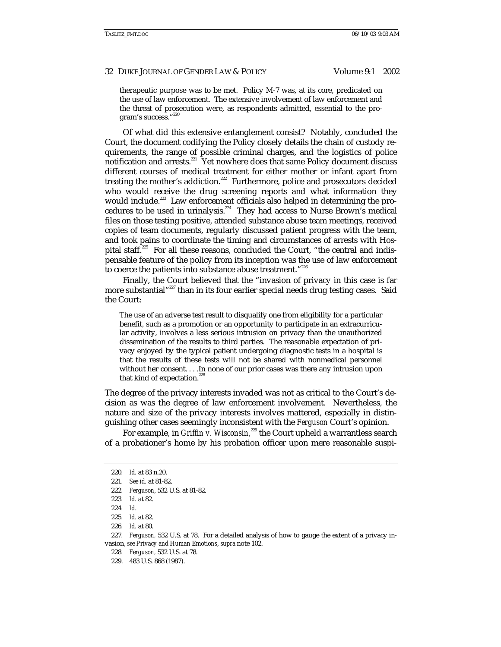therapeutic purpose was to be met. Policy M-7 was, at its core, predicated on the use of law enforcement. The extensive involvement of law enforcement and the threat of prosecution were, as respondents admitted, essential to the program's success."<sup>220</sup>

Of what did this extensive entanglement consist? Notably, concluded the Court, the document codifying the Policy closely details the chain of custody requirements, the range of possible criminal charges, and the logistics of police notification and arrests.<sup>221</sup> Yet nowhere does that same Policy document discuss different courses of medical treatment for either mother or infant apart from treating the mother's addiction.<sup>222</sup> Furthermore, police and prosecutors decided who would receive the drug screening reports and what information they would include.<sup>223</sup> Law enforcement officials also helped in determining the procedures to be used in urinalysis.<sup>224</sup> They had access to Nurse Brown's medical files on those testing positive, attended substance abuse team meetings, received copies of team documents, regularly discussed patient progress with the team, and took pains to coordinate the timing and circumstances of arrests with Hospital staff.<sup>225</sup> For all these reasons, concluded the Court, "the central and indispensable feature of the policy from its inception was the use of law enforcement to coerce the patients into substance abuse treatment."<sup>226</sup>

Finally, the Court believed that the "invasion of privacy in this case is far more substantial"<sup>227</sup> than in its four earlier special needs drug testing cases. Said the Court:

The use of an adverse test result to disqualify one from eligibility for a particular benefit, such as a promotion or an opportunity to participate in an extracurricular activity, involves a less serious intrusion on privacy than the unauthorized dissemination of the results to third parties. The reasonable expectation of privacy enjoyed by the typical patient undergoing diagnostic tests in a hospital is that the results of these tests will not be shared with nonmedical personnel without her consent. . . .In none of our prior cases was there any intrusion upon that kind of expectation.<sup>228</sup>

The degree of the privacy interests invaded was not as critical to the Court's decision as was the degree of law enforcement involvement. Nevertheless, the nature and size of the privacy interests involves mattered, especially in distinguishing other cases seemingly inconsistent with the *Ferguson* Court's opinion.

For example, in *Griffin v. Wisconsin*, <sup>229</sup> the Court upheld a warrantless search of a probationer's home by his probation officer upon mere reasonable suspi-

227*. Ferguson,* 532 U.S. at 78. For a detailed analysis of how to gauge the extent of a privacy invasion, *see Privacy and Human Emotions*, *supra* note 102.

<sup>220</sup>*. Id.* at 83 n.20.

<sup>221</sup>*. See id.* at 81-82.

<sup>222</sup>*. Ferguson*, 532 U.S. at 81-82.

<sup>223</sup>*. Id.* at 82.

<sup>224</sup>*. Id*.

<sup>225</sup>*. Id.* at 82.

<sup>226</sup>*. Id.* at 80.

<sup>228</sup>*. Ferguson,* 532 U.S. at 78.

<sup>229. 483</sup> U.S. 868 (1987).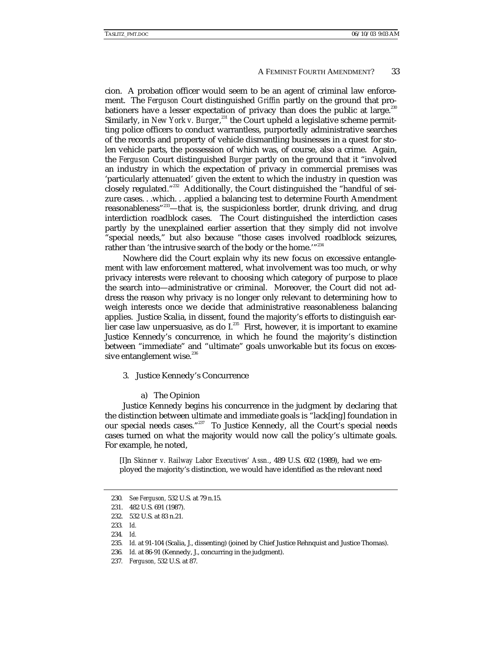cion. A probation officer would seem to be an agent of criminal law enforcement. The *Ferguson* Court distinguished *Griffin* partly on the ground that probationers have a lesser expectation of privacy than does the public at large.<sup>230</sup> Similarly, in *New York v. Burger*,"<sup>31</sup> the Court upheld a legislative scheme permitting police officers to conduct warrantless, purportedly administrative searches of the records and property of vehicle dismantling businesses in a quest for stolen vehicle parts, the possession of which was, of course, also a crime. Again, the *Ferguson* Court distinguished *Burger* partly on the ground that it "involved an industry in which the expectation of privacy in commercial premises was 'particularly attenuated' given the extent to which the industry in question was closely regulated."<sup>232</sup> Additionally, the Court distinguished the "handful of seizure cases. . .which. . .applied a balancing test to determine Fourth Amendment reasonableness"<sup>233</sup>-that is, the suspicionless border, drunk driving, and drug interdiction roadblock cases. The Court distinguished the interdiction cases partly by the unexplained earlier assertion that they simply did not involve "special needs," but also because "those cases involved roadblock seizures, rather than 'the intrusive search of the body or the home.'"<sup>234</sup>

Nowhere did the Court explain why its new focus on excessive entanglement with law enforcement mattered, what involvement was too much, or why privacy interests were relevant to choosing which category of purpose to place the search into—administrative or criminal. Moreover, the Court did not address the reason why privacy is no longer only relevant to determining how to weigh interests once we decide that administrative reasonableness balancing applies. Justice Scalia, in dissent, found the majority's efforts to distinguish earlier case law unpersuasive, as do  $I<sup>235</sup>$  First, however, it is important to examine Justice Kennedy's concurrence, in which he found the majority's distinction between "immediate" and "ultimate" goals unworkable but its focus on excessive entanglement wise.<sup>236</sup>

3. Justice Kennedy's Concurrence

#### a) The Opinion

Justice Kennedy begins his concurrence in the judgment by declaring that the distinction between ultimate and immediate goals is "lack[ing] foundation in our special needs cases."<sup>237</sup> To Justice Kennedy, all the Court's special needs cases turned on what the majority would now call the policy's ultimate goals. For example, he noted,

[I]n *Skinner v. Railway Labor Executives' Assn.*, 489 U.S. 602 (1989), had we employed the majority's distinction, we would have identified as the relevant need

<sup>230</sup>*. See Ferguson,* 532 U.S. at 79 n.15.

<sup>231. 482</sup> U.S. 691 (1987).

<sup>232. 532</sup> U.S. at 83 n.21.

<sup>233</sup>*. Id.*

<sup>234</sup>*. Id.*

<sup>235</sup>*. Id.* at 91-104 (Scalia, J., dissenting) (joined by Chief Justice Rehnquist and Justice Thomas).

<sup>236</sup>*. Id.* at 86-91 (Kennedy, J., concurring in the judgment).

<sup>237</sup>*. Ferguson,* 532 U.S. at 87.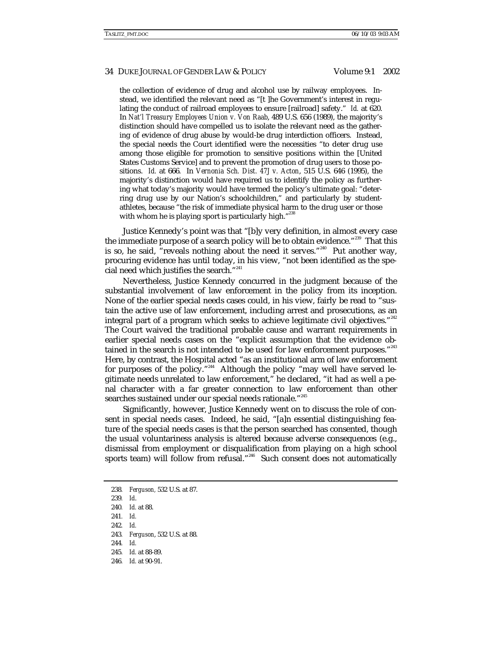the collection of evidence of drug and alcohol use by railway employees. Instead, we identified the relevant need as "[t ]he Government's interest in regulating the conduct of railroad employees to ensure [railroad] safety." *Id.* at 620. In *Nat'l Treasury Employees Union v. Von Raab*, 489 U.S. 656 (1989), the majority's distinction should have compelled us to isolate the relevant need as the gathering of evidence of drug abuse by would-be drug interdiction officers. Instead, the special needs the Court identified were the necessities "to deter drug use among those eligible for promotion to sensitive positions within the [United States Customs Service] and to prevent the promotion of drug users to those positions. *Id.* at 666. In *Vernonia Sch. Dist. 47J v. Acton*, 515 U.S. 646 (1995), the majority's distinction would have required us to identify the policy as furthering what today's majority would have termed the policy's ultimate goal: "deterring drug use by our Nation's schoolchildren," and particularly by studentathletes, because "the risk of immediate physical harm to the drug user or those with whom he is playing sport is particularly high."<sup>238</sup>

Justice Kennedy's point was that "[b]y very definition, in almost every case the immediate purpose of a search policy will be to obtain evidence."<sup>239</sup> That this is so, he said, "reveals nothing about the need it serves."<sup>240</sup> Put another way, procuring evidence has until today, in his view, "not been identified as the special need which justifies the search."<sup>241</sup>

Nevertheless, Justice Kennedy concurred in the judgment because of the substantial involvement of law enforcement in the policy from its inception. None of the earlier special needs cases could, in his view, fairly be read to "sustain the active use of law enforcement, including arrest and prosecutions, as an integral part of a program which seeks to achieve legitimate civil objectives."<sup>242</sup> The Court waived the traditional probable cause and warrant requirements in earlier special needs cases on the "explicit assumption that the evidence obtained in the search is not intended to be used for law enforcement purposes."<sup>243</sup> Here, by contrast, the Hospital acted "as an institutional arm of law enforcement for purposes of the policy."<sup>244</sup> Although the policy "may well have served legitimate needs unrelated to law enforcement," he declared, "it had as well a penal character with a far greater connection to law enforcement than other searches sustained under our special needs rationale."<sup>245</sup>

Significantly, however, Justice Kennedy went on to discuss the role of consent in special needs cases. Indeed, he said, "[a]n essential distinguishing feature of the special needs cases is that the person searched has consented, though the usual voluntariness analysis is altered because adverse consequences (e.g., dismissal from employment or disqualification from playing on a high school sports team) will follow from refusal."<sup>246</sup> Such consent does not automatically

- 244*. Id.*
- 245*. Id.* at 88-89.
- 246*. Id.* at 90-91.

<sup>238</sup>*. Ferguson,* 532 U.S. at 87.

<sup>239</sup>*. Id*.

<sup>240</sup>*. Id.* at 88.

<sup>241</sup>*. Id.*

<sup>242</sup>*. Id.*

<sup>243</sup>*. Ferguson*, 532 U.S. at 88.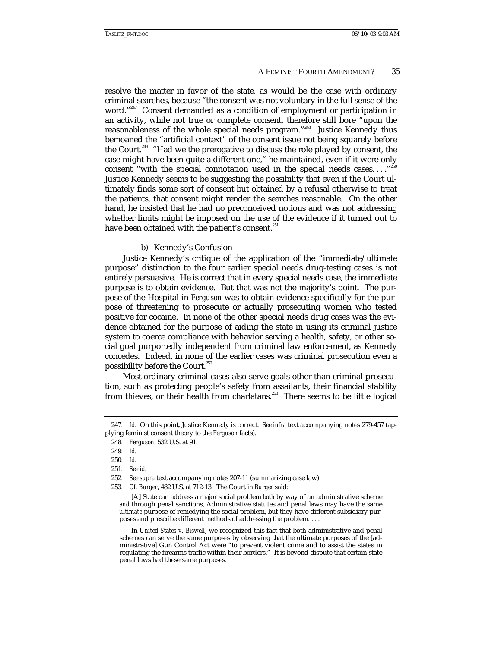resolve the matter in favor of the state, as would be the case with ordinary criminal searches, because "the consent was not voluntary in the full sense of the word."<sup>247</sup> Consent demanded as a condition of employment or participation in an activity, while not true or complete consent, therefore still bore "upon the reasonableness of the whole special needs program."<sup>248</sup> Justice Kennedy thus bemoaned the "artificial context" of the consent issue not being squarely before the Court.<sup>249</sup> "Had we the prerogative to discuss the role played by consent, the case might have been quite a different one," he maintained, even if it were only consent "with the special connotation used in the special needs cases...."<sup>250</sup> Justice Kennedy seems to be suggesting the possibility that even if the Court ultimately finds some sort of consent but obtained by a refusal otherwise to treat the patients, that consent might render the searches reasonable. On the other hand, he insisted that he had no preconceived notions and was not addressing whether limits might be imposed on the use of the evidence if it turned out to have been obtained with the patient's consent.<sup>251</sup>

## b) Kennedy's Confusion

Justice Kennedy's critique of the application of the "immediate/ultimate purpose" distinction to the four earlier special needs drug-testing cases is not entirely persuasive. He is correct that in every special needs case, the immediate purpose is to obtain evidence. But that was not the majority's point. The purpose of the Hospital in *Ferguson* was to obtain evidence specifically for the purpose of threatening to prosecute or actually prosecuting women who tested positive for cocaine. In none of the other special needs drug cases was the evidence obtained for the purpose of aiding the state in using its criminal justice system to coerce compliance with behavior serving a health, safety, or other social goal purportedly independent from criminal law enforcement, as Kennedy concedes. Indeed, in none of the earlier cases was criminal prosecution even a possibility before the Court.<sup>252</sup>

Most ordinary criminal cases also serve goals other than criminal prosecution, such as protecting people's safety from assailants, their financial stability from thieves, or their health from charlatans.<sup>253</sup> There seems to be little logical

<sup>247</sup>*. Id.* On this point, Justice Kennedy is correct. *See infra* text accompanying notes 279-457 (applying feminist consent theory to the *Ferguson* facts).

<sup>248</sup>*. Ferguson*, 532 U.S. at 91.

<sup>249</sup>*. Id.*

<sup>250</sup>*. Id.*

<sup>251</sup>*. See id.*

<sup>252</sup>*. See supra* text accompanying notes 207-11 (summarizing case law).

<sup>253</sup>*. Cf. Burger*, 482 U.S. at 712-13. The Court in *Burger* said:

<sup>[</sup>A] State can address a major social problem *both* by way of an administrative scheme *and* through penal sanctions, Administrative statutes and penal laws may have the same *ultimate* purpose of remedying the social problem, but they have different subsidiary purposes and prescribe different methods of addressing the problem. . . .

In *United States v. Biswell*, we recognized this fact that both administrative and penal schemes can serve the same purposes by observing that the ultimate purposes of the [administrative] Gun Control Act were "to prevent violent crime and to assist the states in regulating the firearms traffic within their borders." It is beyond dispute that certain state penal laws had these same purposes.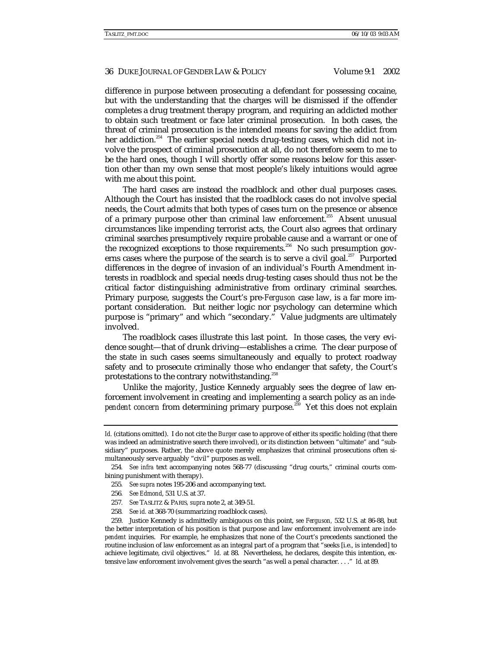difference in purpose between prosecuting a defendant for possessing cocaine, but with the understanding that the charges will be dismissed if the offender completes a drug treatment therapy program, and requiring an addicted mother to obtain such treatment or face later criminal prosecution. In both cases, the threat of criminal prosecution is the intended means for saving the addict from her addiction.<sup>254</sup> The earlier special needs drug-testing cases, which did not involve the prospect of criminal prosecution at all, do not therefore seem to me to be the hard ones, though I will shortly offer some reasons below for this assertion other than my own sense that most people's likely intuitions would agree with me about this point.

The hard cases are instead the roadblock and other dual purposes cases. Although the Court has insisted that the roadblock cases do not involve special needs, the Court admits that both types of cases turn on the presence or absence of a primary purpose other than criminal law enforcement.<sup>255</sup> Absent unusual circumstances like impending terrorist acts, the Court also agrees that ordinary criminal searches presumptively require probable cause and a warrant or one of the recognized exceptions to those requirements.<sup>256</sup> No such presumption governs cases where the purpose of the search is to serve a civil goal.<sup>257</sup> Purported differences in the degree of invasion of an individual's Fourth Amendment interests in roadblock and special needs drug-testing cases should thus not be the critical factor distinguishing administrative from ordinary criminal searches. Primary purpose, suggests the Court's pre-*Ferguson* case law, is a far more important consideration. But neither logic nor psychology can determine which purpose is "primary" and which "secondary." Value judgments are ultimately involved.

The roadblock cases illustrate this last point. In those cases, the very evidence sought—that of drunk driving—establishes a crime. The clear purpose of the state in such cases seems simultaneously and equally to protect roadway safety and to prosecute criminally those who endanger that safety, the Court's protestations to the contrary notwithstanding.<sup>258</sup>

Unlike the majority, Justice Kennedy arguably sees the degree of law enforcement involvement in creating and implementing a search policy as an *independent concern* from determining primary purpose.<sup>259</sup> Yet this does not explain

*Id.* (citations omitted). I do not cite the *Burger* case to approve of either its specific holding (that there was indeed an administrative search there involved), or its distinction between "ultimate" and "subsidiary" purposes. Rather, the above quote merely emphasizes that criminal prosecutions often simultaneously serve arguably "civil" purposes as well.

<sup>254</sup>*. See infra* text accompanying notes 568-77 (discussing "drug courts," criminal courts combining punishment with therapy).

<sup>255</sup>*. See supra* notes 195-206 and accompanying text.

<sup>256</sup>*. See Edmond*, 531 U.S. at 37.

<sup>257</sup>*. See* TASLITZ & PARIS*, supra* note 2, at 349-51.

<sup>258</sup>*. See id.* at 368-70 (summarizing roadblock cases).

<sup>259.</sup> Justice Kennedy is admittedly ambiguous on this point, *see Ferguson,* 532 U.S. at 86-88, but the better interpretation of his position is that purpose and law enforcement involvement are *independent* inquiries. For example, he emphasizes that none of the Court's precedents sanctioned the routine inclusion of law enforcement as an integral part of a program that "seeks [i.e., is intended] to achieve legitimate, civil objectives." *Id.* at 88. Nevertheless, he declares, despite this intention, extensive law enforcement involvement gives the search "as well a penal character. . . ." *Id.* at 89*.*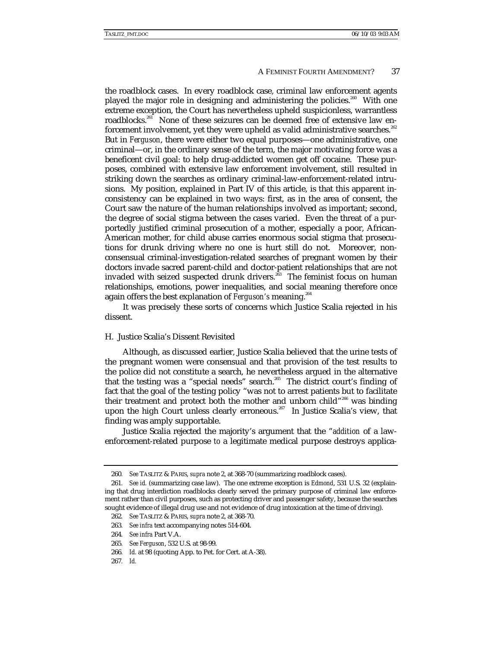the roadblock cases. In every roadblock case, criminal law enforcement agents played *the* major role in designing and administering the policies.<sup>260</sup> With one extreme exception, the Court has nevertheless upheld suspicionless, warrantless roadblocks.<sup>261</sup> None of these seizures can be deemed free of extensive law enforcement involvement, yet they were upheld as valid administrative searches.<sup>262</sup> But in *Ferguson*, there were either two equal purposes—one administrative, one criminal—or, in the ordinary sense of the term, the major motivating force was a beneficent civil goal: to help drug-addicted women get off cocaine. These purposes, combined with extensive law enforcement involvement, still resulted in striking down the searches as ordinary criminal-law-enforcement-related intrusions. My position, explained in Part IV of this article, is that this apparent inconsistency can be explained in two ways: first, as in the area of consent, the Court saw the nature of the human relationships involved as important; second, the degree of social stigma between the cases varied. Even the threat of a purportedly justified criminal prosecution of a mother, especially a poor, African-American mother, for child abuse carries enormous social stigma that prosecutions for drunk driving where no one is hurt still do not. Moreover, nonconsensual criminal-investigation-related searches of pregnant women by their doctors invade sacred parent-child and doctor-patient relationships that are not invaded with seized suspected drunk drivers.<sup>263</sup> The feminist focus on human relationships, emotions, power inequalities, and social meaning therefore once again offers the best explanation of *Ferguson's* meaning.<sup>264</sup>

It was precisely these sorts of concerns which Justice Scalia rejected in his dissent.

## H. Justice Scalia's Dissent Revisited

Although, as discussed earlier, Justice Scalia believed that the urine tests of the pregnant women were consensual and that provision of the test results to the police did not constitute a search, he nevertheless argued in the alternative that the testing was a "special needs" search.<sup>265</sup> The district court's finding of fact that the goal of the testing policy "was not to arrest patients but to facilitate their treatment and protect both the mother and unborn child"<sup>266</sup> was binding upon the high Court unless clearly erroneous.<sup>267</sup> In Justice Scalia's view, that finding was amply supportable.

Justice Scalia rejected the majority's argument that the "*addition* of a lawenforcement-related purpose *to* a legitimate medical purpose destroys applica-

<sup>260</sup>*. See* TASLITZ & PARIS, *supra* note 2, at 368-70 (summarizing roadblock cases).

<sup>261</sup>*. See id.* (summarizing case law). The one extreme exception is *Edmond*, 531 U.S. 32 (explaining that drug interdiction roadblocks clearly served the primary purpose of criminal law enforcement rather than civil purposes, such as protecting driver and passenger safety, because the searches sought evidence of illegal drug use and not evidence of drug intoxication at the time of driving).

<sup>262</sup>*. See* TASLITZ & PARIS, *supra* note 2, at 368-70.

<sup>263</sup>*. See infra* text accompanying notes 514-604.

<sup>264</sup>*. See infra* Part V.A.

<sup>265</sup>*. See Ferguson*, 532 U.S. at 98-99.

<sup>266</sup>*. Id.* at 98 (quoting App. to Pet. for Cert. at A-38).

<sup>267</sup>*. Id.*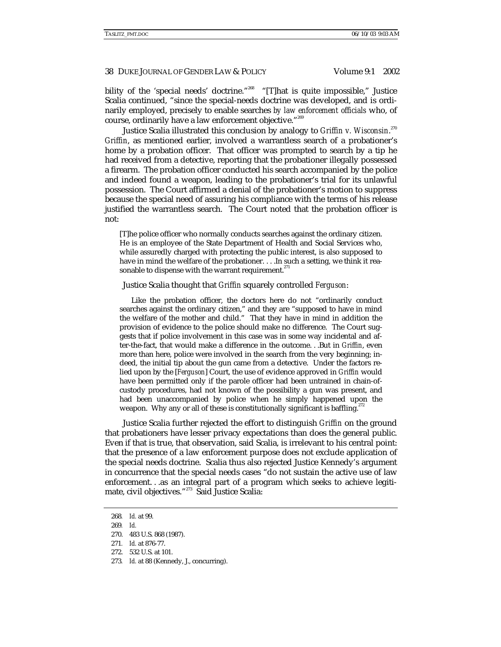bility of the 'special needs' doctrine."<sup>268</sup> "[T]hat is quite impossible," Justice Scalia continued, "since the special-needs doctrine was developed, and is ordinarily employed, precisely to enable searches *by law enforcement officials* who, of course, ordinarily have a law enforcement objective."<sup>269</sup>

Justice Scalia illustrated this conclusion by analogy to *Griffin v. Wisconsin*. 270 *Griffin*, as mentioned earlier, involved a warrantless search of a probationer's home by a probation officer. That officer was prompted to search by a tip he had received from a detective, reporting that the probationer illegally possessed a firearm. The probation officer conducted his search accompanied by the police and indeed found a weapon, leading to the probationer's trial for its unlawful possession. The Court affirmed a denial of the probationer's motion to suppress because the special need of assuring his compliance with the terms of his release justified the warrantless search. The Court noted that the probation officer is not:

[T]he police officer who normally conducts searches against the ordinary citizen. He is an employee of the State Department of Health and Social Services who, while assuredly charged with protecting the public interest, is also supposed to have in mind the welfare of the probationer. . . . In such a setting, we think it reasonable to dispense with the warrant requirement. $271$ 

#### Justice Scalia thought that *Griffin* squarely controlled *Ferguson*:

Like the probation officer, the doctors here do not "ordinarily conduct searches against the ordinary citizen," and they are "supposed to have in mind the welfare of the mother and child." That they have in mind in addition the provision of evidence to the police should make no difference. The Court suggests that if police involvement in this case was in some way incidental and after-the-fact, that would make a difference in the outcome. . .But in *Griffin*, even more than here, police were involved in the search from the very beginning; indeed, the initial tip about the gun came from a detective. Under the factors relied upon by the [*Ferguson*] Court, the use of evidence approved in *Griffin* would have been permitted only if the parole officer had been untrained in chain-ofcustody procedures, had not known of the possibility a gun was present, and had been unaccompanied by police when he simply happened upon the weapon. Why any or all of these is constitutionally significant is baffling.<sup>272</sup>

Justice Scalia further rejected the effort to distinguish *Griffin* on the ground that probationers have lesser privacy expectations than does the general public. Even if that is true, that observation, said Scalia, is irrelevant to his central point: that the presence of a law enforcement purpose does not exclude application of the special needs doctrine. Scalia thus also rejected Justice Kennedy's argument in concurrence that the special needs cases "do not sustain the active use of law enforcement. . .as an integral part of a program which seeks to achieve legitimate, civil objectives."<sup>273</sup> Said Justice Scalia:

273*. Id.* at 88 (Kennedy, J., concurring).

<sup>268</sup>*. Id.* at 99.

<sup>269</sup>*. Id.*

<sup>270. 483</sup> U.S. 868 (1987).

<sup>271</sup>*. Id.* at 876-77.

<sup>272. 532</sup> U.S. at 101.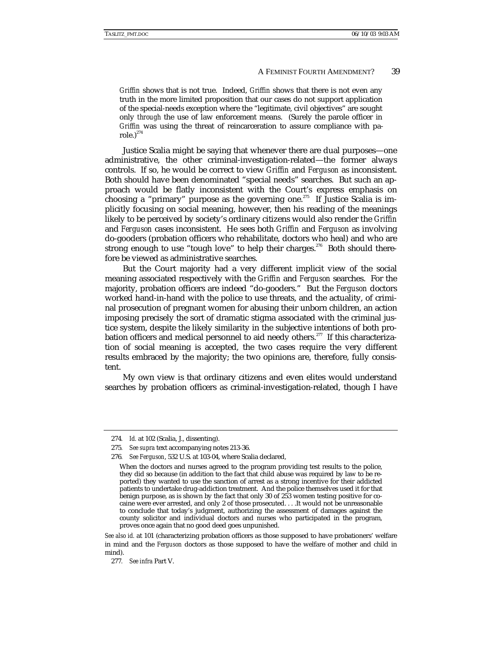*Griffin* shows that is not true. Indeed, *Griffin* shows that there is not even any truth in the more limited proposition that our cases do not support application of the special-needs exception where the "legitimate, civil objectives" are sought only *through* the use of law enforcement means. (Surely the parole officer in *Griffin* was using the threat of reincarceration to assure compliance with pa $role.)<sup>274</sup>$ 

Justice Scalia might be saying that whenever there are dual purposes—one administrative, the other criminal-investigation-related—the former always controls. If so, he would be correct to view *Griffin* and *Ferguson* as inconsistent. Both should have been denominated "special needs" searches. But such an approach would be flatly inconsistent with the Court's express emphasis on choosing a "primary" purpose as the governing one.<sup>275</sup> If Justice Scalia is implicitly focusing on social meaning, however, then his reading of the meanings likely to be perceived by society's ordinary citizens would also render the *Griffin* and *Ferguson* cases inconsistent. He sees both *Griffin* and *Ferguson* as involving do-gooders (probation officers who rehabilitate, doctors who heal) and who are strong enough to use "tough love" to help their charges. $276$  Both should therefore be viewed as administrative searches.

But the Court majority had a very different implicit view of the social meaning associated respectively with the *Griffin* and *Ferguson* searches. For the majority, probation officers are indeed "do-gooders." But the *Ferguson* doctors worked hand-in-hand with the police to use threats, and the actuality, of criminal prosecution of pregnant women for abusing their unborn children, an action imposing precisely the sort of dramatic stigma associated with the criminal justice system, despite the likely similarity in the subjective intentions of both probation officers and medical personnel to aid needy others.<sup>277</sup> If this characterization of social meaning is accepted, the two cases require the very different results embraced by the majority; the two opinions are, therefore, fully consistent.

My own view is that ordinary citizens and even elites would understand searches by probation officers as criminal-investigation-related, though I have

<sup>274</sup>*. Id.* at 102 (Scalia, J., dissenting).

<sup>275</sup>*. See supra* text accompanying notes 213-36.

<sup>276</sup>*. See Ferguson*, 532 U.S. at 103-04, where Scalia declared,

When the doctors and nurses agreed to the program providing test results to the police, they did so because (in addition to the fact that child abuse was required by law to be reported) they wanted to use the sanction of arrest as a strong incentive for their addicted patients to undertake drug-addiction treatment. And the police themselves used it for that benign purpose, as is shown by the fact that only 30 of 253 women testing positive for cocaine were ever arrested, and only 2 of those prosecuted. . . .It would not be unreasonable to conclude that today's judgment, authorizing the assessment of damages against the county solicitor and individual doctors and nurses who participated in the program, proves once again that no good deed goes unpunished.

*See also id.* at 101 (characterizing probation officers as those supposed to have probationers' welfare in mind and the *Ferguson* doctors as those supposed to have the welfare of mother and child in mind).

<sup>277</sup>*. See infra* Part V.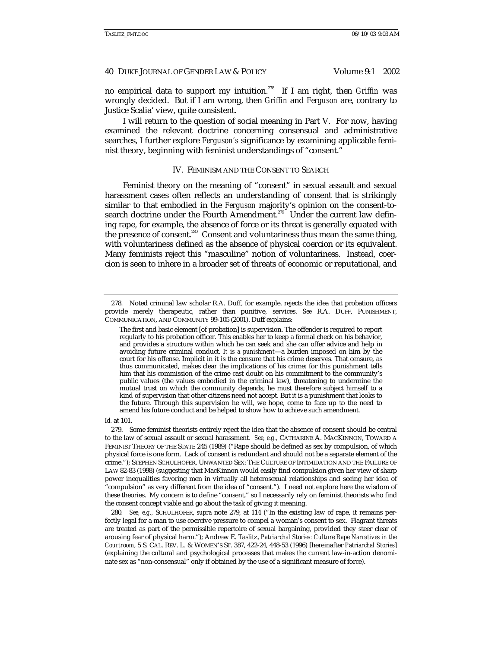no empirical data to support my intuition.<sup>278</sup> If I am right, then *Griffin* was wrongly decided. But if I am wrong, then *Griffin* and *Ferguson* are, contrary to Justice Scalia' view, quite consistent.

I will return to the question of social meaning in Part V. For now, having examined the relevant doctrine concerning consensual and administrative searches, I further explore *Ferguson's* significance by examining applicable feminist theory, beginning with feminist understandings of "consent."

## IV. FEMINISM AND THE CONSENT TO SEARCH

Feminist theory on the meaning of "consent" in sexual assault and sexual harassment cases often reflects an understanding of consent that is strikingly similar to that embodied in the *Ferguson* majority's opinion on the consent-tosearch doctrine under the Fourth Amendment.<sup>279</sup> Under the current law defining rape, for example, the absence of force or its threat is generally equated with the presence of consent.<sup>280</sup> Consent and voluntariness thus mean the same thing, with voluntariness defined as the absence of physical coercion or its equivalent. Many feminists reject this "masculine" notion of voluntariness. Instead, coercion is seen to inhere in a broader set of threats of economic or reputational, and

*Id.* at 101.

<sup>278.</sup> Noted criminal law scholar R.A. Duff, for example, rejects the idea that probation officers provide merely therapeutic, rather than punitive, services. *See* R.A. DUFF, PUNISHMENT, COMMUNICATION, AND COMMUNITY 99-105 (2001). Duff explains:

The first and basic element [of probation] is supervision. The offender is required to report regularly to his probation officer. This enables her to keep a formal check on his behavior, and provides a structure within which he can seek and she can offer advice and help in avoiding future criminal conduct. *It is a punishment*—a burden imposed on him by the court for his offense. Implicit in it is the censure that his crime deserves. That censure, as thus communicated, makes clear the implications of his crime: for this punishment tells him that his commission of the crime cast doubt on his commitment to the community's public values (the values embodied in the criminal law), threatening to undermine the mutual trust on which the community depends; he must therefore subject himself to a kind of supervision that other citizens need not accept. But it is a punishment that looks to the future. Through this supervision he will, we hope, come to face up to the need to amend his future conduct and be helped to show how to achieve such amendment.

<sup>279.</sup> Some feminist theorists entirely reject the idea that the absence of consent should be central to the law of sexual assault or sexual harassment. *See, e.g.,* CATHARINE A. MACKINNON, TOWARD A FEMINIST THEORY OF THE STATE 245 (1989) ("Rape should be defined as sex by compulsion, of which physical force is one form. Lack of consent is redundant and should not be a separate element of the crime."); STEPHEN SCHULHOFER, UNWANTED SEX: THE CULTURE OF INTIMIDATION AND THE FAILURE OF LAW 82-83 (1998) (suggesting that MacKinnon would easily find compulsion given her view of sharp power inequalities favoring men in virtually all heterosexual relationships and seeing her idea of "compulsion" as very different from the idea of "consent."). I need not explore here the wisdom of these theories. My concern is to define "consent," so I necessarily rely on feminist theorists who find the consent concept viable and go about the task of giving it meaning.

<sup>280</sup>*. See, e.g.,* SCHULHOFER, *supra* note 279, at 114 ("In the existing law of rape, it remains perfectly legal for a man to use coercive pressure to compel a woman's consent to sex. Flagrant threats are treated as part of the permissible repertoire of sexual bargaining, provided they steer clear of arousing fear of physical harm."); Andrew E. Taslitz, *Patriarchal Stories: Culture Rape Narratives in the Courtroom*, 5 S. CAL. REV. L. & WOMEN'S ST. 387, 422-24, 448-53 (1996) [hereinafter *Patriarchal Stories*] (explaining the cultural and psychological processes that makes the current law-in-action denominate sex as "non-consensual" only if obtained by the use of a significant measure of force).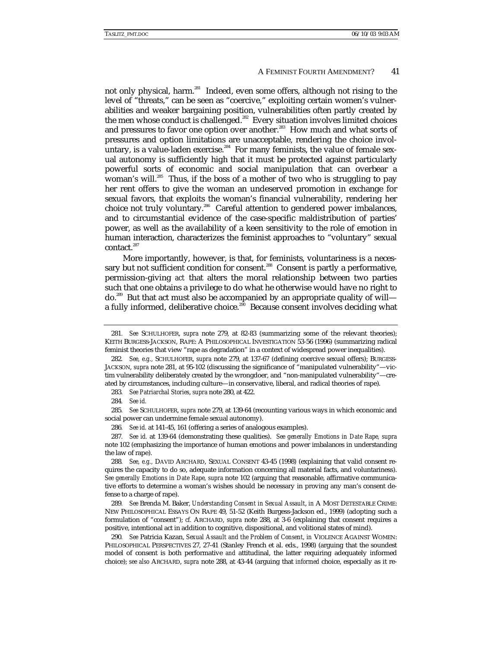not only physical, harm.<sup>281</sup> Indeed, even some offers, although not rising to the level of "threats," can be seen as "coercive," exploiting certain women's vulnerabilities and weaker bargaining position, vulnerabilities often partly created by the men whose conduct is challenged. $282$  Every situation involves limited choices and pressures to favor one option over another.<sup>283</sup> How much and what sorts of pressures and option limitations are unacceptable, rendering the choice involuntary, is a value-laden exercise.<sup>284</sup> For many feminists, the value of female sexual autonomy is sufficiently high that it must be protected against particularly powerful sorts of economic and social manipulation that can overbear a woman's will.<sup>285</sup> Thus, if the boss of a mother of two who is struggling to pay her rent offers to give the woman an undeserved promotion in exchange for sexual favors, that exploits the woman's financial vulnerability, rendering her choice not truly voluntary.<sup>286</sup> Careful attention to gendered power imbalances, and to circumstantial evidence of the case-specific maldistribution of parties' power, as well as the availability of a keen sensitivity to the role of emotion in human interaction, characterizes the feminist approaches to "voluntary" sexual contact.<sup>287</sup>

More importantly, however, is that, for feminists, voluntariness is a necessary but not sufficient condition for consent.<sup>288</sup> Consent is partly a performative, permission-giving *act* that alters the moral relationship between two parties such that one obtains a privilege to do what he otherwise would have no right to  $\rm{do}^{289}$  But that act must also be accompanied by an appropriate quality of will a fully informed, deliberative choice.<sup>290</sup> Because consent involves deciding what

289*. See* Brenda M. Baker, *Understanding Consent in Sexual Assault*, *in* A MOST DETESTABLE CRIME: NEW PHILOSOPHICAL ESSAYS ON RAPE 49, 51-52 (Keith Burgess-Jackson ed., 1999) (adopting such a formulation of "consent"); *cf.* ARCHARD, *supra* note 288, at 3-6 (explaining that consent requires a positive, intentional act in addition to cognitive, dispositional, and volitional states of mind).

290*. See* Patricia Kazan, *Sexual Assault and the Problem of Consent*, *in* VIOLENCE AGAINST WOMEN: PHILOSOPHICAL PERSPECTIVES 27, 27-41 (Stanley French et al. eds., 1998) (arguing that the soundest model of consent is both performative *and* attitudinal, the latter requiring adequately informed choice); *see also* ARCHARD, *supra* note 288, at 43-44 (arguing that *informed* choice, especially as it re-

<sup>281</sup>*. See* SCHULHOFER, *supra* note 279, at 82-83 (summarizing some of the relevant theories); KEITH BURGESS-JACKSON, RAPE: A PHILOSOPHICAL INVESTIGATION 53-56 (1996) (summarizing radical feminist theories that view "rape as degradation" in a context of widespread power inequalities).

<sup>282</sup>*. See, e.g.,* SCHULHOFER, *supra* note 279, at 137-67 (defining coercive sexual offers); BURGESS-JACKSON, *supra* note 281, at 95-102 (discussing the significance of "manipulated vulnerability"—victim vulnerability deliberately created by the wrongdoer, and "non-manipulated vulnerability"—created by circumstances, including culture—in conservative, liberal, and radical theories of rape).

<sup>283</sup>*. See Patriarchal Stories*, *supra* note 280, at 422.

<sup>284</sup>*. See id.*

<sup>285</sup>*. See* SCHULHOFER, *supra* note 279, at 139-64 (recounting various ways in which economic and social power can undermine female sexual autonomy).

<sup>286</sup>*. See id.* at 141-45, 161 (offering a series of analogous examples).

<sup>287</sup>*. See id.* at 139-64 (demonstrating these qualities). *See generally Emotions in Date Rape, supra* note 102 (emphasizing the importance of human emotions and power imbalances in understanding the law of rape).

<sup>288</sup>*. See, e.g.,* DAVID ARCHARD, SEXUAL CONSENT 43-45 (1998) (explaining that valid consent requires the capacity to do so, adequate information concerning all material facts, and voluntariness). *See generally Emotions in Date Rape, supra* note 102 (arguing that reasonable, affirmative communicative efforts to determine a woman's wishes should be necessary in proving any man's consent defense to a charge of rape).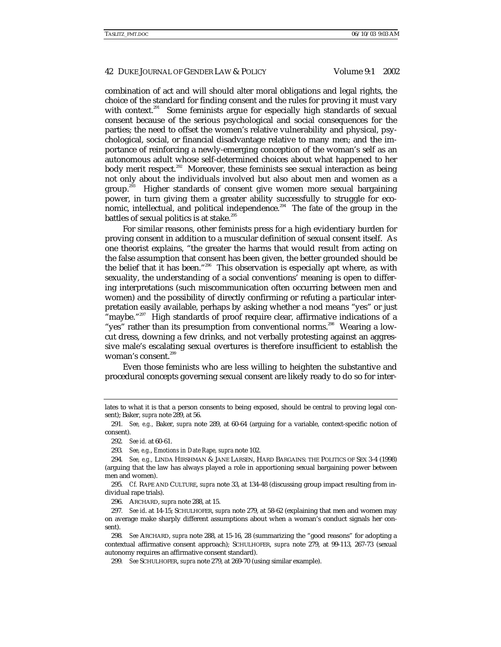combination of act and will should alter moral obligations and legal rights, the choice of the standard for finding consent and the rules for proving it must vary with context.<sup>291</sup> Some feminists argue for especially high standards of sexual consent because of the serious psychological and social consequences for the parties; the need to offset the women's relative vulnerability and physical, psychological, social, or financial disadvantage relative to many men; and the importance of reinforcing a newly-emerging conception of the woman's self as an autonomous adult whose self-determined choices about what happened to her body merit respect.<sup>292</sup> Moreover, these feminists see sexual interaction as being not only about the individuals involved but also about men and women as a group.<sup>293</sup> Higher standards of consent give women more sexual bargaining power, in turn giving them a greater ability successfully to struggle for economic, intellectual, and political independence.<sup>294</sup> The fate of the group in the battles of sexual politics is at stake.<sup>295</sup>

For similar reasons, other feminists press for a high evidentiary burden for proving consent in addition to a muscular definition of sexual consent itself. As one theorist explains, "the greater the harms that would result from acting on the false assumption that consent has been given, the better grounded should be the belief that it has been."<sup>296</sup> This observation is especially apt where, as with sexuality, the understanding of a social conventions' meaning is open to differing interpretations (such miscommunication often occurring between men and women) and the possibility of directly confirming or refuting a particular interpretation easily available, perhaps by asking whether a nod means "yes" or just "maybe." $297$  High standards of proof require clear, affirmative indications of a "yes" rather than its presumption from conventional norms.<sup>298</sup> Wearing a lowcut dress, downing a few drinks, and not verbally protesting against an aggressive male's escalating sexual overtures is therefore insufficient to establish the woman's consent.<sup>299</sup>

Even those feminists who are less willing to heighten the substantive and procedural concepts governing sexual consent are likely ready to do so for inter-

293*. See, e.g.*, *Emotions in Date Rape, supra* note 102.

lates to what it is that a person consents to being exposed, should be central to proving legal consent); Baker, *supra* note 289, at 56.

<sup>291</sup>*. See, e.g.,* Baker, *supra* note 289, at 60-64 (arguing for a variable, context-specific notion of consent).

<sup>292</sup>*. See id.* at 60-61.

<sup>294</sup>*. See, e.g.,* LINDA HIRSHMAN & JANE LARSEN, HARD BARGAINS: THE POLITICS OF SEX 3-4 (1998) (arguing that the law has always played a role in apportioning sexual bargaining power between men and women).

<sup>295</sup>*. Cf.* RAPE AND CULTURE, *supra* note 33, at 134-48 (discussing group impact resulting from individual rape trials).

<sup>296.</sup> ARCHARD, *supra* note 288, at 15.

<sup>297</sup>*. See id*. at 14-15; SCHULHOFER, *supra* note 279, at 58-62 (explaining that men and women may on average make sharply different assumptions about when a woman's conduct signals her consent).

<sup>298</sup>*. See* ARCHARD, *supra* note 288, at 15-16, 28 (summarizing the "good reasons" for adopting a contextual affirmative consent approach); SCHULHOFER, *supra* note 279, at 99-113, 267-73 (sexual autonomy requires an affirmative consent standard).

<sup>299</sup>*. See* SCHULHOFER, *supra* note 279, at 269-70 (using similar example).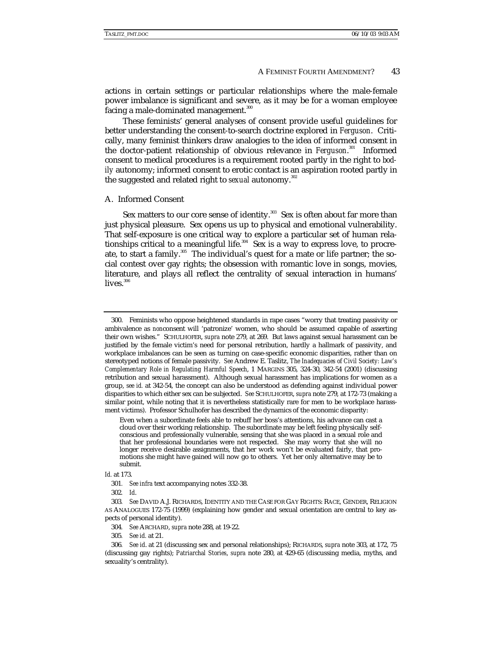actions in certain settings or particular relationships where the male-female power imbalance is significant and severe, as it may be for a woman employee facing a male-dominated management.<sup>300</sup>

These feminists' general analyses of consent provide useful guidelines for better understanding the consent-to-search doctrine explored in *Ferguson*. Critically, many feminist thinkers draw analogies to the idea of informed consent in the doctor-patient relationship of obvious relevance in *Ferguson*. <sup>301</sup> Informed consent to medical procedures is a requirement rooted partly in the right to *bodily* autonomy; informed consent to erotic contact is an aspiration rooted partly in the suggested and related right to *sexual* autonomy.<sup>302</sup>

## A. Informed Consent

Sex matters to our core sense of identity.<sup>303</sup> Sex is often about far more than just physical pleasure. Sex opens us up to physical and emotional vulnerability. That self-exposure is one critical way to explore a particular set of human relationships critical to a meaningful life.<sup>304</sup> Sex is a way to express love, to procreate, to start a family.<sup>305</sup> The individual's quest for a mate or life partner; the social contest over gay rights; the obsession with romantic love in songs, movies, literature, and plays all reflect the centrality of sexual interaction in humans'  $lives.<sup>306</sup>$ 

Even when a subordinate feels able to rebuff her boss's attentions, his advance can cast a cloud over their working relationship. The subordinate may be left feeling physically selfconscious and professionally vulnerable, sensing that she was placed in a sexual role and that her professional boundaries were not respected. She may worry that she will no longer receive desirable assignments, that her work won't be evaluated fairly, that promotions she might have gained will now go to others. Yet her only alternative may be to submit.

*Id.* at 173.

302*. Id*.

<sup>300.</sup> Feminists who oppose heightened standards in rape cases "worry that treating passivity or ambivalence as *non*consent will 'patronize' women, who should be assumed capable of asserting their own wishes." SCHULHOFER, *supra* note 279, at 269. But laws against sexual harassment can be justified by the female victim's need for personal retribution, hardly a hallmark of passivity, and workplace imbalances can be seen as turning on case-specific economic disparities, rather than on stereotyped notions of female passivity. *See* Andrew E. Taslitz, *The Inadequacies of Civil Society: Law's Complementary Role in Regulating Harmful Speech*,1MARGINS 305, 324-30, 342-54 (2001) (discussing retribution and sexual harassment). Although sexual harassment has implications for women as a group, *see id.* at 342-54, the concept can also be understood as defending against individual power disparities to which either sex can be subjected. *See* SCHULHOFER, *supra* note 279, at 172-73 (making a similar point, while noting that it is nevertheless statistically rare for men to be workplace harassment victims). Professor Schulhofer has described the dynamics of the economic disparity:

<sup>301</sup>*. See infra* text accompanying notes 332-38.

<sup>303</sup>*. See* DAVID A.J. RICHARDS, IDENTITY AND THE CASE FOR GAY RIGHTS: RACE, GENDER, RELIGION AS ANALOGUES 172-75 (1999) (explaining how gender and sexual orientation are central to key aspects of personal identity).

<sup>304</sup>*. See* ARCHARD, *supra* note 288, at 19-22.

<sup>305</sup>*. See id.* at 21.

<sup>306</sup>*. See id*. at 21 (discussing sex and personal relationships); RICHARDS, *supra* note 303, at 172, 75 (discussing gay rights); *Patriarchal Stories*, *supra* note 280, at 429-65 (discussing media, myths, and sexuality's centrality).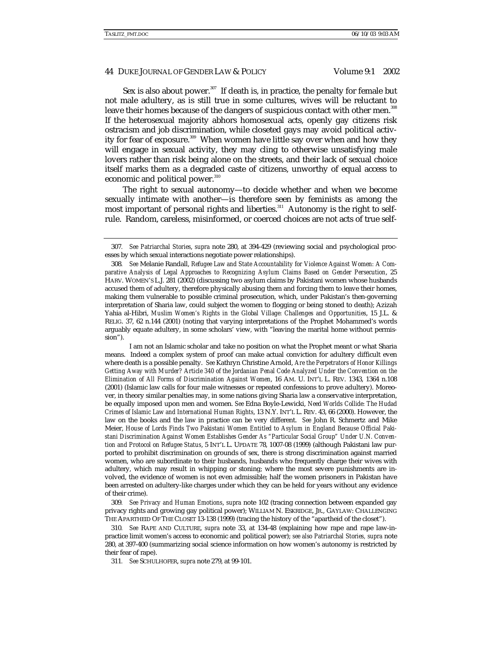## 44 DUKE JOURNAL OF GENDER LAW & POLICY Volume 9:1 2002

Sex is also about power.<sup>307</sup> If death is, in practice, the penalty for female but not male adultery, as is still true in some cultures, wives will be reluctant to leave their homes because of the dangers of suspicious contact with other men.<sup>308</sup> If the heterosexual majority abhors homosexual acts, openly gay citizens risk ostracism and job discrimination, while closeted gays may avoid political activity for fear of exposure.<sup>309</sup> When women have little say over when and how they will engage in sexual activity, they may cling to otherwise unsatisfying male lovers rather than risk being alone on the streets, and their lack of sexual choice itself marks them as a degraded caste of citizens, unworthy of equal access to economic and political power.<sup>310</sup>

The right to sexual autonomy—to decide whether and when we become sexually intimate with another—is therefore seen by feminists as among the most important of personal rights and liberties.<sup>311</sup> Autonomy is the right to selfrule. Random, careless, misinformed, or coerced choices are not acts of true self-

I am not an Islamic scholar and take no position on what the Prophet meant or what Sharia means. Indeed a complex system of proof can make actual conviction for adultery difficult even where death is a possible penalty. *See* Kathryn Christine Arnold, *Are the Perpetrators of Honor Killings Getting Away with Murder? Article 340 of the Jordanian Penal Code Analyzed Under the Convention on the Elimination of All Forms of Discrimination Against Women*, 16 AM. U. INT'L L. REV. 1343, 1364 n.108 (2001) (Islamic law calls for four male witnesses or repeated confessions to prove adultery). Moreover, in theory similar penalties may, in some nations giving Sharia law a conservative interpretation, be equally imposed upon men and women. *See* Edna Boyle-Lewicki, *Need Worlds Collide: The Hudad Crimes of Islamic Law and International Human Rights*, 13 N.Y. INT'L L. REV. 43, 66 (2000). However, the law on the books and the law in practice can be very different. *See* John R. Schmertz and Mike Meier, *House of Lords Finds Two Pakistani Women Entitled to Asylum in England Because Official Pakistani Discrimination Against Women Establishes Gender As "Particular Social Group" Under U.N. Convention and Protocol on Refugee Status*,5INT'L L. UPDATE 78, 1007-08 (1999) (although Pakistani law purported to prohibit discrimination on grounds of sex, there is strong discrimination against married women, who are subordinate to their husbands, husbands who frequently charge their wives with adultery, which may result in whipping or stoning; where the most severe punishments are involved, the evidence of women is not even admissible; half the women prisoners in Pakistan have been arrested on adultery-like charges under which they can be held for years without any evidence of their crime).

309*. See Privacy and Human Emotions*, *supra* note 102 (tracing connection between expanded gay privacy rights and growing gay political power); WILLIAM N. ESKRIDGE, JR., GAYLAW: CHALLENGING THE APARTHEID OF THE CLOSET 13-138 (1999) (tracing the history of the "apartheid of the closet").

310*. See* RAPE AND CULTURE, *supra* note 33, at 134-48 (explaining how rape and rape law-inpractice limit women's access to economic and political power); *see also Patriarchal Stories, supra* note 280, at 397-400 (summarizing social science information on how women's autonomy is restricted by their fear of rape).

311*. See* SCHULHOFER, *supra* note 279, at 99-101.

<sup>307</sup>*. See Patriarchal Stories*, *supra* note 280, at 394-429 (reviewing social and psychological processes by which sexual interactions negotiate power relationships).

<sup>308</sup>*. See* Melanie Randall, *Refugee Law and State Accountability for Violence Against Women: A Comparative Analysis of Legal Approaches to Recognizing Asylum Claims Based on Gender Persecution*, 25 HARV. WOMEN'S L.J. 281 (2002) (discussing two asylum claims by Pakistani women whose husbands accused them of adultery, therefore physically abusing them and forcing them to leave their homes, making them vulnerable to possible criminal prosecution, which, under Pakistan's then-governing interpretation of Sharia law, could subject the women to flogging or being stoned to death); Azizah Yahia al-Hibri, *Muslim Women's Rights in the Global Village: Challenges and Opportunities*, 15 J.L. & RELIG. 37, 62 n.144 (2001) (noting that varying interpretations of the Prophet Mohammed's words arguably equate adultery, in some scholars' view, with "leaving the marital home without permission").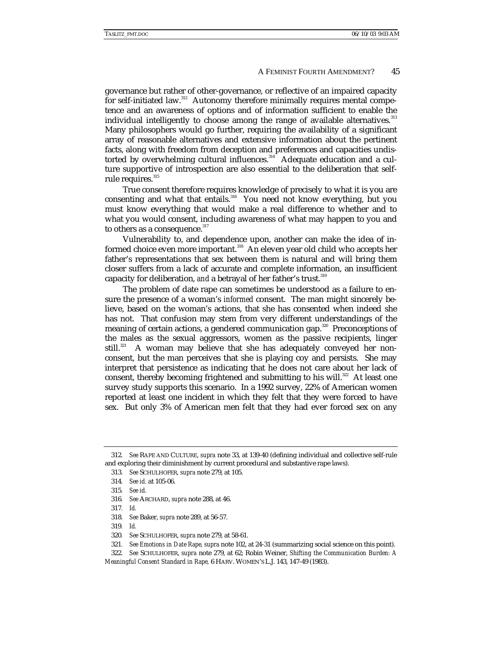governance but rather of other-governance, or reflective of an impaired capacity for self-initiated law.<sup>312</sup> Autonomy therefore minimally requires mental competence and an awareness of options and of information sufficient to enable the individual intelligently to choose among the range of available alternatives.<sup>313</sup> Many philosophers would go further, requiring the availability of a significant array of reasonable alternatives and extensive information about the pertinent facts, along with freedom from deception and preferences and capacities undistorted by overwhelming cultural influences.<sup>314</sup> Adequate education and a culture supportive of introspection are also essential to the deliberation that selfrule requires.<sup>315</sup>

True consent therefore requires knowledge of precisely to what it is you are consenting and what that entails.<sup>316</sup> You need not know everything, but you must know everything that would make a real difference to whether and to what you would consent, including awareness of what may happen to you and to others as a consequence.<sup>317</sup>

Vulnerability to, and dependence upon, another can make the idea of informed choice even more important.<sup>318</sup> An eleven year old child who accepts her father's representations that sex between them is natural and will bring them closer suffers from a lack of accurate and complete information, an insufficient capacity for deliberation, and a betrayal of her father's trust.<sup>319</sup>

The problem of date rape can sometimes be understood as a failure to ensure the presence of a woman's *informed* consent. The man might sincerely believe, based on the woman's actions, that she has consented when indeed she has not. That confusion may stem from very different understandings of the meaning of certain actions, a gendered communication gap.<sup>320</sup> Preconceptions of the males as the sexual aggressors, women as the passive recipients, linger still. $321$  A woman may believe that she has adequately conveyed her nonconsent, but the man perceives that she is playing coy and persists. She may interpret that persistence as indicating that he does not care about her lack of consent, thereby becoming frightened and submitting to his will.<sup>322</sup> At least one survey study supports this scenario. In a 1992 survey, 22% of American women reported at least one incident in which they felt that they were forced to have sex. But only 3% of American men felt that they had ever forced sex on any

<sup>312</sup>*. See* RAPE AND CULTURE, *supra* note 33, at 139-40 (defining individual and collective self-rule and exploring their diminishment by current procedural and substantive rape laws).

<sup>313</sup>*. See* SCHULHOFER*, supra* note 279, at 105.

<sup>314</sup>*. See id.* at 105-06.

<sup>315</sup>*. See id.*

<sup>316</sup>*. See* ARCHARD, *supra* note 288, at 46.

<sup>317</sup>*. Id.*

<sup>318</sup>*. See* Baker, *supra* note 289, at 56-57.

<sup>319</sup>*. Id.*

<sup>320</sup>*. See* SCHULHOFER, *supra* note 279, at 58-61.

<sup>321</sup>*. See Emotions in Date Rape, supra* note 102, at 24-31 (summarizing social science on this point).

<sup>322</sup>*. See* SCHULHOFER, *supra* note 279, at 62; Robin Weiner, *Shifting the Communication Burden: A Meaningful Consent Standard in Rape,* 6 HARV. WOMEN'S L.J. 143, 147-49 (1983).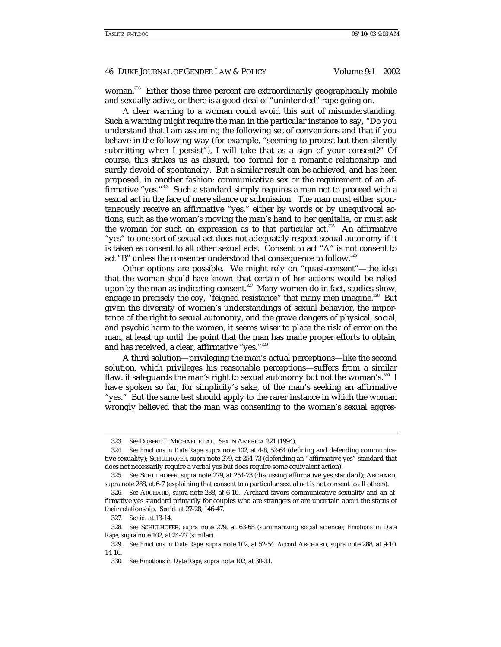woman.<sup>323</sup> Either those three percent are extraordinarily geographically mobile and sexually active, or there is a good deal of "unintended" rape going on.

A clear warning to a woman could avoid this sort of misunderstanding. Such a warning might require the man in the particular instance to say, "Do you understand that I am assuming the following set of conventions and that if you behave in the following way (for example, "seeming to protest but then silently submitting when I persist"), I will take that as a sign of your consent?" Of course, this strikes us as absurd, too formal for a romantic relationship and surely devoid of spontaneity. But a similar result can be achieved, and has been proposed, in another fashion: communicative sex or the requirement of an affirmative "yes."<sup>324</sup> Such a standard simply requires a man not to proceed with a sexual act in the face of mere silence or submission. The man must either spontaneously receive an affirmative "yes," either by words or by unequivocal actions, such as the woman's moving the man's hand to her genitalia, or must ask the woman for such an expression as to *that particular act*. <sup>325</sup> An affirmative "yes" to one sort of sexual act does not adequately respect sexual autonomy if it is taken as consent to all other sexual acts. Consent to act "A" is not consent to act "B" unless the consenter understood that consequence to follow.<sup>326</sup>

Other options are possible. We might rely on "quasi-consent"—the idea that the woman *should have known* that certain of her actions would be relied upon by the man as indicating consent.<sup>327</sup> Many women do in fact, studies show, engage in precisely the coy, "feigned resistance" that many men imagine. $328$  But given the diversity of women's understandings of sexual behavior, the importance of the right to sexual autonomy, and the grave dangers of physical, social, and psychic harm to the women, it seems wiser to place the risk of error on the man, at least up until the point that the man has made proper efforts to obtain, and has received, a clear, affirmative "yes."<sup>329</sup>

A third solution—privileging the man's actual perceptions—like the second solution, which privileges his reasonable perceptions—suffers from a similar flaw: it safeguards the man's right to sexual autonomy but not the woman's. $330$  I have spoken so far, for simplicity's sake, of the man's seeking an affirmative "yes." But the same test should apply to the rarer instance in which the woman wrongly believed that the man was consenting to the woman's sexual aggres-

<sup>323</sup>*. See* ROBERT T. MICHAEL ET AL., SEX IN AMERICA 221 (1994).

<sup>324</sup>*. See Emotions in Date Rape, supra* note 102, at 4-8, 52-64 (defining and defending communicative sexuality); SCHULHOFER, *supra* note 279, at 254-73 (defending an "affirmative yes" standard that does not necessarily require a verbal yes but does require some equivalent action).

<sup>325</sup>*. See* SCHULHOFER, *supra* note 279, at 254-73 (discussing affirmative yes standard); ARCHARD, *supra* note 288, at 6-7 (explaining that consent to a particular sexual act is not consent to all others).

<sup>326</sup>*. See* ARCHARD, *supra* note 288, at 6-10. Archard favors communicative sexuality and an affirmative yes standard primarily for couples who are strangers or are uncertain about the status of their relationship. *See id.* at 27-28, 146-47.

<sup>327</sup>*. See id.* at 13-14.

<sup>328</sup>*. See* SCHULHOFER, *supra* note 279, at 63-65 (summarizing social science); *Emotions in Date Rape, supra* note 102, at 24-27 (similar).

<sup>329</sup>*. See Emotions in Date Rape, supra* note 102, at 52-54. *Accord* ARCHARD, *supra* note 288, at 9-10, 14-16.

<sup>330</sup>*. See Emotions in Date Rape, supra* note 102, at 30-31.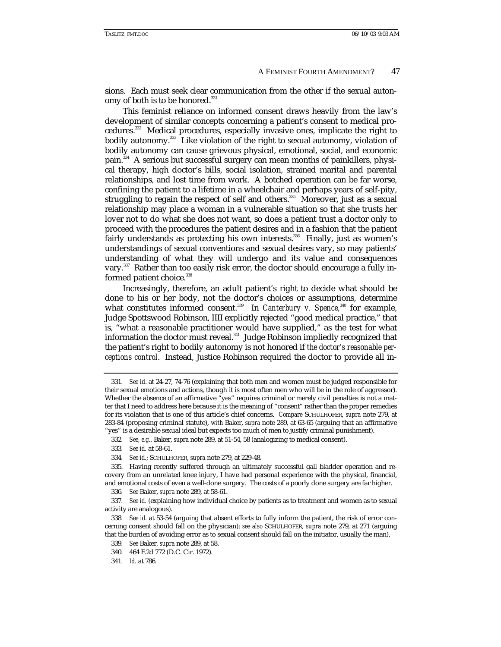sions. Each must seek clear communication from the other if the sexual autonomy of both is to be honored.<sup>331</sup>

This feminist reliance on informed consent draws heavily from the law's development of similar concepts concerning a patient's consent to medical procedures.<sup>332</sup> Medical procedures, especially invasive ones, implicate the right to bodily autonomy.<sup>333</sup> Like violation of the right to sexual autonomy, violation of bodily autonomy can cause grievous physical, emotional, social, and economic pain.<sup>334</sup> A serious but successful surgery can mean months of painkillers, physical therapy, high doctor's bills, social isolation, strained marital and parental relationships, and lost time from work. A botched operation can be far worse, confining the patient to a lifetime in a wheelchair and perhaps years of self-pity, struggling to regain the respect of self and others.<sup>335</sup> Moreover, just as a sexual relationship may place a woman in a vulnerable situation so that she trusts her lover not to do what she does not want, so does a patient trust a doctor only to proceed with the procedures the patient desires and in a fashion that the patient fairly understands as protecting his own interests.<sup>336</sup> Finally, just as women's understandings of sexual conventions and sexual desires vary, so may patients' understanding of what they will undergo and its value and consequences vary.<sup>337</sup> Rather than too easily risk error, the doctor should encourage a fully informed patient choice.<sup>338</sup>

Increasingly, therefore, an adult patient's right to decide what should be done to his or her body, not the doctor's choices or assumptions, determine what constitutes informed consent.<sup>339</sup> In *Canterbury v. Spence*,<sup>340</sup> for example, Judge Spottswood Robinson, IIII explicitly rejected "good medical practice," that is, "what a reasonable practitioner would have supplied," as the test for what information the doctor must reveal.<sup>341</sup> Judge Robinson impliedly recognized that the patient's right to bodily autonomy is not honored if *the doctor's reasonable perceptions control*. Instead, Justice Robinson required the doctor to provide all in-

<sup>331</sup>*. See id*. at 24-27, 74-76 (explaining that both men and women must be judged responsible for their sexual emotions and actions, though it is most often men who will be in the role of aggressor). Whether the absence of an affirmative "yes" requires criminal or merely civil penalties is not a matter that I need to address here because it is the meaning of "consent" rather than the proper remedies for its violation that is one of this article's chief concerns. *Compare* SCHULHOFER, *supra* note 279, at 283-84 (proposing criminal statute), *with* Baker, *supra* note 289, at 63-65 (arguing that an affirmative "yes" is a desirable sexual ideal but expects too much of men to justify criminal punishment).

<sup>332</sup>*. See, e.g.,* Baker, *supra* note 289, at 51-54, 58 (analogizing to medical consent).

<sup>333</sup>*. See id.* at 58-61.

<sup>334</sup>*. See id.;* SCHULHOFER, *supra* note 279, at 229-48.

<sup>335.</sup> Having recently suffered through an ultimately successful gall bladder operation and recovery from an unrelated knee injury, I have had personal experience with the physical, financial, and emotional costs of even a well-done surgery. The costs of a poorly done surgery are far higher.

<sup>336</sup>*. See* Baker, *supra* note 289, at 58-61.

<sup>337</sup>*. See id.* (explaining how individual choice by patients as to treatment and women as to sexual activity are analogous).

<sup>338</sup>*. See id.* at 53-54 (arguing that absent efforts to fully inform the patient, the risk of error concerning consent should fall on the physician); *see also* SCHULHOFER, *supra* note 279, at 271 (arguing that the burden of avoiding error as to sexual consent should fall on the initiator, usually the man).

<sup>339</sup>*. See* Baker*, supra* note 289, at 58.

<sup>340. 464</sup> F.2d 772 (D.C. Cir. 1972).

<sup>341</sup>*. Id.* at 786.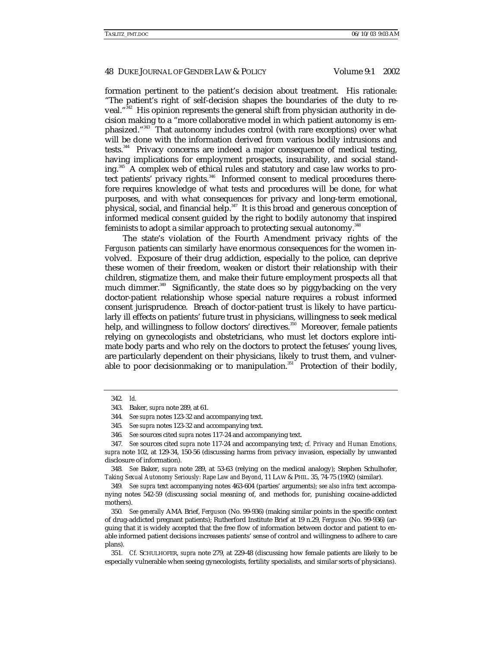formation pertinent to the patient's decision about treatment. His rationale: "The patient's right of self-decision shapes the boundaries of the duty to reveal."<sup>342</sup> His opinion represents the general shift from physician authority in decision making to a "more collaborative model in which patient autonomy is emphasized."<sup>343</sup> That autonomy includes control (with rare exceptions) over what will be done with the information derived from various bodily intrusions and tests.<sup>344</sup> Privacy concerns are indeed a major consequence of medical testing, having implications for employment prospects, insurability, and social standing.<sup>345</sup> A complex web of ethical rules and statutory and case law works to protect patients' privacy rights.<sup>346</sup> Informed consent to medical procedures therefore requires knowledge of what tests and procedures will be done, for what purposes, and with what consequences for privacy and long-term emotional, physical, social, and financial help.<sup>347</sup> It is this broad and generous conception of informed medical consent guided by the right to bodily autonomy that inspired feminists to adopt a similar approach to protecting sexual autonomy.<sup>348</sup>

The state's violation of the Fourth Amendment privacy rights of the *Ferguson* patients can similarly have enormous consequences for the women involved. Exposure of their drug addiction, especially to the police, can deprive these women of their freedom, weaken or distort their relationship with their children, stigmatize them, and make their future employment prospects all that much dimmer.<sup>349</sup> Significantly, the state does so by piggybacking on the very doctor-patient relationship whose special nature requires a robust informed consent jurisprudence. Breach of doctor-patient trust is likely to have particularly ill effects on patients' future trust in physicians, willingness to seek medical help, and willingness to follow doctors' directives.<sup>350</sup> Moreover, female patients relying on gynecologists and obstetricians, who must let doctors explore intimate body parts and who rely on the doctors to protect the fetuses' young lives, are particularly dependent on their physicians, likely to trust them, and vulnerable to poor decision making or to manipulation.<sup>351</sup> Protection of their bodily,

348*. See* Baker, *supra* note 289, at 53-63 (relying on the medical analogy); Stephen Schulhofer, *Taking Sexual Autonomy Seriously: Rape Law and Beyond*, 11 LAW & PHIL. 35, 74-75 (1992) (similar).

349*. See supra* text accompanying notes 463-604 (parties' arguments); *see also infra* text accompanying notes 542-59 (discussing social meaning of, and methods for, punishing cocaine-addicted mothers).

350*. See generally* AMA Brief, *Ferguson* (No. 99-936) (making similar points in the specific context of drug-addicted pregnant patients); Rutherford Institute Brief at 19 n.29, *Ferguson* (No. 99-936) (arguing that it is widely accepted that the free flow of information between doctor and patient to enable informed patient decisions increases patients' sense of control and willingness to adhere to care plans).

351*. Cf.* SCHULHOFER, *supra* note 279, at 229-48 (discussing how female patients are likely to be especially vulnerable when seeing gynecologists, fertility specialists, and similar sorts of physicians).

<sup>342</sup>*. Id.*

<sup>343.</sup> Baker, *supra* note 289, at 61.

<sup>344</sup>*. See supra* notes 123-32 and accompanying text.

<sup>345</sup>*. See supra* notes 123-32 and accompanying text.

<sup>346</sup>*. See* sources cited *supra* notes 117-24 and accompanying text.

<sup>347</sup>*. See* sources cited *supra* note 117-24 and accompanying text; *cf. Privacy and Human Emotions, supra* note 102, at 129-34, 150-56 (discussing harms from privacy invasion, especially by unwanted disclosure of information).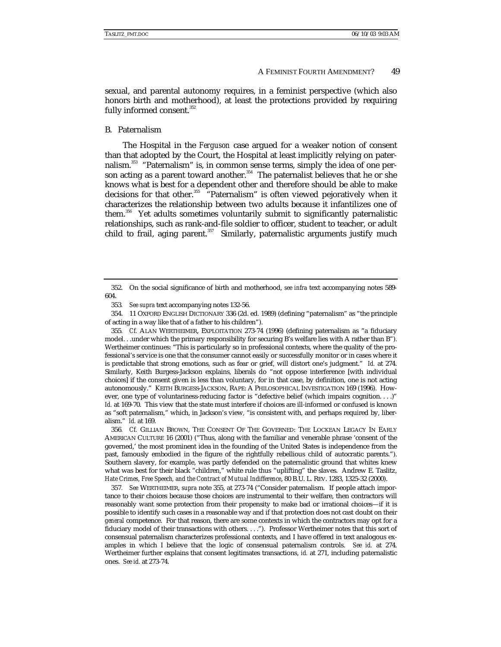sexual, and parental autonomy requires, in a feminist perspective (which also honors birth and motherhood), at least the protections provided by requiring fully informed consent.<sup>352</sup>

#### B. Paternalism

The Hospital in the *Ferguson* case argued for a weaker notion of consent than that adopted by the Court, the Hospital at least implicitly relying on paternalism.<sup>353</sup> "Paternalism" is, in common sense terms, simply the idea of one person acting as a parent toward another.<sup>354</sup> The paternalist believes that he or she knows what is best for a dependent other and therefore should be able to make decisions for that other.<sup>355</sup> "Paternalism" is often viewed pejoratively when it characterizes the relationship between two adults because it infantilizes one of them.<sup>356</sup> Yet adults sometimes voluntarily submit to significantly paternalistic relationships, such as rank-and-file soldier to officer, student to teacher, or adult child to frail, aging parent. $357$  Similarly, paternalistic arguments justify much

354. 11 OXFORD ENGLISH DICTIONARY 336 (2d. ed. 1989) (defining "paternalism" as "the principle of acting in a way like that of a father to his children").

355*. Cf.* ALAN WERTHEIMER, EXPLOITATION 273-74 (1996) (defining paternalism as "a fiduciary model. . .under which the primary responsibility for securing B's welfare lies with A rather than B"). Wertheimer continues: "This is particularly so in professional contexts, where the quality of the professional's service is one that the consumer cannot easily or successfully monitor or in cases where it is predictable that strong emotions, such as fear or grief, will distort one's judgment." *Id.* at 274. Similarly, Keith Burgess-Jackson explains, liberals do "not oppose interference [with individual choices] if the consent given is less than voluntary, for in that case, by definition, one is not acting autonomously." KEITH BURGESS-JACKSON, RAPE:APHILOSOPHICAL INVESTIGATION 169 (1996). However, one type of voluntariness-reducing factor is "defective belief (which impairs cognition. . . .)" *Id.* at 169-70. This view that the state must interfere if choices are ill-informed or confused is known as "soft paternalism," which, in Jackson's view, "is consistent with, and perhaps required by, liberalism." *Id.* at 169.

356*. Cf.* GILLIAN BROWN, THE CONSENT OF THE GOVERNED: THE LOCKEAN LEGACY IN EARLY AMERICAN CULTURE 16 (2001) ("Thus, along with the familiar and venerable phrase 'consent of the governed,' the most prominent idea in the founding of the United States is independence from the past, famously embodied in the figure of the rightfully rebellious child of autocratic parents."). Southern slavery, for example, was partly defended on the paternalistic ground that whites knew what was best for their black "children," white rule thus "uplifting" the slaves. Andrew E. Taslitz, *Hate Crimes, Free Speech, and the Contract of Mutual Indifference*, 80 B.U. L. REV. 1283, 1325-32 (2000).

357*. See* WERTHEIMER, *supra* note 355, at 273-74 ("Consider paternalism. If people attach importance to their choices because those choices are instrumental to their welfare, then contractors will reasonably want some protection from their propensity to make bad or irrational choices—if it is possible to identify such cases in a reasonable way and if that protection does not cast doubt on their *general* competence. For that reason, there are some contexts in which the contractors may opt for a fiduciary model of their transactions with others. . . ."). Professor Wertheimer notes that this sort of consensual paternalism characterizes professional contexts, and I have offered in text analogous examples in which I believe that the logic of consensual paternalism controls. *See id.* at 274. Wertheimer further explains that consent legitimates transactions, *id.* at 271, including paternalistic ones. *See id.* at 273-74.

<sup>352.</sup> On the social significance of birth and motherhood, *see infra* text accompanying notes 589- 604.

<sup>353</sup>*. See supra* text accompanying notes 132-56.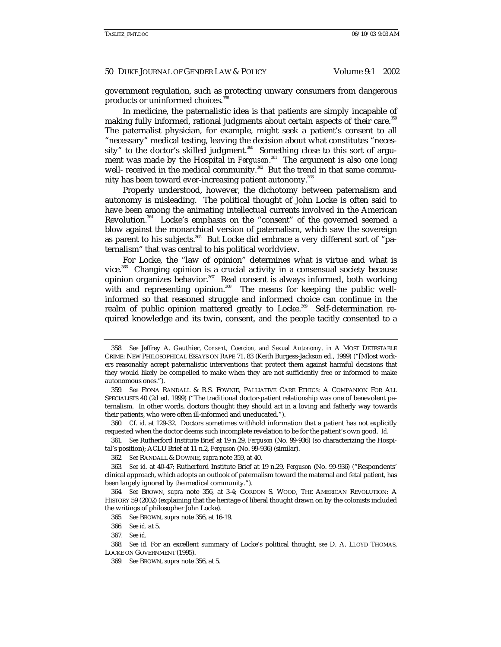government regulation, such as protecting unwary consumers from dangerous products or uninformed choices.<sup>35</sup>

In medicine, the paternalistic idea is that patients are simply incapable of making fully informed, rational judgments about certain aspects of their care.<sup>359</sup> The paternalist physician, for example, might seek a patient's consent to all "necessary" medical testing, leaving the decision about what constitutes "necessity" to the doctor's skilled judgment.<sup>360</sup> Something close to this sort of argument was made by the Hospital in *Ferguson*. <sup>361</sup> The argument is also one long well- received in the medical community.<sup>362</sup> But the trend in that same community has been toward ever-increasing patient autonomy.<sup>363</sup>

Properly understood, however, the dichotomy between paternalism and autonomy is misleading. The political thought of John Locke is often said to have been among the animating intellectual currents involved in the American Revolution.<sup>364</sup> Locke's emphasis on the "consent" of the governed seemed a blow against the monarchical version of paternalism, which saw the sovereign as parent to his subjects.<sup>365</sup> But Locke did embrace a very different sort of "paternalism" that was central to his political worldview.

For Locke, the "law of opinion" determines what is virtue and what is vice.<sup>366</sup> Changing opinion is a crucial activity in a consensual society because opinion organizes behavior.<sup>367</sup> Real consent is always informed, both working with and representing opinion.<sup>368</sup> The means for keeping the public wellinformed so that reasoned struggle and informed choice can continue in the realm of public opinion mattered greatly to Locke.<sup>369</sup> Self-determination required knowledge and its twin, consent, and the people tacitly consented to a

360*. Cf. id.* at 129-32. Doctors sometimes withhold information that a patient has not explicitly requested when the doctor deems such incomplete revelation to be for the patient's own good. *Id*.

361*. See* Rutherford Institute Brief at 19 n.29, *Ferguson* (No. 99-936) (so characterizing the Hospital's position); ACLU Brief at 11 n.2, *Ferguson* (No. 99-936) (similar).

<sup>358</sup>*. See* Jeffrey A. Gauthier, *Consent, Coercion, and Sexual Autonomy, in* A MOST DETESTABLE CRIME: NEW PHILOSOPHICAL ESSAYS ON RAPE 71, 83 (Keith Burgess-Jackson ed., 1999) ("[M]ost workers reasonably accept paternalistic interventions that protect them against harmful decisions that they would likely be compelled to make when they are not sufficiently free or informed to make autonomous ones.").

<sup>359.</sup> See FIONA RANDALL & R.S. FOWNIE, PALLIATIVE CARE ETHICS: A COMPANION FOR ALL SPECIALISTS 40 (2d ed. 1999) ("The traditional doctor-patient relationship was one of benevolent paternalism. In other words, doctors thought they should act in a loving and fatherly way towards their patients, who were often ill-informed and uneducated.").

<sup>362</sup>*. See* RANDALL & DOWNIE, *supra* note 359, at 40.

<sup>363</sup>*. See id.* at 40-47; Rutherford Institute Brief at 19 n.29, *Ferguson* (No. 99-936) ("Respondents' clinical approach, which adopts an outlook of paternalism toward the maternal and fetal patient, has been largely ignored by the medical community.").

<sup>364</sup>*. See* BROWN, *supra* note 356, at 3-4; GORDON S. WOOD, THE AMERICAN REVOLUTION: A HISTORY 59 (2002) (explaining that the heritage of liberal thought drawn on by the colonists included the writings of philosopher John Locke).

<sup>365</sup>*. See* BROWN, *supra* note 356, at 16-19.

<sup>366</sup>*. See id.* at 5.

<sup>367</sup>*. See id.*

<sup>368</sup>*. See id.* For an excellent summary of Locke's political thought, *see* D. A. LLOYD THOMAS, LOCKE ON GOVERNMENT (1995).

<sup>369</sup>*. See* BROWN, *supra* note 356, at 5.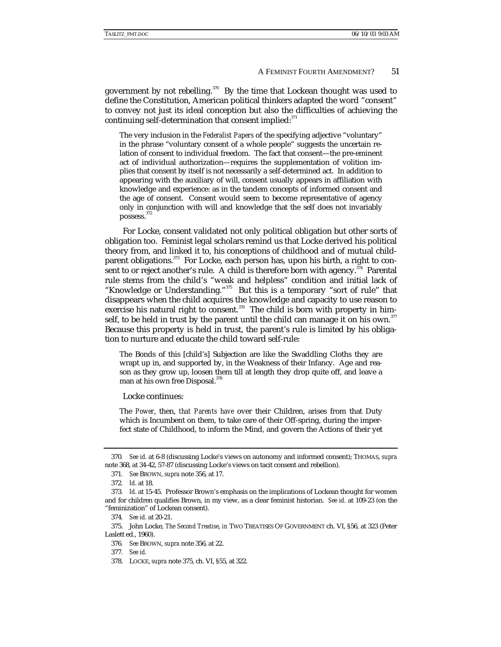government by not rebelling.<sup>370</sup> By the time that Lockean thought was used to define the Constitution, American political thinkers adapted the word "consent" to convey not just its ideal conception but also the difficulties of achieving the continuing self-determination that consent implied:<sup>371</sup>

The very inclusion in the *Federalist Papers* of the specifying adjective "voluntary" in the phrase "voluntary consent of a whole people" suggests the uncertain relation of consent to individual freedom. The fact that consent—the pre-eminent act of individual authorization—requires the supplementation of volition implies that consent by itself is not necessarily a self-determined act. In addition to appearing with the auxiliary of will, consent usually appears in affiliation with knowledge and experience: as in the tandem concepts of informed consent and the age of consent. Consent would seem to become representative of agency only in conjunction with will and knowledge that the self does not invariably possess.<sup>372</sup>

For Locke, consent validated not only political obligation but other sorts of obligation too. Feminist legal scholars remind us that Locke derived his political theory from, and linked it to, his conceptions of childhood and of mutual childparent obligations.<sup>373</sup> For Locke, each person has, upon his birth, a right to consent to or reject another's rule. A child is therefore born with agency.<sup>374</sup> Parental rule stems from the child's "weak and helpless" condition and initial lack of "Knowledge or Understanding."<sup>375</sup> But this is a temporary "sort of rule" that disappears when the child acquires the knowledge and capacity to use reason to exercise his natural right to consent.<sup>376</sup> The child is born with property in himself, to be held in trust by the parent until the child can manage it on his own. $377$ Because this property is held in trust, the parent's rule is limited by his obligation to nurture and educate the child toward self-rule:

The Bonds of this [child's] Subjection are like the Swaddling Cloths they are wrapt up in, and supported by, in the Weakness of their Infancy. Age and reason as they grow up, loosen them till at length they drop quite off, and leave a man at his own free Disposal.<sup>378</sup>

Locke continues:

The *Power*, then, *that Parents have* over their Children, arises from that Duty which is Incumbent on them, to take care of their Off-spring, during the imperfect state of Childhood, to inform the Mind, and govern the Actions of their yet

<sup>370</sup>*. See id.* at 6-8 (discussing Locke's views on autonomy and informed consent); THOMAS, *supra* note 368, at 34-42, 57-87 (discussing Locke's views on tacit consent and rebellion).

<sup>371</sup>*. See* BROWN, *supra* note 356, at 17.

<sup>372</sup>*. Id*. at 18.

<sup>373</sup>*. Id*. at 15-45. Professor Brown's emphasis on the implications of Lockean thought for women and for children qualifies Brown, in my view, as a clear feminist historian. *See id.* at 109-23 (on the "feminization" of Lockean consent).

<sup>374</sup>*. See id.* at 20-21.

<sup>375.</sup> John Locke, *The Second Treatise*, *in* TWO TREATISES OF GOVERNMENT ch. VI, §56, at 323 (Peter Laslett ed., 1960).

<sup>376</sup>*. See* BROWN, *supra* note 356, at 22.

<sup>377</sup>*. See id.*

<sup>378.</sup> LOCKE, *supra* note 375, ch. VI, §55, at 322.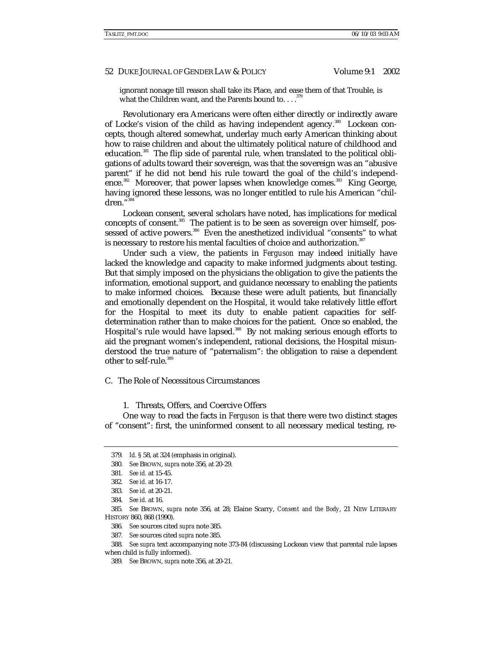ignorant nonage till reason shall take its Place, and ease them of that Trouble, is what the Children want, and the Parents bound to... $\cdot$ 

Revolutionary era Americans were often either directly or indirectly aware of Locke's vision of the child as having independent agency.<sup>380</sup> Lockean concepts, though altered somewhat, underlay much early American thinking about how to raise children and about the ultimately political nature of childhood and education.<sup>381</sup> The flip side of parental rule, when translated to the political obligations of adults toward their sovereign, was that the sovereign was an "abusive parent" if he did not bend his rule toward the goal of the child's independence. $382$  Moreover, that power lapses when knowledge comes. $383$  King George, having ignored these lessons, was no longer entitled to rule his American "children."<sup>384</sup>

Lockean consent, several scholars have noted, has implications for medical concepts of consent.<sup>385</sup> The patient is to be seen as sovereign over himself, possessed of active powers.<sup>386</sup> Even the anesthetized individual "consents" to what is necessary to restore his mental faculties of choice and authorization.<sup>387</sup>

Under such a view, the patients in *Ferguson* may indeed initially have lacked the knowledge and capacity to make informed judgments about testing. But that simply imposed on the physicians the obligation to give the patients the information, emotional support, and guidance necessary to enabling the patients to make informed choices. Because these were adult patients, but financially and emotionally dependent on the Hospital, it would take relatively little effort for the Hospital to meet its duty to enable patient capacities for selfdetermination rather than to make choices for the patient. Once so enabled, the Hospital's rule would have lapsed.<sup>388</sup> By not making serious enough efforts to aid the pregnant women's independent, rational decisions, the Hospital misunderstood the true nature of "paternalism": the obligation to raise a dependent other to self-rule.<sup>389</sup>

C. The Role of Necessitous Circumstances

1. Threats, Offers, and Coercive Offers

One way to read the facts in *Ferguson* is that there were two distinct stages of "consent": first, the uninformed consent to all necessary medical testing, re-

<sup>379</sup>*. Id.* § 58, at 324 (emphasis in original).

<sup>380</sup>*. See* BROWN, *supra* note 356, at 20-29.

<sup>381</sup>*. See id.* at 15-45.

<sup>382</sup>*. See id.* at 16-17.

<sup>383</sup>*. See id.* at 20-21.

<sup>384</sup>*. See id.* at 16.

<sup>385</sup>*. See* BROWN, *supra* note 356, at 28; Elaine Scarry, *Consent and the Body*, 21 NEW LITERARY HISTORY 860, 868 (1990).

<sup>386</sup>*. Se*e sources cited *supra* note 385.

<sup>387</sup>*. See* sources cited *supra* note 385.

<sup>388</sup>*. See supra* text accompanying note 373-84 (discussing Lockean view that parental rule lapses when child is fully informed).

<sup>389</sup>*. See* BROWN, *supra* note 356, at 20-21.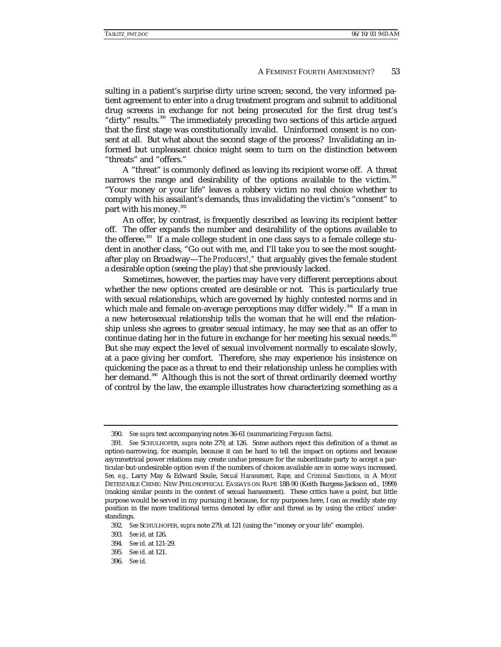sulting in a patient's surprise dirty urine screen; second, the very informed patient agreement to enter into a drug treatment program and submit to additional drug screens in exchange for not being prosecuted for the first drug test's "dirty" results.<sup>390</sup> The immediately preceding two sections of this article argued that the first stage was constitutionally invalid. Uninformed consent is no consent at all. But what about the second stage of the process? Invalidating an informed but unpleasant choice might seem to turn on the distinction between "threats" and "offers."

A "threat" is commonly defined as leaving its recipient worse off. A threat narrows the range and desirability of the options available to the victim.<sup>391</sup> "Your money or your life" leaves a robbery victim no real choice whether to comply with his assailant's demands, thus invalidating the victim's "consent" to part with his money.<sup>392</sup>

An offer, by contrast, is frequently described as leaving its recipient better off. The offer expands the number and desirability of the options available to the offeree.<sup>393</sup> If a male college student in one class says to a female college student in another class, "Go out with me, and I'll take you to see the most soughtafter play on Broadway—*The Producers!,"* that arguably gives the female student a desirable option (seeing the play) that she previously lacked.

Sometimes, however, the parties may have very different perceptions about whether the new options created are desirable or not. This is particularly true with sexual relationships, which are governed by highly contested norms and in which male and female on-average perceptions may differ widely.<sup>394</sup> If a man in a new heterosexual relationship tells the woman that he will end the relationship unless she agrees to greater sexual intimacy, he may see that as an offer to continue dating her in the future in exchange for her meeting his sexual needs.<sup>395</sup> But she may expect the level of sexual involvement normally to escalate slowly, at a pace giving her comfort. Therefore, she may experience his insistence on quickening the pace as a threat to end their relationship unless he complies with her demand.<sup>396</sup> Although this is not the sort of threat ordinarily deemed worthy of control by the law, the example illustrates how characterizing something as a

<sup>390</sup>*. See supra* text accompanying notes 36-61 (summarizing *Ferguson* facts).

<sup>391</sup>*. See* SCHULHOFER, *supra* note 279, at 126. Some authors reject this definition of a threat as option-narrowing, for example, because it can be hard to tell the impact on options and because asymmetrical power relations may create undue pressure for the subordinate party to accept a particular-but-undesirable option even if the numbers of choices available are in some ways increased. *See, e.g.,* Larry May & Edward Soule, *Sexual Harassment, Rape, and Criminal Sanctions, in* A MOST DETESTABLE CRIME: NEW PHILOSOPHICAL EASSAYS ON RAPE 188-90 (Keith Burgess-Jackson ed., 1999) (making similar points in the context of sexual harassment). These critics have a point, but little purpose would be served in my pursuing it because, for my purposes here, I can as readily state my position in the more traditional terms denoted by offer and threat as by using the critics' understandings.

<sup>392</sup>*. See* SCHULHOFER, *supra* note 279, at 121 (using the "money or your life" example).

<sup>393</sup>*. See id.* at 126.

<sup>394</sup>*. See id.* at 121-29.

<sup>395</sup>*. See id.* at 121.

<sup>396</sup>*. See id.*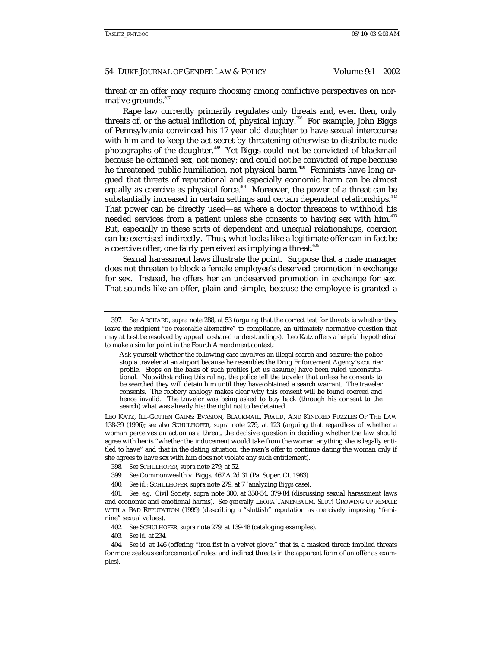threat or an offer may require choosing among conflictive perspectives on normative grounds.<sup>397</sup>

Rape law currently primarily regulates only threats and, even then, only threats of, or the actual infliction of, physical injury.<sup>398</sup> For example, John Biggs of Pennsylvania convinced his 17 year old daughter to have sexual intercourse with him and to keep the act secret by threatening otherwise to distribute nude photographs of the daughter.<sup>399</sup> Yet Biggs could not be convicted of blackmail because he obtained sex, not money; and could not be convicted of rape because he threatened public humiliation, not physical harm.<sup>400</sup> Feminists have long argued that threats of reputational and especially economic harm can be almost equally as coercive as physical force.<sup> $401$ </sup> Moreover, the power of a threat can be substantially increased in certain settings and certain dependent relationships. $402$ That power can be directly used—as where a doctor threatens to withhold his needed services from a patient unless she consents to having sex with him.<sup>403</sup> But, especially in these sorts of dependent and unequal relationships, coercion can be exercised indirectly. Thus, what looks like a legitimate offer can in fact be a coercive offer, one fairly perceived as implying a threat.<sup>404</sup>

Sexual harassment laws illustrate the point. Suppose that a male manager does not threaten to block a female employee's deserved promotion in exchange for sex. Instead, he offers her an *un*deserved promotion in exchange for sex. That sounds like an offer, plain and simple, because the employee is granted a

LEO KATZ, ILL-GOTTEN GAINS: EVASION, BLACKMAIL, FRAUD, AND KINDRED PUZZLES OF THE LAW 138-39 (1996); *see also* SCHULHOFER, *supra* note 279, at 123 (arguing that regardless of whether a woman perceives an action as a threat, the decisive question in deciding whether the law should agree with her is "whether the inducement would take from the woman anything she is legally entitled to have" and that in the dating situation, the man's offer to continue dating the woman only if she agrees to have sex with him does not violate any such entitlement).

- 398*. See* SCHULHOFER, *supra* note 279, at 52.
- 399*. See* Commonwealth v. Biggs, 467 A.2d 31 (Pa. Super. Ct. 1983).
- 400*. See id.;* SCHULHOFER*, supra* note 279, at 7 *(*analyzing *Biggs* case).

402*. See* SCHULHOFER, *supra* note 279, at 139-48 (cataloging examples).

403*. See id.* at 234.

<sup>397</sup>*. See* ARCHARD, *supra* note 288, at 53 (arguing that the correct test for threats is whether they leave the recipient *"no reasonable alternative"* to compliance, an ultimately normative question that may at best be resolved by appeal to shared understandings). Leo Katz offers a helpful hypothetical to make a similar point in the Fourth Amendment context:

Ask yourself whether the following case involves an illegal search and seizure: the police stop a traveler at an airport because he resembles the Drug Enforcement Agency's courier profile. Stops on the basis of such profiles [let us assume] have been ruled unconstitutional. Notwithstanding this ruling, the police tell the traveler that unless he consents to be searched they will detain him until they have obtained a search warrant. The traveler consents. The robbery analogy makes clear why this consent will be found coerced and hence invalid. The traveler was being asked to buy back (through his consent to the search) what was already his: the right not to be detained.

<sup>401</sup>*. See, e.g., Civil Society, supra* note 300, at 350-54, 379-84 (discussing sexual harassment laws and economic and emotional harms). *See generally* LEORA TANENBAUM, SLUT! GROWING UP FEMALE WITH A BAD REPUTATION (1999) (describing a "sluttish" reputation as coercively imposing "feminine" sexual values).

<sup>404</sup>*. See id.* at 146 (offering "iron fist in a velvet glove," that is, a masked threat; implied threats for more zealous enforcement of rules; and indirect threats in the apparent form of an offer as examples).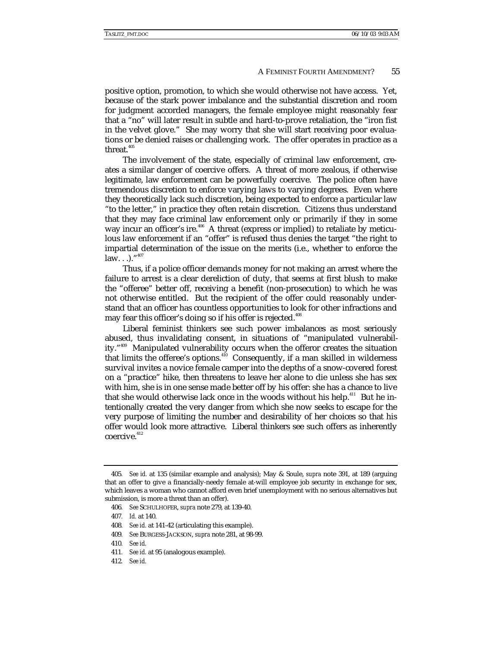positive option, promotion, to which she would otherwise not have access. Yet, because of the stark power imbalance and the substantial discretion and room for judgment accorded managers, the female employee might reasonably fear that a "no" will later result in subtle and hard-to-prove retaliation, the "iron fist in the velvet glove." She may worry that she will start receiving poor evaluations or be denied raises or challenging work. The offer operates in practice as a threat.<sup>405</sup>

The involvement of the state, especially of criminal law enforcement, creates a similar danger of coercive offers. A threat of more zealous, if otherwise legitimate, law enforcement can be powerfully coercive. The police often have tremendous discretion to enforce varying laws to varying degrees. Even where they theoretically lack such discretion, being expected to enforce a particular law "to the letter," in practice they often retain discretion. Citizens thus understand that they may face criminal law enforcement only or primarily if they in some way incur an officer's ire.<sup>406</sup> A threat (express or implied) to retaliate by meticulous law enforcement if an "offer" is refused thus denies the target "the right to impartial determination of the issue on the merits (i.e., whether to enforce the  $law.$ ... $^{107}$ 

Thus, if a police officer demands money for not making an arrest where the failure to arrest is a clear dereliction of duty, that seems at first blush to make the "offeree" better off, receiving a benefit (non-prosecution) to which he was not otherwise entitled. But the recipient of the offer could reasonably understand that an officer has countless opportunities to look for other infractions and may fear this officer's doing so if his offer is rejected.<sup>408</sup>

Liberal feminist thinkers see such power imbalances as most seriously abused, thus invalidating consent, in situations of "manipulated vulnerability."<sup>409</sup> Manipulated vulnerability occurs when the offeror creates the situation that limits the offeree's options.<sup>410</sup> Consequently, if a man skilled in wilderness survival invites a novice female camper into the depths of a snow-covered forest on a "practice" hike, then threatens to leave her alone to die unless she has sex with him, she is in one sense made better off by his offer: she has a chance to live that she would otherwise lack once in the woods without his help.<sup>411</sup> But he intentionally created the very danger from which she now seeks to escape for the very purpose of limiting the number and desirability of her choices so that his offer would look more attractive. Liberal thinkers see such offers as inherently coercive.<sup>412</sup>

<sup>405</sup>*. See id.* at 135 (similar example and analysis); May & Soule, *supra* note 391, at 189 (arguing that an offer to give a financially-needy female at-will employee job security in exchange for sex, which leaves a woman who cannot afford even brief unemployment with no serious alternatives but submission, is more a threat than an offer).

<sup>406</sup>*. See* SCHULHOFER, *supra* note 279, at 139-40.

<sup>407</sup>*. Id.* at 140.

<sup>408</sup>*. See id.* at 141-42 (articulating this example).

<sup>409</sup>*. See* BURGESS-JACKSON, *supra* note 281, at 98-99.

<sup>410</sup>*. See id.*

<sup>411</sup>*. See id.* at 95 (analogous example).

<sup>412</sup>*. See id.*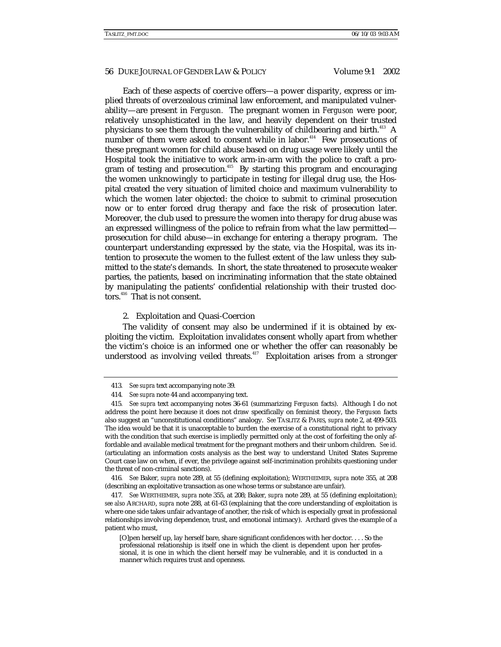Each of these aspects of coercive offers—a power disparity, express or implied threats of overzealous criminal law enforcement, and manipulated vulnerability—are present in *Ferguson.* The pregnant women in *Ferguson* were poor, relatively unsophisticated in the law, and heavily dependent on their trusted physicians to see them through the vulnerability of childbearing and birth.<sup>413</sup> A number of them were asked to consent while in labor.<sup>414</sup> Few prosecutions of these pregnant women for child abuse based on drug usage were likely until the Hospital took the initiative to work arm-in-arm with the police to craft a program of testing and prosecution.<sup>415</sup> By starting this program and encouraging the women unknowingly to participate in testing for illegal drug use, the Hospital created the very situation of limited choice and maximum vulnerability to which the women later objected: the choice to submit to criminal prosecution now or to enter forced drug therapy and face the risk of prosecution later. Moreover, the club used to pressure the women into therapy for drug abuse was an expressed willingness of the police to refrain from what the law permitted prosecution for child abuse—in exchange for entering a therapy program. The counterpart understanding expressed by the state, via the Hospital, was its intention to prosecute the women to the fullest extent of the law unless they submitted to the state's demands. In short, the state threatened to prosecute weaker parties, the patients, based on incriminating information that the state obtained by manipulating the patients' confidential relationship with their trusted doctors.<sup>416</sup> That is not consent.

## 2. Exploitation and Quasi-Coercion

The validity of consent may also be undermined if it is obtained by exploiting the victim. Exploitation invalidates consent wholly apart from whether the victim's choice is an informed one or whether the offer can reasonably be understood as involving veiled threats.<sup>417</sup> Exploitation arises from a stronger

416*. See* Baker, *supra* note 289, at 55 (defining exploitation); WERTHEIMER, *supra* note 355, at 208 (describing an exploitative transaction as one whose terms or substance are unfair).

417*. See* WERTHEIMER, *supra* note 355, at 208; Baker, *supra* note 289, at 55 (defining exploitation); *see also* ARCHARD, *supra* note 288, at 61-63 (explaining that the core understanding of exploitation is where one side takes unfair advantage of another, the risk of which is especially great in professional relationships involving dependence, trust, and emotional intimacy). Archard gives the example of a patient who must,

<sup>413</sup>*. See supra* text accompanying note 39.

<sup>414</sup>*. See supra* note 44 and accompanying text.

<sup>415</sup>*. See supra* text accompanying notes 36-61 (summarizing *Ferguson* facts). Although I do not address the point here because it does not draw specifically on feminist theory, the *Ferguson* facts also suggest an "unconstitutional conditions" analogy. *See* TASLITZ & PARIS, *supra* note 2, at 499-503. The idea would be that it is unacceptable to burden the exercise of a constitutional right to privacy with the condition that such exercise is impliedly permitted only at the cost of forfeiting the only affordable and available medical treatment for the pregnant mothers and their unborn children. *See id.* (articulating an information costs analysis as the best way to understand United States Supreme Court case law on when, if ever, the privilege against self-incrimination prohibits questioning under the threat of non-criminal sanctions).

<sup>[</sup>O]pen herself up, lay herself bare, share significant confidences with her doctor. . . . So the professional relationship is itself one in which the client is dependent upon her professional, it is one in which the client herself may be vulnerable, and it is conducted in a manner which requires trust and openness.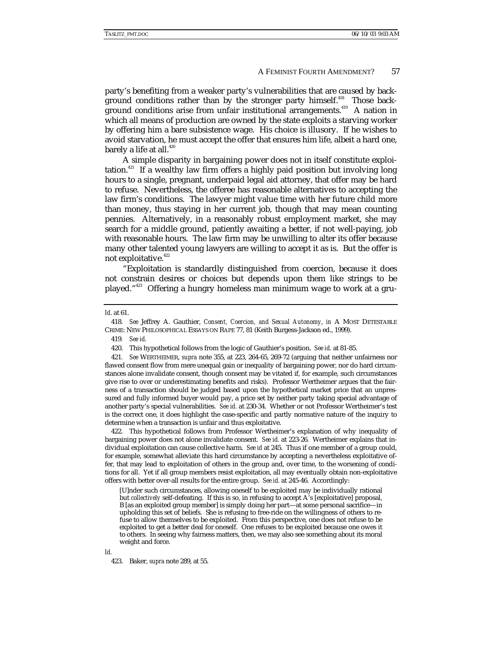party's benefiting from a weaker party's vulnerabilities that are caused by background conditions rather than by the stronger party himself.<sup>418</sup> Those background conditions arise from unfair institutional arrangements.<sup>419</sup> A nation in which all means of production are owned by the state exploits a starving worker by offering him a bare subsistence wage. His choice is illusory. If he wishes to avoid starvation, he must accept the offer that ensures him life, albeit a hard one, barely a life at all.<sup>420</sup>

A simple disparity in bargaining power does not in itself constitute exploitation.<sup>421</sup> If a wealthy law firm offers a highly paid position but involving long hours to a single, pregnant, underpaid legal aid attorney, that offer may be hard to refuse. Nevertheless, the offeree has reasonable alternatives to accepting the law firm's conditions. The lawyer might value time with her future child more than money, thus staying in her current job, though that may mean counting pennies. Alternatively, in a reasonably robust employment market, she may search for a middle ground, patiently awaiting a better, if not well-paying, job with reasonable hours. The law firm may be unwilling to alter its offer because many other talented young lawyers are willing to accept it as is. But the offer is not exploitative.<sup>422</sup>

"Exploitation is standardly distinguished from coercion, because it does not constrain desires or choices but depends upon them like strings to be played."<sup>423</sup> Offering a hungry homeless man minimum wage to work at a gru-

421*. See* WERTHEIMER, *supra* note 355, at 223, 264-65, 269-72 (arguing that neither unfairness nor flawed consent flow from mere unequal gain or inequality of bargaining power, nor do hard circumstances alone invalidate consent, though consent may be vitated if, for example, such circumstances give rise to over or underestimating benefits and risks). Professor Wertheimer argues that the fairness of a transaction should be judged based upon the hypothetical market price that an unpressured and fully informed buyer would pay, a price set by neither party taking special advantage of another party's special vulnerabilities. *See id.* at 230-34. Whether or not Professor Wertheimer's test is the correct one, it does highlight the case-specific and partly normative nature of the inquiry to determine when a transaction is unfair and thus exploitative.

422. This hypothetical follows from Professor Wertheimer's explanation of why inequality of bargaining power does not alone invalidate consent. *See id.* at 223-26. Wertheimer explains that individual exploitation can cause collective harm. *See id* at 245. Thus if one member of a group could, for example, somewhat alleviate this hard circumstance by accepting a nevertheless exploitative offer, that may lead to exploitation of others in the group and, over time, to the worsening of conditions for all. Yet if all group members resist exploitation, all may eventually obtain non-exploitative offers with better over-all results for the entire group. *See id.* at 245-46. Accordingly:

[U]nder such circumstances, allowing oneself to be exploited may be individually rational but *collectively* self-defeating. If this is so, in refusing to accept A's [exploitative] proposal, B [as an exploited group member] is simply doing her part—at some personal sacrifice—in upholding this set of beliefs. She is refusing to free-ride on the willingness of others to refuse to allow themselves to be exploited. From this perspective, one does not refuse to be exploited to get a better deal for oneself. One refuses to be exploited because one owes it to others. In seeing why fairness matters, then, we may also see something about its moral weight and force.

*Id.*

423. Baker, *supra* note 289, at 55.

*Id*. at 61.

<sup>418</sup>*. See* Jeffrey A. Gauthier, *Consent, Coercion, and Sexual Autonomy*, *in* A MOST DETESTABLE CRIME: NEW PHILOSOPHICAL ESSAYS ON RAPE 77, 81 (Keith Burgess-Jackson ed., 1999).

<sup>419</sup>*. See id.*

<sup>420.</sup> This hypothetical follows from the logic of Gauthier's position. *See id.* at 81-85.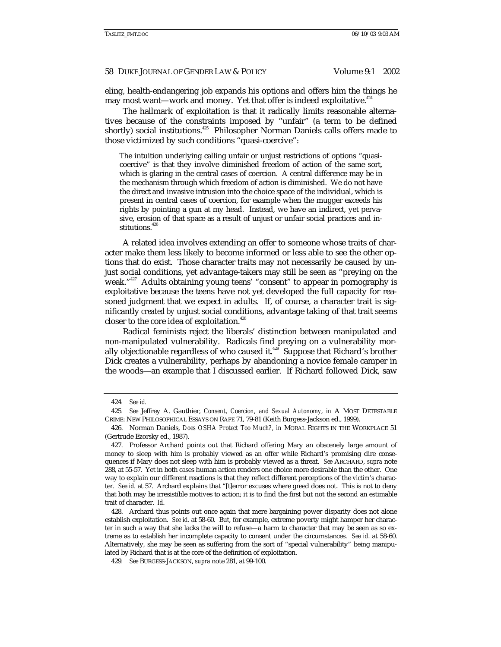eling, health-endangering job expands his options and offers him the things he may most want—work and money. Yet that offer is indeed exploitative.<sup>424</sup>

The hallmark of exploitation is that it radically limits reasonable alternatives because of the constraints imposed by "unfair" (a term to be defined shortly) social institutions.<sup>425</sup> Philosopher Norman Daniels calls offers made to those victimized by such conditions "quasi-coercive":

The intuition underlying calling unfair or unjust restrictions of options "quasicoercive" is that they involve diminished freedom of action of the same sort, which is glaring in the central cases of coercion. A central difference may be in the mechanism through which freedom of action is diminished. We do not have the direct and invasive intrusion into the choice space of the individual, which is present in central cases of coercion, for example when the mugger exceeds his rights by pointing a gun at my head. Instead, we have an indirect, yet pervasive, erosion of that space as a result of unjust or unfair social practices and institutions.<sup>426</sup>

A related idea involves extending an offer to someone whose traits of character make them less likely to become informed or less able to see the other options that do exist. Those character traits may not necessarily be caused by unjust social conditions, yet advantage-takers may still be seen as "preying on the weak."<sup>427</sup> Adults obtaining young teens' "consent" to appear in pornography is exploitative because the teens have not yet developed the full capacity for reasoned judgment that we expect in adults. If, of course, a character trait is significantly *created by* unjust social conditions, advantage taking of that trait seems closer to the core idea of exploitation.<sup>428</sup>

Radical feminists reject the liberals' distinction between manipulated and non-manipulated vulnerability. Radicals find preying on a vulnerability morally objectionable regardless of who caused it.<sup> $429$ </sup> Suppose that Richard's brother Dick creates a vulnerability, perhaps by abandoning a novice female camper in the woods—an example that I discussed earlier. If Richard followed Dick, saw

<sup>424</sup>*. See id.*

<sup>425</sup>*. See* Jeffrey A. Gauthier, *Consent, Coercion, and Sexual Autonomy*, *in* A MOST DETESTABLE CRIME: NEW PHILOSOPHICAL ESSAYS ON RAPE 71, 79-81 (Keith Burgess-Jackson ed., 1999).

<sup>426.</sup> Norman Daniels, *Does OSHA Protect Too Much?, in* MORAL RIGHTS IN THE WORKPLACE 51 (Gertrude Ezorsky ed., 1987).

<sup>427.</sup> Professor Archard points out that Richard offering Mary an obscenely large amount of money to sleep with him is probably viewed as an offer while Richard's promising dire consequences if Mary does not sleep with him is probably viewed as a threat. *See* ARCHARD, *supra* note 288, at 55-57. Yet in both cases human action renders one choice more desirable than the other. One way to explain our different reactions is that they reflect different perceptions of the *victim's* character. *See id.* at 57. Archard explains that "[t]error excuses where greed does not. This is not to deny that both may be irresistible motives to action; it is to find the first but not the second an estimable trait of character. *Id*.

<sup>428.</sup> Archard thus points out once again that mere bargaining power disparity does not alone establish exploitation. *See id.* at 58-60. But, for example, extreme poverty might hamper her character in such a way that she lacks the will to refuse—a harm to character that may be seen as so extreme as to establish her incomplete capacity to consent under the circumstances. *See id*. at 58-60. Alternatively, she may be seen as suffering from the sort of "special vulnerability" being manipulated by Richard that is at the core of the definition of exploitation.

<sup>429</sup>*. See* BURGESS-JACKSON, *supra* note 281, at 99-100.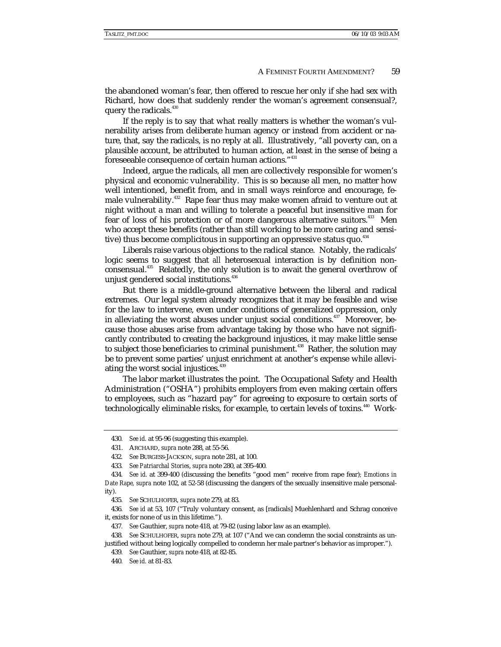the abandoned woman's fear, then offered to rescue her only if she had sex with Richard, how does that suddenly render the woman's agreement consensual?, query the radicals.<sup>430</sup>

If the reply is to say that what really matters is whether the woman's vulnerability arises from deliberate human agency or instead from accident or nature, that, say the radicals, is no reply at all. Illustratively, "all poverty can, on a plausible account, be attributed to human action, at least in the sense of being a foreseeable consequence of certain human actions."<sup>431</sup>

Indeed, argue the radicals, all men are collectively responsible for women's physical and economic vulnerability. This is so because all men, no matter how well intentioned, benefit from, and in small ways reinforce and encourage, female vulnerability.<sup>432</sup> Rape fear thus may make women afraid to venture out at night without a man and willing to tolerate a peaceful but insensitive man for fear of loss of his protection or of more dangerous alternative suitors.<sup>433</sup> Men who accept these benefits (rather than still working to be more caring and sensitive) thus become complicitous in supporting an oppressive status quo.<sup>434</sup>

Liberals raise various objections to the radical stance. Notably, the radicals' logic seems to suggest that *all* heterosexual interaction is by definition nonconsensual.<sup>435</sup> Relatedly, the only solution is to await the general overthrow of unjust gendered social institutions.<sup>436</sup>

But there is a middle-ground alternative between the liberal and radical extremes. Our legal system already recognizes that it may be feasible and wise for the law to intervene, even under conditions of generalized oppression, only in alleviating the worst abuses under unjust social conditions.<sup> $437$ </sup> Moreover, because those abuses arise from advantage taking by those who have not significantly contributed to creating the background injustices, it may make little sense to subject those beneficiaries to criminal punishment.<sup>438</sup> Rather, the solution may be to prevent some parties' unjust enrichment at another's expense while alleviating the worst social injustices.<sup>439</sup>

The labor market illustrates the point. The Occupational Safety and Health Administration ("OSHA") prohibits employers from even making certain offers to employees, such as "hazard pay" for agreeing to exposure to certain sorts of technologically eliminable risks, for example, to certain levels of toxins.<sup>440</sup> Work-

<sup>430</sup>*. See id.* at 95-96 (suggesting this example).

<sup>431.</sup> ARCHARD, *supra* note 288, at 55-56.

<sup>432</sup>*. See* BURGESS-JACKSON, *supra* note 281, at 100.

<sup>433</sup>*. See Patriarchal Stories*, *supra* note 280, at 395-400*.*

<sup>434</sup>*. See id.* at 399-400 (discussing the benefits "good men" receive from rape fear)*; Emotions in Date Rape, supra* note 102, at 52-58 (discussing the dangers of the sexually insensitive male personality).

<sup>435</sup>*. See* SCHULHOFER*, supra* note 279, at 83.

<sup>436</sup>*. See id* at 53, 107 ("Truly voluntary consent, as [radicals] Muehlenhard and Schrag conceive it, exists for none of us in this lifetime.").

<sup>437</sup>*. See* Gauthier, *supra* note 418, at 79-82 (using labor law as an example).

<sup>438</sup>*. See* SCHULHOFER, *supra* note 279, at 107 ("And we can condemn the social constraints as unjustified without being logically compelled to condemn her male partner's behavior as improper.").

<sup>439</sup>*. See* Gauthier, *supra* note 418, at 82-85.

<sup>440</sup>*. See id.* at 81-83.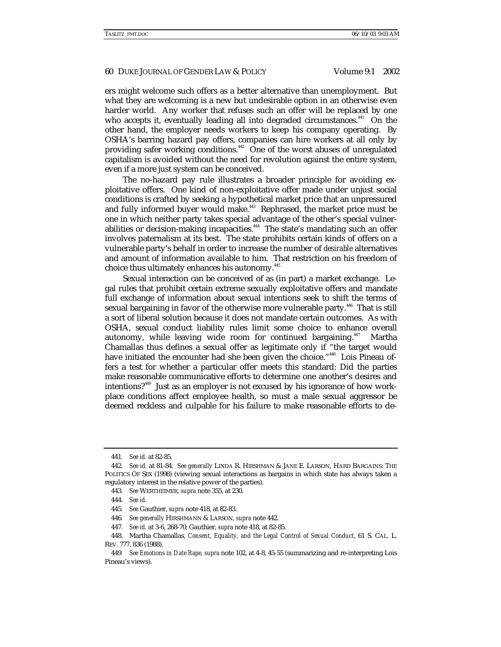## 60 DUKE JOURNAL OF GENDER LAW & POLICY Volume 9:1 2002

ers might welcome such offers as a better alternative than unemployment. But what they are welcoming is a new but undesirable option in an otherwise even harder world. Any worker that refuses such an offer will be replaced by one who accepts it, eventually leading all into degraded circumstances.<sup>441</sup> On the other hand, the employer needs workers to keep his company operating. By OSHA's barring hazard pay offers, companies can hire workers at all only by providing safer working conditions.<sup>442</sup> One of the worst abuses of unregulated capitalism is avoided without the need for revolution against the entire system, even if a more just system can be conceived.

The no-hazard pay rule illustrates a broader principle for avoiding exploitative offers. One kind of non-exploitative offer made under unjust social conditions is crafted by seeking a hypothetical market price that an unpressured and fully informed buyer would make.<sup>443</sup> Rephrased, the market price must be one in which neither party takes special advantage of the other's special vulnerabilities or decision-making incapacities.<sup>444</sup> The state's mandating such an offer involves paternalism at its best. The state prohibits certain kinds of offers on a vulnerable party's behalf in order to increase the number of *desirable* alternatives and amount of information available to him. That restriction on his freedom of choice thus ultimately enhances his autonomy.<sup>445</sup>

Sexual interaction can be conceived of as (in part) a market exchange. Legal rules that prohibit certain extreme sexually exploitative offers and mandate full exchange of information about sexual intentions seek to shift the terms of sexual bargaining in favor of the otherwise more vulnerable party.<sup>446</sup> That is still a sort of liberal solution because it does not mandate certain outcomes. As with OSHA, sexual conduct liability rules limit some choice to enhance overall autonomy, while leaving wide room for continued bargaining.<sup>447</sup> Martha Chamallas thus defines a sexual offer as legitimate only if "the target would have initiated the encounter had she been given the choice."<sup>448</sup> Lois Pineau offers a test for whether a particular offer meets this standard: Did the parties make reasonable communicative efforts to determine one another's desires and intentions?<sup>449</sup> Just as an employer is not excused by his ignorance of how workplace conditions affect employee health, so must a male sexual aggressor be deemed reckless and culpable for his failure to make reasonable efforts to de-

<sup>441</sup>*. See id.* at 82-85.

<sup>442</sup>*. See id.* at 81-84. *See generally* LINDA R. HIRSHMAN & JANE E. LARSON, HARD BARGAINS: THE POLITICS OF SEX (1998) (viewing sexual interactions as bargains in which state has always taken a regulatory interest in the relative power of the parties).

<sup>443</sup>*. See* WERTHEIMER*, supra* note 355, at 230.

<sup>444</sup>*. See id.*

<sup>445</sup>*. See* Gauthier, *supra* note 418, at 82-83.

<sup>446</sup>*. See generally* HIRSHMANN & LARSON, *supra* note 442.

<sup>447</sup>*. See id.* at 3-6, 268-70; Gauthier, *supra* note 418, at 82-85.

<sup>448.</sup> Martha Chamallas, *Consent, Equality, and the Legal Control of Sexual Conduct*, 61 S. CAL. L. REV. 777, 836 (1988).

<sup>449</sup>*. See Emotions in Date Rape, supra* note 102, at 4-8, 45-55 (summarizing and re-interpreting Lois Pineau's views).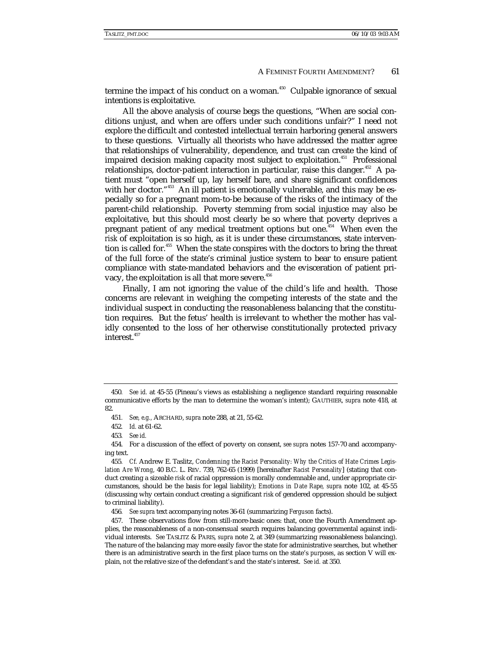termine the impact of his conduct on a woman. $450$  Culpable ignorance of sexual intentions is exploitative.

All the above analysis of course begs the questions, "When are social conditions unjust, and when are offers under such conditions unfair?" I need not explore the difficult and contested intellectual terrain harboring general answers to these questions. Virtually all theorists who have addressed the matter agree that relationships of vulnerability, dependence, and trust can create the kind of impaired decision making capacity most subject to exploitation.<sup>451</sup> Professional relationships, doctor-patient interaction in particular, raise this danger.<sup>452</sup> A patient must "open herself up, lay herself bare, and share significant confidences with her doctor.<sup>"453</sup> An ill patient is emotionally vulnerable, and this may be especially so for a pregnant mom-to-be because of the risks of the intimacy of the parent-child relationship. Poverty stemming from social injustice may also be exploitative, but this should most clearly be so where that poverty deprives a pregnant patient of any medical treatment options but one.<sup>454</sup> When even the *risk* of exploitation is so high, as it is under these circumstances, state intervention is called for.<sup>455</sup> When the state conspires with the doctors to bring the threat of the full force of the state's criminal justice system to bear to ensure patient compliance with state-mandated behaviors and the evisceration of patient privacy, the exploitation is all that more severe.<sup>456</sup>

Finally, I am not ignoring the value of the child's life and health. Those concerns are relevant in weighing the competing interests of the state and the individual suspect in conducting the reasonableness balancing that the constitution requires. But the fetus' health is irrelevant to whether the mother has validly consented to the loss of her otherwise constitutionally protected privacy interest.<sup>457</sup>

454. For a discussion of the effect of poverty on consent, *see supra* notes 157-70 and accompanying text.

455*. Cf.* Andrew E. Taslitz, *Condemning the Racist Personality: Why the Critics of Hate Crimes Legislation Are Wrong*, 40 B.C. L. REV. 739, 762-65 (1999) [hereinafter *Racist Personality*] (stating that conduct creating a sizeable *risk* of racial oppression is morally condemnable and, under appropriate circumstances, should be the basis for legal liability); *Emotions in Date Rape, supra* note 102, at 45-55 (discussing why certain conduct creating a significant *risk* of gendered oppression should be subject to criminal liability).

457. These observations flow from still-more-basic ones: that, once the Fourth Amendment applies, the reasonableness of a non-consensual search requires balancing governmental against individual interests. *See* TASLITZ & PARIS, *supra* note 2, at 349 (summarizing reasonableness balancing). The nature of the balancing may more easily favor the state for administrative searches, but whether there is an administrative search in the first place turns on the state's *purposes*, as section V will explain, *not* the relative size of the defendant's and the state's interest. *See id.* at 350.

<sup>450</sup>*. See id.* at 45-55 (Pineau's views as establishing a negligence standard requiring reasonable communicative efforts by the man to determine the woman's intent); GAUTHIER, *supra* note 418, at 82.

<sup>451</sup>*. See, e.g.,* ARCHARD, *supra* note 288, at 21, 55-62.

<sup>452</sup>*. Id.* at 61-62.

<sup>453</sup>*. See id.*

<sup>456</sup>*. See supra* text accompanying notes 36-61 (summarizing *Ferguson* facts).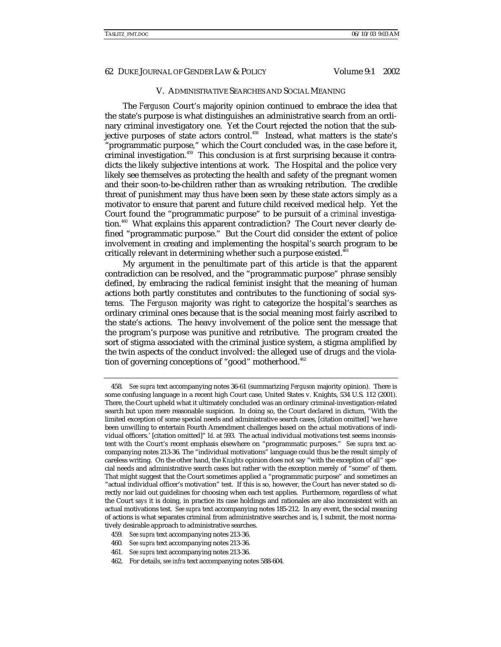# V. ADMINISTRATIVE SEARCHES AND SOCIAL MEANING

The *Ferguson* Court's majority opinion continued to embrace the idea that the state's purpose is what distinguishes an administrative search from an ordinary criminal investigatory one. Yet the Court rejected the notion that the subjective purposes of state actors control.<sup>458</sup> Instead, what matters is the state's "programmatic purpose," which the Court concluded was, in the case before it, criminal investigation.<sup>459</sup> This conclusion is at first surprising because it contradicts the likely subjective intentions at work. The Hospital and the police very likely see themselves as protecting the health and safety of the pregnant women and their soon-to-be-children rather than as wreaking retribution. The credible threat of punishment may thus have been seen by these state actors simply as a motivator to ensure that parent and future child received medical help. Yet the Court found the "programmatic purpose" to be pursuit of a *criminal* investigation.<sup>460</sup> What explains this apparent contradiction? The Court never clearly defined "programmatic purpose." But the Court did consider the extent of police involvement in creating and implementing the hospital's search program to be critically relevant in determining whether such a purpose existed.<sup>461</sup>

My argument in the penultimate part of this article is that the apparent contradiction can be resolved, and the "programmatic purpose" phrase sensibly defined, by embracing the radical feminist insight that the meaning of human actions both partly constitutes and contributes to the functioning of social systems. The *Ferguson* majority was right to categorize the hospital's searches as ordinary criminal ones because that is the social meaning most fairly ascribed to the state's actions. The heavy involvement of the police sent the message that the program's purpose was punitive and retributive. The program created the sort of stigma associated with the criminal justice system, a stigma amplified by the twin aspects of the conduct involved: the alleged use of drugs *and* the violation of governing conceptions of "good" motherhood.<sup>462</sup>

- 459*. See supra* text accompanying notes 213-36.
- 460*. See supra* text accompanying notes 213-36.
- 461*. See supra* text accompanying notes 213-36.
- 462. For details, *see infra* text accompanying notes 588-604.

<sup>458</sup>*. See supra* text accompanying notes 36-61 (summarizing *Ferguson* majority opinion). There is some confusing language in a recent high Court case, United States v. Knights, 534 U.S. 112 (2001). There, the Court upheld what it ultimately concluded was an ordinary criminal-investigation-related search but upon mere reasonable suspicion. In doing so, the Court declared in dictum, "With the limited exception of some special needs and administrative search cases, [citation omitted] 'we have been unwilling to entertain Fourth Amendment challenges based on the actual motivations of individual officers.' [citation omitted]" *Id.* at 593. The actual individual motivations test seems inconsistent with the Court's recent emphasis elsewhere on "programmatic purposes." *See supra* text accompanying notes 213-36. The "individual motivations" language could thus be the result simply of careless writing. On the other hand, the *Knights* opinion does not say "with the exception of *all*" special needs and administrative search cases but rather with the exception merely of "some" of them. That might suggest that the Court sometimes applied a "programmatic purpose" and sometimes an "actual individual officer's motivation" test. If this is so, however, the Court has never stated so directly nor laid out guidelines for choosing when each test applies. Furthermore, regardless of what the Court *says* it is doing, in practice its case holdings and rationales are also inconsistent with an actual motivations test. *See supra* text accompanying notes 185-212. In any event, the social meaning of actions is what separates criminal from administrative searches and is, I submit, the most normatively desirable approach to administrative searches.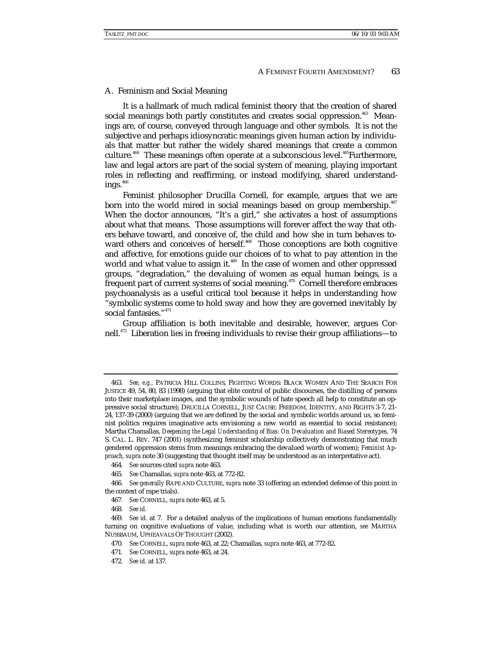## A. Feminism and Social Meaning

It is a hallmark of much radical feminist theory that the creation of shared social meanings both partly constitutes and creates social oppression.<sup>463</sup> Meanings are, of course, conveyed through language and other symbols. It is not the subjective and perhaps idiosyncratic meanings given human action by individuals that matter but rather the widely shared meanings that create a common culture.<sup>464</sup> These meanings often operate at a subconscious level.<sup>465</sup>Furthermore, law and legal actors are part of the social system of meaning, playing important roles in reflecting and reaffirming, or instead modifying, shared understandings. $466$ 

Feminist philosopher Drucilla Cornell, for example, argues that we are born into the world mired in social meanings based on group membership.<sup>467</sup> When the doctor announces, "It's a girl," she activates a host of assumptions about what that means. Those assumptions will forever affect the way that others behave toward, and conceive of, the child and how she in turn behaves toward others and conceives of herself.<sup>468</sup> Those conceptions are both cognitive and affective, for emotions guide our choices of to what to pay attention in the world and what value to assign it.<sup>469</sup> In the case of women and other oppressed groups, "degradation," the devaluing of women as equal human beings, is a frequent part of current systems of social meaning.<sup>470</sup> Cornell therefore embraces psychoanalysis as a useful critical tool because it helps in understanding how "symbolic systems come to hold sway and how they are governed inevitably by social fantasies."<sup>471</sup>

Group affiliation is both inevitable and desirable, however, argues Cornell.<sup>472</sup> Liberation lies in freeing individuals to revise their group affiliations—to

<sup>463</sup>*. See, e.g.,* PATRICIA HILL COLLINS, FIGHTING WORDS: BLACK WOMEN AND THE SEARCH FOR JUSTICE 49, 54, 80, 83 (1998) (arguing that elite control of public discourses, the distilling of persons into their marketplace images, and the symbolic wounds of hate speech all help to constitute an oppressive social structure); DRUCILLA CORNELL, JUST CAUSE: FREEDOM, IDENTITY, AND RIGHTS 3-7, 21- 24, 137-39 (2000) (arguing that we are defined by the social and symbolic worlds around us, so feminist politics requires imaginative acts envisioning a new world as essential to social resistance); Martha Chamallas, *Deepening the Legal Understanding of Bias: On Devaluation and Biased Stereotypes,* 74 S. CAL. L. REV. 747 (2001) (synthesizing feminist scholarship collectively demonstrating that much gendered oppression stems from meanings embracing the devalued worth of women); *Feminist Approach, supra* note 30 (suggesting that thought itself may be understood as an interpretative act).

<sup>464</sup>*. See* sources cited *supra* note 463.

<sup>465</sup>*. See* Chamallas, *supra* note 463, at 772-82.

<sup>466</sup>*. See generally* RAPE AND CULTURE, *supra* note 33 (offering an extended defense of this point in the context of rape trials).

<sup>467</sup>*. See* CORNELL*, supra* note 463, at 5.

<sup>468</sup>*. See id.*

<sup>469</sup>*. See id.* at 7. For a detailed analysis of the implications of human emotions fundamentally turning on cognitive evaluations of value, including what is worth our attention, *see* MARTHA NUSSBAUM, UPHEAVALS OF THOUGHT (2002).

<sup>470</sup>*. See* CORNELL, *supra* note 463, at 22; Chamallas, *supra* note 463, at 772-82.

<sup>471</sup>*. See* CORNELL*, supra* note 463, at 24.

<sup>472</sup>*. See id.* at 137*.*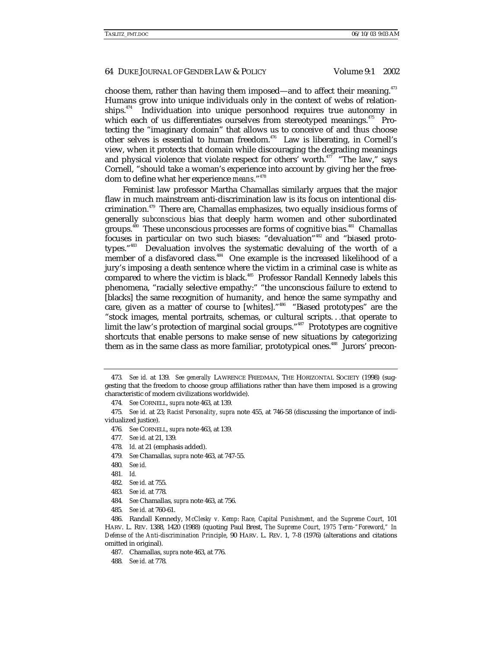choose them, rather than having them imposed—and to affect their meaning.<sup>473</sup> Humans grow into unique individuals only in the context of webs of relationships.<sup>474</sup> Individuation into unique personhood requires true autonomy in which each of us differentiates ourselves from stereotyped meanings. $475$  Protecting the "imaginary domain" that allows us to conceive of and thus choose other selves is essential to human freedom.<sup>476</sup> Law is liberating, in Cornell's view, when it protects that domain while discouraging the degrading meanings and physical violence that violate respect for others' worth. $477$  "The law," says Cornell, "should take a woman's experience into account by giving her the freedom to define what her experience *means*."<sup>478</sup>

Feminist law professor Martha Chamallas similarly argues that the major flaw in much mainstream anti-discrimination law is its focus on intentional discrimination.<sup>479</sup> There are, Chamallas emphasizes, two equally insidious forms of generally *subconscious* bias that deeply harm women and other subordinated groups. $480$  These unconscious processes are forms of cognitive bias. $481$  Chamallas focuses in particular on two such biases: "devaluation"<sup>482</sup> and "biased prototypes."<sup>483</sup> Devaluation involves the systematic devaluing of the worth of a member of a disfavored class.<sup>484</sup> One example is the increased likelihood of a jury's imposing a death sentence where the victim in a criminal case is white as compared to where the victim is black.<sup>485</sup> Professor Randall Kennedy labels this phenomena, "racially selective empathy:" "the unconscious failure to extend to [blacks] the same recognition of humanity, and hence the same sympathy and care, given as a matter of course to [whites]."<sup>486</sup> "Biased prototypes" are the "stock images, mental portraits, schemas, or cultural scripts. . .that operate to limit the law's protection of marginal social groups."<sup>487</sup> Prototypes are cognitive shortcuts that enable persons to make sense of new situations by categorizing them as in the same class as more familiar, prototypical ones.<sup>488</sup> Jurors' precon-

- 478*. Id.* at 21 (emphasis added).
- 479*. See* Chamallas, *supra* note 463, at 747-55.

485*. See id.* at 760-61.

<sup>473</sup>*. See id.* at 139. *See generally* LAWRENCE FRIEDMAN, THE HORIZONTAL SOCIETY (1998) (suggesting that the freedom to choose group affiliations rather than have them imposed is a growing characteristic of modern civilizations worldwide).

<sup>474</sup>*. See* CORNELL, *supra* note 463, at 139.

<sup>475</sup>*. See id.* at 23; *Racist Personality*, *supra* note 455, at 746-58 (discussing the importance of individualized justice).

<sup>476</sup>*. See* CORNELL, *supra* note 463, at 139.

<sup>477</sup>*. See id.* at 21, 139.

<sup>480</sup>*. See id.*

<sup>481</sup>*. Id.*

<sup>482</sup>*. See id.* at 755.

<sup>483</sup>*. See id.* at 778.

<sup>484</sup>*. See* Chamallas, *supra* note 463, at 756.

<sup>486.</sup> Randall Kennedy, *McClesky v. Kemp*: *Race, Capital Punishment, and the Supreme Court,* 101 HARV. L. REV. 1388, 1420 (1988) (quoting Paul Brest, *The Supreme Court, 1975 Term-"Foreword," In Defense of the Anti-discrimination Principle*, 90 HARV. L. REV. 1, 7-8 (1976) (alterations and citations omitted in original).

<sup>487.</sup> Chamallas, *supra* note 463, at 776.

<sup>488</sup>*. See id.* at 778.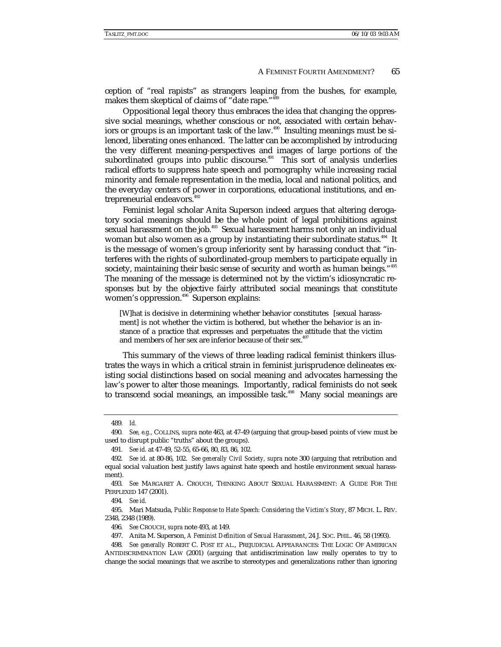ception of "real rapists" as strangers leaping from the bushes, for example, makes them skeptical of claims of "date rape."<sup>488</sup>

Oppositional legal theory thus embraces the idea that changing the oppressive social meanings, whether conscious or not, associated with certain behaviors or groups is an important task of the law.<sup>490</sup> Insulting meanings must be silenced, liberating ones enhanced. The latter can be accomplished by introducing the very different meaning-perspectives and images of large portions of the subordinated groups into public discourse.<sup>491</sup> This sort of analysis underlies radical efforts to suppress hate speech and pornography while increasing racial minority and female representation in the media, local and national politics, and the everyday centers of power in corporations, educational institutions, and entrepreneurial endeavors.<sup>4</sup>

Feminist legal scholar Anita Superson indeed argues that altering derogatory social meanings should be the whole point of legal prohibitions against sexual harassment on the job.<sup>493</sup> Sexual harassment harms not only an individual woman but also women as a group by instantiating their subordinate status.<sup>494</sup> It is the message of women's group inferiority sent by harassing conduct that "interferes with the rights of subordinated-group members to participate equally in society, maintaining their basic sense of security and worth as human beings." $495$ The meaning of the message is determined not by the victim's idiosyncratic responses but by the objective fairly attributed social meanings that constitute women's oppression.<sup>496</sup> Superson explains:

[W]hat is decisive in determining whether behavior constitutes [sexual harassment] is not whether the victim is bothered, but whether the behavior is an instance of a practice that expresses and perpetuates the attitude that the victim and members of her sex are inferior because of their sex.<sup>497</sup>

This summary of the views of three leading radical feminist thinkers illustrates the ways in which a critical strain in feminist jurisprudence delineates existing social distinctions based on social meaning and advocates harnessing the law's power to alter those meanings. Importantly, radical feminists do not seek to transcend social meanings, an impossible task.<sup>498</sup> Many social meanings are

494*. See id.*

<sup>489</sup>*. Id.*

<sup>490</sup>*. See, e.g.,* COLLINS, *supra* note 463, at 47-49 (arguing that group-based points of view must be used to disrupt public "truths" about the groups).

<sup>491</sup>*. See id.* at 47-49, 52-55, 65-66, 80, 83, 86, 102.

<sup>492</sup>*. See id.* at 80-86, 102. *See generally Civil Society, supra* note 300 (arguing that retribution and equal social valuation best justify laws against hate speech and hostile environment sexual harassment).

<sup>493.</sup> See MARGARET A. CROUCH, THINKING ABOUT SEXUAL HARASSMENT: A GUIDE FOR THE PERPLEXED 147 (2001).

<sup>495.</sup> Mari Matsuda, *Public Response to Hate Speech: Considering the Victim's Story*, 87 MICH. L. REV. 2348, 2348 (1989).

<sup>496</sup>*. See* CROUCH, *supra* note 493, at 149.

<sup>497.</sup> Anita M. Superson, *A Feminist Definition of Sexual Harassment*, 24 J. SOC. PHIL. 46, 58 (1993).

<sup>498</sup>*. See generally* ROBERT C. POST ET AL., PREJUDICIAL APPEARANCES: THE LOGIC OF AMERICAN ANTIDISCRIMINATION LAW (2001) (arguing that antidiscrimination law really operates to try to change the social meanings that we ascribe to stereotypes and generalizations rather than ignoring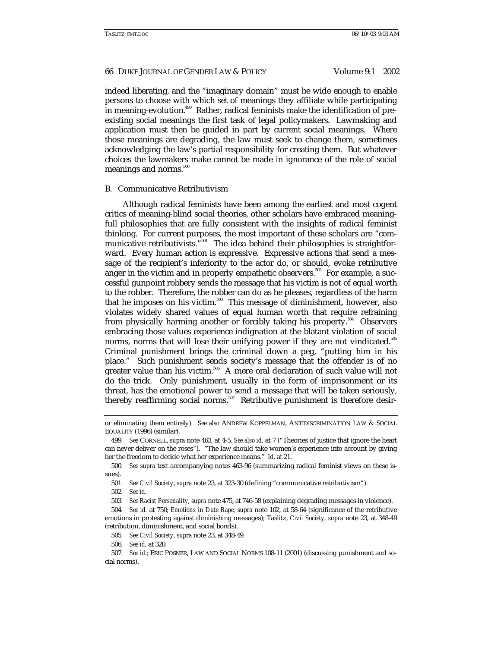indeed liberating, and the "imaginary domain" must be wide enough to enable persons to choose with which set of meanings they affiliate while participating in meaning-evolution.<sup>499</sup> Rather, radical feminists make the identification of preexisting social meanings the first task of legal policymakers. Lawmaking and application must then be guided in part by current social meanings. Where those meanings are degrading, the law must seek to change them, sometimes acknowledging the law's partial responsibility for creating them. But whatever choices the lawmakers make cannot be made in ignorance of the role of social meanings and norms.<sup>500</sup>

#### B. Communicative Retributivism

Although radical feminists have been among the earliest and most cogent critics of meaning-blind social theories, other scholars have embraced meaningfull philosophies that are fully consistent with the insights of radical feminist thinking. For current purposes, the most important of these scholars are "communicative retributivists."<sup>501</sup> The idea behind their philosophies is straightforward. Every human action is expressive. Expressive actions that send a message of the recipient's inferiority to the actor do, or should, evoke retributive anger in the victim and in properly empathetic observers.<sup>502</sup> For example, a successful gunpoint robbery sends the message that his victim is not of equal worth to the robber. Therefore, the robber can do as he pleases, regardless of the harm that he imposes on his victim.<sup>503</sup> This message of diminishment, however, also violates widely shared values of equal human worth that require refraining from physically harming another or forcibly taking his property.<sup>504</sup> Observers embracing those values experience indignation at the blatant violation of social norms, norms that will lose their unifying power if they are not vindicated.<sup>505</sup> Criminal punishment brings the criminal down a peg, "putting him in his place." Such punishment sends society's message that the offender is of no greater value than his victim.<sup>506</sup> A mere oral declaration of such value will not do the trick. Only punishment, usually in the form of imprisonment or its threat, has the emotional power to send a message that will be taken seriously, thereby reaffirming social norms.<sup>507</sup> Retributive punishment is therefore desir-

502*. See id.*

503*. See Racist Personality, supra* note 475, at 746-58 (explaining degrading messages in violence).

506*. See id.* at 320.

or eliminating them entirely). *See also* ANDREW KOPPELMAN, ANTIDISCRIMINATION LAW & SOCIAL EQUALITY (1996) (similar).

<sup>499</sup>*. See* CORNELL, *supra* note 463, at 4-5. *See also id.* at 7 ("Theories of justice that ignore the heart can never deliver on the roses"). "The law should take women's experience into account by giving her the freedom to decide what her experience means." *Id*. at 21.

<sup>500</sup>*. See supra* text accompanying notes 463-96 (summarizing radical feminist views on these issues).

<sup>501</sup>*. See Civil Society, supra* note 23, at 323-30 (defining "communicative retributivism").

<sup>504</sup>*. See id.* at 750; *Emotions in Date Rape, supra* note 102, at 58-64 (significance of the retributive emotions in protesting against diminishing messages); Taslitz, *Civil Society, supra* note 23, at 348-49 (retribution, diminishment, and social bonds).

<sup>505</sup>*. See Civil Society, supra* note 23, at 348-49.

<sup>507</sup>*. See id.;* ERIC POSNER, LAW AND SOCIAL NORMS 108-11 (2001) (discussing punishment and social norms).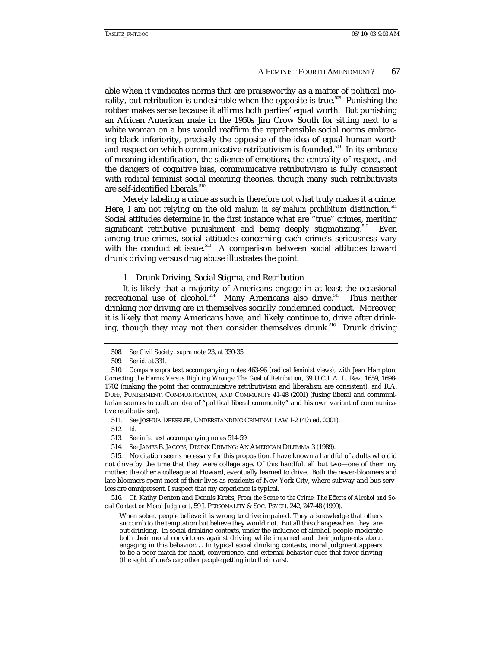able when it vindicates norms that are praiseworthy as a matter of political morality, but retribution is undesirable when the opposite is true.<sup>508</sup> Punishing the robber makes sense because it affirms both parties' equal worth. But punishing an African American male in the 1950s Jim Crow South for sitting next to a white woman on a bus would reaffirm the reprehensible social norms embracing black inferiority, precisely the opposite of the idea of equal human worth and respect on which communicative retributivism is founded.<sup>509</sup> In its embrace of meaning identification, the salience of emotions, the centrality of respect, and the dangers of cognitive bias, communicative retributivism is fully consistent with radical feminist social meaning theories, though many such retributivists are self-identified liberals.<sup>510</sup>

Merely labeling a crime as such is therefore not what truly makes it a crime. Here, I am not relying on the old *malum in se/malum prohibitum* distinction.<sup>511</sup> Social attitudes determine in the first instance what are "true" crimes, meriting significant retributive punishment and being deeply stigmatizing.<sup>512</sup> Even among true crimes, social attitudes concerning each crime's seriousness vary with the conduct at issue.<sup>513</sup> A comparison between social attitudes toward drunk driving versus drug abuse illustrates the point.

1. Drunk Driving, Social Stigma, and Retribution

It is likely that a majority of Americans engage in at least the occasional recreational use of alcohol.<sup>514</sup> Many Americans also drive.<sup>515</sup> Thus neither drinking nor driving are in themselves socially condemned conduct. Moreover, it is likely that many Americans have, and likely continue to, drive after drinking, though they may not then consider themselves drunk.<sup>516</sup> Drunk driving

511*. See* JOSHUA DRESSLER, UNDERSTANDING CRIMINAL LAW 1-2 (4th ed. 2001).

512*. Id.*

513*. See infra* text accompanying notes 514-59

514*. See* JAMES B. JACOBS, DRUNK DRIVING: AN AMERICAN DILEMMA 3 (1989).

515. No citation seems necessary for this proposition. I have known a handful of adults who did not drive by the time that they were college age. Of this handful, all but two—one of them my mother, the other a colleague at Howard, eventually learned to drive. Both the never-bloomers and late-bloomers spent most of their lives as residents of New York City, where subway and bus services are omnipresent. I suspect that my experience is typical.

516*. Cf.* Kathy Denton and Dennis Krebs, *From the Scene to the Crime: The Effects of Alcohol and Social Context on Moral Judgment*, 59 J. PERSONALITY & SOC. PSYCH*.* 242, 247-48 (1990).

When sober, people believe it is wrong to drive impaired. They acknowledge that others succumb to the temptation but believe they would not. But all this changeswhen they are out drinking. In social drinking contexts, under the influence of alcohol, people moderate both their moral convictions against driving while impaired and their judgments about engaging in this behavior. . . In typical social drinking contexts, moral judgment appears to be a poor match for habit, convenience, and external behavior cues that favor driving (the sight of one's car; other people getting into their cars).

<sup>508</sup>*. See Civil Society, supra* note 23, at 330-35.

<sup>509</sup>*. See id.* at 331.

<sup>510</sup>*. Compare supra* text accompanying notes 463-96 (radical *feminist views), with* Jean Hampton*, Correcting the Harms Versus Righting Wrongs*: *The Goal of Retribution*, 39 U.C.L.A. L. Rev. 1659, 1698- 1702 (making the point that communicative retributivism and liberalism are consistent), *and* R.A. DUFF, PUNISHMENT, COMMUNICATION, AND COMMUNITY 41-48 (2001) (fusing liberal and communitarian sources to craft an idea of "political liberal community" and his own variant of communicative retributivism).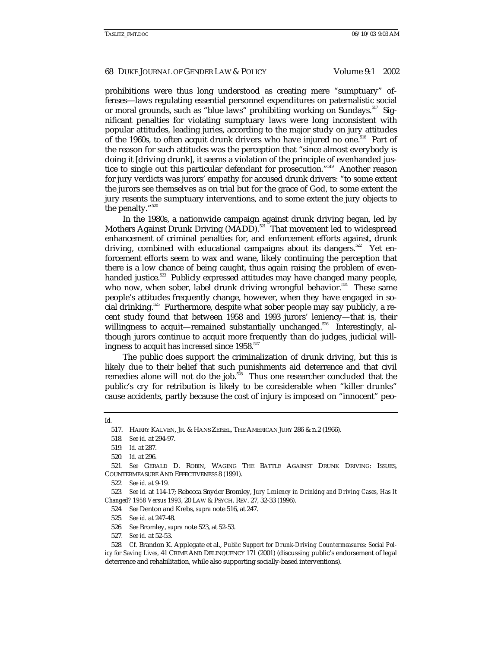prohibitions were thus long understood as creating mere "sumptuary" offenses—laws regulating essential personnel expenditures on paternalistic social or moral grounds, such as "blue laws" prohibiting working on Sundays.<sup>517</sup> Significant penalties for violating sumptuary laws were long inconsistent with popular attitudes, leading juries, according to the major study on jury attitudes of the 1960s, to often acquit drunk drivers who have injured no one.<sup>518</sup> Part of the reason for such attitudes was the perception that "since almost everybody is doing it [driving drunk], it seems a violation of the principle of evenhanded justice to single out this particular defendant for prosecution."<sup>519</sup> Another reason for jury verdicts was jurors' empathy for accused drunk drivers: "to some extent the jurors see themselves as on trial but for the grace of God, to some extent the jury resents the sumptuary interventions, and to some extent the jury objects to the penalty."<sup>520</sup>

In the 1980s, a nationwide campaign against drunk driving began, led by Mothers Against Drunk Driving (MADD).<sup>521</sup> That movement led to widespread enhancement of criminal penalties for, and enforcement efforts against, drunk driving, combined with educational campaigns about its dangers.<sup>522</sup> Yet enforcement efforts seem to wax and wane, likely continuing the perception that there is a low chance of being caught, thus again raising the problem of evenhanded justice.<sup>523</sup> Publicly expressed attitudes may have changed many people, who now, when sober, label drunk driving wrongful behavior.<sup>524</sup> These same people's attitudes frequently change, however, when they have engaged in social drinking.<sup>525</sup> Furthermore, despite what sober people may say publicly, a recent study found that between 1958 and 1993 jurors' leniency—that is, their willingness to acquit—remained substantially unchanged.<sup>526</sup> Interestingly, although jurors continue to acquit more frequently than do judges, judicial willingness to acquit has *increased* since 1958.<sup>527</sup>

The public does support the criminalization of drunk driving, but this is likely due to their belief that such punishments aid deterrence and that civil remedies alone will not do the job. $5^{28}$  Thus one researcher concluded that the public's cry for retribution is likely to be considerable when "killer drunks" cause accidents, partly because the cost of injury is imposed on "innocent" peo-

*Id.*

<sup>517.</sup> HARRY KALVEN, JR.&HANS ZEISEL, THE AMERICAN JURY 286 & n.2 (1966).

<sup>518</sup>*. See id.* at 294-97.

<sup>519</sup>*. Id.* at 287.

<sup>520</sup>*. Id.* at 296.

<sup>521</sup>*. See* GERALD D. ROBIN, WAGING THE BATTLE AGAINST DRUNK DRIVING: ISSUES, COUNTERMEASURE AND EFFECTIVENESS 8 (1991).

<sup>522</sup>*. See id.* at 9-19.

<sup>523</sup>*. See id.* at 114-17; Rebecca Snyder Bromley, *Jury Leniency in Drinking and Driving Cases, Has It Changed? 1958 Versus 1993*, 20 LAW & PSYCH. REV. 27, 32-33 (1996).

<sup>524</sup>*. See* Denton and Krebs, *supra* note 516, at 247.

<sup>525</sup>*. See id.* at 247-48.

<sup>526</sup>*. See* Bromley, *supra* note 523, at 52-53.

<sup>527</sup>*. See id.* at 52-53.

<sup>528</sup>*. Cf.* Brandon K. Applegate et al., *Public Support for Drunk-Driving Countermeasures: Social Policy for Saving Lives,* 41 CRIME AND DELINQUENCY 171 (2001) (discussing public's endorsement of legal deterrence and rehabilitation, while also supporting socially-based interventions).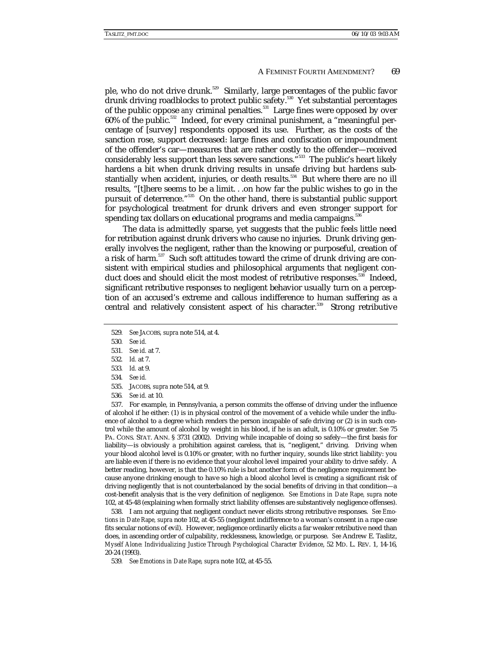ple, who do not drive drunk.<sup>529</sup> Similarly, large percentages of the public favor drunk driving roadblocks to protect public safety.<sup>530</sup> Yet substantial percentages of the public oppose *any* criminal penalties.<sup>531</sup> Large fines were opposed by over 60% of the public.<sup>532</sup> Indeed, for every criminal punishment, a "meaningful percentage of [survey] respondents opposed its use. Further, as the costs of the sanction rose, support decreased: large fines and confiscation or impoundment of the offender's car—measures that are rather costly to the offender—received considerably less support than less severe sanctions."<sup>533</sup> The public's heart likely hardens a bit when drunk driving results in unsafe driving but hardens substantially when accident, injuries, or death results.<sup>534</sup> But where there are no ill results, "[t]here seems to be a limit. . .on how far the public wishes to go in the pursuit of deterrence."<sup>535</sup> On the other hand, there is substantial public support for psychological treatment for drunk drivers and even stronger support for spending tax dollars on educational programs and media campaigns.<sup>536</sup>

The data is admittedly sparse, yet suggests that the public feels little need for retribution against drunk drivers who cause no injuries. Drunk driving generally involves the negligent, rather than the knowing or purposeful, creation of a risk of harm.<sup>537</sup> Such soft attitudes toward the crime of drunk driving are consistent with empirical studies and philosophical arguments that negligent conduct does and should elicit the most modest of retributive responses.<sup>538</sup> Indeed, significant retributive responses to negligent behavior usually turn on a perception of an accused's extreme and callous indifference to human suffering as a central and relatively consistent aspect of his character.<sup>539</sup> Strong retributive

529*. See* JACOBS*, supra* note 514, at 4.

- 532*. Id.* at 7.
- 533*. Id.* at 9.
- 534*. See id.*
- 535. JACOBS*, supra* note 514, at 9.
- 536*. See id.* at 10.

537. For example, in Pennsylvania, a person commits the offense of driving under the influence of alcohol if he either: (1) is in physical control of the movement of a vehicle while under the influence of alcohol to a degree which renders the person incapable of safe driving or (2) is in such control while the amount of alcohol by weight in his blood, if he is an adult, is 0.10% or greater. *See* 75 PA. CONS. STAT. ANN. § 3731 (2002). Driving while incapable of doing so safely—the first basis for liability—is obviously a prohibition against careless, that is, "negligent," driving. Driving when your blood alcohol level is 0.10% or greater, with no further inquiry, sounds like strict liability: you are liable even if there is no evidence that your alcohol level impaired your ability to drive safely. A better reading, however, is that the 0.10% rule is but another form of the negligence requirement because anyone drinking enough to have so high a blood alcohol level is creating a significant risk of driving negligently that is not counterbalanced by the social benefits of driving in that condition—a cost-benefit analysis that is the very definition of negligence. *See Emotions in Date Rape, supra* note 102, at 45-48 (explaining when formally strict liability offenses are substantively negligence offenses).

538. I am not arguing that negligent conduct never elicits strong retributive responses. *See Emotions in Date Rape, supra* note 102, at 45-55 (negligent indifference to a woman's consent in a rape case fits secular notions of evil). However, negligence ordinarily elicits a far weaker retributive need than does, in ascending order of culpability, recklessness, knowledge, or purpose. *See* Andrew E. Taslitz, *Myself Alone: Individualizing Justice Through Psychological Character Evidence*, 52 MD. L. REV. 1, 14-16, 20-24 (1993).

539*. See Emotions in Date Rape, supra* note 102, at 45-55.

<sup>530</sup>*. See id.*

<sup>531</sup>*. See id.* at 7.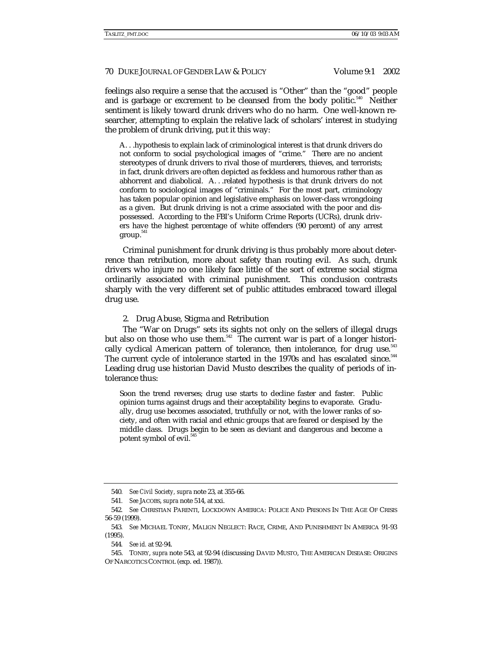feelings also require a sense that the accused is "Other" than the "good" people and is garbage or excrement to be cleansed from the body politic.<sup>540</sup> Neither sentiment is likely toward drunk drivers who do no harm. One well-known researcher, attempting to explain the relative lack of scholars' interest in studying the problem of drunk driving, put it this way:

A. . .hypothesis to explain lack of criminological interest is that drunk drivers do not conform to social psychological images of "crime." There are no ancient stereotypes of drunk drivers to rival those of murderers, thieves, and terrorists; in fact, drunk drivers are often depicted as feckless and humorous rather than as abhorrent and diabolical. A. . .related hypothesis is that drunk drivers do not conform to sociological images of "criminals." For the most part, criminology has taken popular opinion and legislative emphasis on lower-class wrongdoing as a given. But drunk driving is not a crime associated with the poor and dispossessed. According to the FBI's Uniform Crime Reports (UCRs), drunk drivers have the highest percentage of white offenders (90 percent) of any arrest  $group.<sup>541</sup>$ 

Criminal punishment for drunk driving is thus probably more about deterrence than retribution, more about safety than routing evil. As such, drunk drivers who injure no one likely face little of the sort of extreme social stigma ordinarily associated with criminal punishment. This conclusion contrasts sharply with the very different set of public attitudes embraced toward illegal drug use.

2. Drug Abuse, Stigma and Retribution

The "War on Drugs" sets its sights not only on the sellers of illegal drugs but also on those who use them.<sup>542</sup> The current war is part of a longer historically cyclical American pattern of tolerance, then intolerance, for drug use.<sup>543</sup> The current cycle of intolerance started in the 1970s and has escalated since.<sup>544</sup> Leading drug use historian David Musto describes the quality of periods of intolerance thus:

Soon the trend reverses; drug use starts to decline faster and faster. Public opinion turns against drugs and their acceptability begins to evaporate. Gradually, drug use becomes associated, truthfully or not, with the lower ranks of society, and often with racial and ethnic groups that are feared or despised by the middle class. Drugs begin to be seen as deviant and dangerous and become a potent symbol of evil.<sup>54</sup>

<sup>540</sup>*. See Civil Society, supra* note 23, at 355-66.

<sup>541</sup>*. See* JACOBS, *supra* note 514, at xxi.

<sup>542</sup>*. See* CHRISTIAN PARENTI, LOCKDOWN AMERICA: POLICE AND PRISONS IN THE AGE OF CRISIS 56-59 (1999).

<sup>543</sup>*. See* MICHAEL TONRY, MALIGN NEGLECT: RACE, CRIME, AND PUNISHMENT IN AMERICA 91-93 (1995).

<sup>544</sup>*. See id.* at 92-94.

<sup>545.</sup> TONRY, *supra* note 543, at 92-94 (discussing DAVID MUSTO, THE AMERICAN DISEASE: ORIGINS OF NARCOTICS CONTROL (exp. ed. 1987)).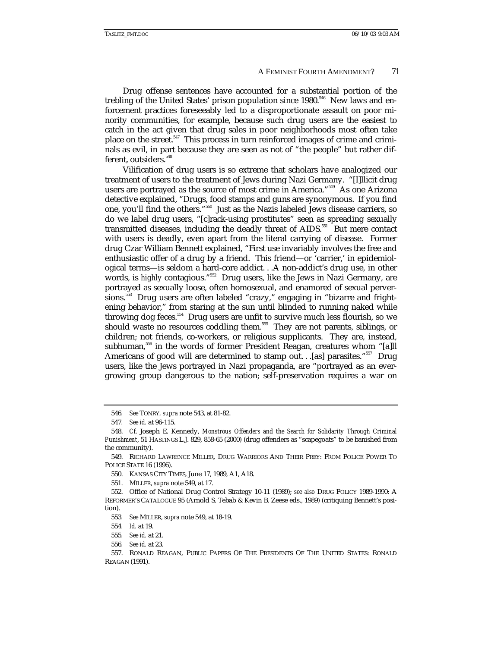Drug offense sentences have accounted for a substantial portion of the trebling of the United States' prison population since 1980.<sup>546</sup> New laws and enforcement practices foreseeably led to a disproportionate assault on poor minority communities, for example, because such drug users are the easiest to catch in the act given that drug sales in poor neighborhoods most often take place on the street.<sup>547</sup> This process in turn reinforced images of crime and criminals as evil, in part because they are seen as not of "the people" but rather different, outsiders.<sup>548</sup>

Vilification of drug users is so extreme that scholars have analogized our treatment of users to the treatment of Jews during Nazi Germany. "[I]llicit drug users are portrayed as the source of most crime in America."<sup>549</sup> As one Arizona detective explained, "Drugs, food stamps and guns are synonymous. If you find one, you'll find the others."<sup>550</sup> Just as the Nazis labeled Jews disease carriers, so do we label drug users, "[c]rack-using prostitutes" seen as spreading sexually transmitted diseases, including the deadly threat of AIDS.<sup>551</sup> But mere contact with users is deadly, even apart from the literal carrying of disease. Former drug Czar William Bennett explained, "First use invariably involves the free and enthusiastic offer of a drug by a friend. This friend—or 'carrier,' in epidemiological terms—is seldom a hard-core addict. . .A non-addict's drug use, in other words, is *highly* contagious."<sup>552</sup> Drug users, like the Jews in Nazi Germany, are portrayed as sexually loose, often homosexual, and enamored of sexual perversions.<sup>553</sup> Drug users are often labeled "crazy," engaging in "bizarre and frightening behavior," from staring at the sun until blinded to running naked while throwing dog feces.<sup>554</sup> Drug users are unfit to survive much less flourish, so we should waste no resources coddling them.<sup>555</sup> They are not parents, siblings, or children; not friends, co-workers, or religious supplicants. They are, instead, subhuman,<sup>556</sup> in the words of former President Reagan, creatures whom "[a]] Americans of good will are determined to stamp out... [as] parasites."<sup>557</sup> Drug users, like the Jews portrayed in Nazi propaganda, are "portrayed as an evergrowing group dangerous to the nation; self-preservation requires a war on

<sup>546</sup>*. See* TONRY*, supra* note 543, at 81-82.

<sup>547</sup>*. See id.* at 96-115.

<sup>548.</sup> *Cf.* Joseph E. Kennedy, *Monstrous Offenders and the Search for Solidarity Through Criminal Punishment*, 51 HASTINGS L.J. 829, 858-65 (2000) (drug offenders as "scapegoats" to be banished from the community).

<sup>549.</sup> RICHARD LAWRENCE MILLER, DRUG WARRIORS AND THEIR PREY: FROM POLICE POWER TO POLICE STATE 16 (1996).

<sup>550.</sup> KANSAS CITY TIMES, June 17, 1989, A1, A18.

<sup>551.</sup> MILLER, *supra* note 549, at 17.

<sup>552.</sup> Office of National Drug Control Strategy 10-11 (1989); *see also* DRUG POLICY 1989-1990: A REFORMER'S CATALOGUE 95 (Arnold S. Tebab & Kevin B. Zeese eds., 1989) (critiquing Bennett's position).

<sup>553</sup>*. See* MILLER, *supra* note 549, at 18-19.

<sup>554</sup>*. Id.* at 19.

<sup>555</sup>*. See id.* at 21.

<sup>556</sup>*. See id.* at 23.

<sup>557.</sup> RONALD REAGAN, PUBLIC PAPERS OF THE PRESIDENTS OF THE UNITED STATES: RONALD REAGAN (1991).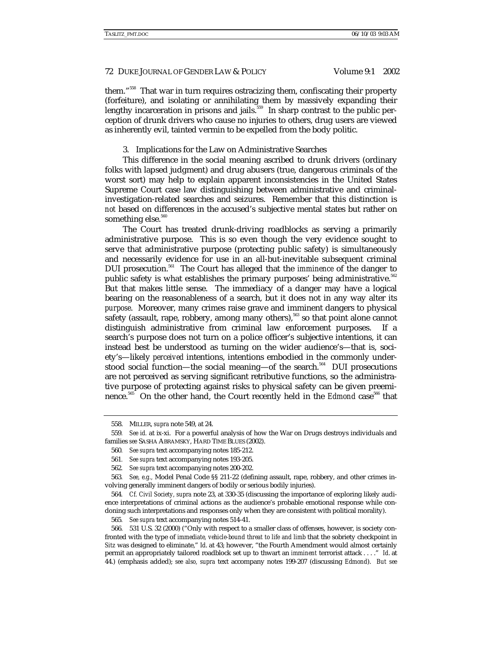them."<sup>558</sup> That war in turn requires ostracizing them, confiscating their property (forfeiture), and isolating or annihilating them by massively expanding their lengthy incarceration in prisons and jails.<sup>559</sup> In sharp contrast to the public perception of drunk drivers who cause no injuries to others, drug users are viewed as inherently evil, tainted vermin to be expelled from the body politic.

# 3. Implications for the Law on Administrative Searches

This difference in the social meaning ascribed to drunk drivers (ordinary folks with lapsed judgment) and drug abusers (true, dangerous criminals of the worst sort) may help to explain apparent inconsistencies in the United States Supreme Court case law distinguishing between administrative and criminalinvestigation-related searches and seizures. Remember that this distinction is *not* based on differences in the accused's subjective mental states but rather on something else. $^{560}$ 

The Court has treated drunk-driving roadblocks as serving a primarily administrative purpose. This is so even though the very evidence sought to serve that administrative purpose (protecting public safety) is simultaneously and necessarily evidence for use in an all-but-inevitable subsequent criminal DUI prosecution.<sup>561</sup> The Court has alleged that the *imminence* of the danger to public safety is what establishes the primary purposes' being administrative.<sup>562</sup> But that makes little sense. The immediacy of a danger may have a logical bearing on the reasonableness of a search, but it does not in any way alter its *purpose*. Moreover, many crimes raise grave and imminent dangers to physical safety (assault, rape, robbery, among many others),<sup>563</sup> so that point alone cannot distinguish administrative from criminal law enforcement purposes. If a search's purpose does not turn on a police officer's subjective intentions, it can instead best be understood as turning on the wider audience's—that is, society's—likely *perceived* intentions, intentions embodied in the commonly understood social function—the social meaning—of the search.<sup>564</sup> DUI prosecutions are not perceived as serving significant retributive functions, so the administrative purpose of protecting against risks to physical safety can be given preeminence.<sup>565</sup> On the other hand, the Court recently held in the *Edmond* case<sup>566</sup> that

<sup>558.</sup> MILLER, *supra* note 549, at 24.

<sup>559</sup>*. See id.* at ix-xi. For a powerful analysis of how the War on Drugs destroys individuals and families *see* SASHA ABRAMSKY, HARD TIME BLUES (2002).

<sup>560</sup>*. See supra* text accompanying notes 185-212.

<sup>561</sup>*. See supra* text accompanying notes 193-205.

<sup>562</sup>*. See supra* text accompanying notes 200-202.

<sup>563</sup>*. See, e.g.,* Model Penal Code §§ 211-22 (defining assault, rape, robbery, and other crimes involving generally imminent dangers of bodily or serious bodily injuries).

<sup>564</sup>*. Cf. Civil Society, supra* note 23, at 330-35 (discussing the importance of exploring likely audience interpretations of criminal actions as the audience's probable emotional response while condoning such interpretations and responses only when they are consistent with political morality).

<sup>565</sup>*. See supra* text accompanying notes 514-41.

<sup>566. 531</sup> U.S. 32 (2000) ("Only with respect to a smaller class of offenses, however, is society confronted with the type of *immediate, vehicle-bound threat to life and limb* that the sobriety checkpoint in *Sitz* was designed to eliminate," *Id*. at 43; however, "the Fourth Amendment would almost certainly permit an appropriately tailored roadblock set up to thwart an *imminent* terrorist attack . . . ." *Id*. at 44.) (emphasis added); *see also, supra* text accompany notes 199-207 (discussing *Edmond*). *But see*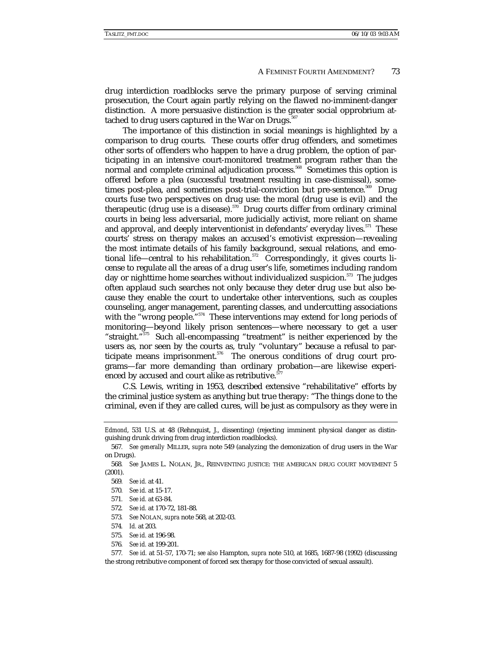drug interdiction roadblocks serve the primary purpose of serving criminal prosecution, the Court again partly relying on the flawed no-imminent-danger distinction. A more persuasive distinction is the greater social opprobrium attached to drug users captured in the War on Drugs.<sup>567</sup>

The importance of this distinction in social meanings is highlighted by a comparison to drug courts. These courts offer drug offenders, and sometimes other sorts of offenders who happen to have a drug problem, the option of participating in an intensive court-monitored treatment program rather than the normal and complete criminal adjudication process.<sup>568</sup> Sometimes this option is offered before a plea (successful treatment resulting in case-dismissal), sometimes post-plea, and sometimes post-trial-conviction but pre-sentence.<sup>569</sup> Drug courts fuse two perspectives on drug use: the moral (drug use is evil) and the therapeutic (drug use is a disease).<sup>570</sup> Drug courts differ from ordinary criminal courts in being less adversarial, more judicially activist, more reliant on shame and approval, and deeply interventionist in defendants' everyday lives.<sup> $571$ </sup> These courts' stress on therapy makes an accused's emotivist expression—revealing the most intimate details of his family background, sexual relations, and emotional life—central to his rehabilitation.<sup>572</sup> Correspondingly, it gives courts license to regulate all the areas of a drug user's life, sometimes including random day or nighttime home searches without individualized suspicion.<sup>573</sup> The judges often applaud such searches not only because they deter drug use but also because they enable the court to undertake other interventions, such as couples counseling, anger management, parenting classes, and undercutting associations with the "wrong people."<sup>574</sup> These interventions may extend for long periods of monitoring—beyond likely prison sentences—where necessary to get a user "straight."<sup>575</sup> Such all-encompassing "treatment" is neither experienced by the users as, nor seen by the courts as, truly "voluntary" because a refusal to participate means imprisonment.<sup>576</sup> The onerous conditions of drug court programs—far more demanding than ordinary probation—are likewise experienced by accused and court alike as retributive.<sup>577</sup>

C.S. Lewis, writing in 1953, described extensive "rehabilitative" efforts by the criminal justice system as anything but true therapy: "The things done to the criminal, even if they are called cures, will be just as compulsory as they were in

- 571*. See id.* at 63-84.
- 572*. See id.* at 170-72, 181-88.
- 573*. See* NOLAN, *supra* note 568, at 202-03.

- 575*. See id.* at 196-98.
- 576*. See id.* at 199-201.

*Edmond*, 531 U.S. at 48 (Rehnquist, J., dissenting) (rejecting imminent physical danger as distinguishing drunk driving from drug interdiction roadblocks).

<sup>567</sup>*. See generally* MILLER, *supra* note 549 (analyzing the demonization of drug users in the War on Drugs).

<sup>568</sup>*. See* JAMES L. NOLAN, JR., REINVENTING JUSTICE: THE AMERICAN DRUG COURT MOVEMENT 5 (2001).

<sup>569</sup>*. See id.* at 41.

<sup>570</sup>*. See id.* at 15-17.

<sup>574</sup>*. Id.* at 203.

<sup>577</sup>*. See id.* at 51-57, 170-71; *see also* Hampton, *supra* note 510, at 1685, 1687-98 (1992) (discussing the strong retributive component of forced sex therapy for those convicted of sexual assault).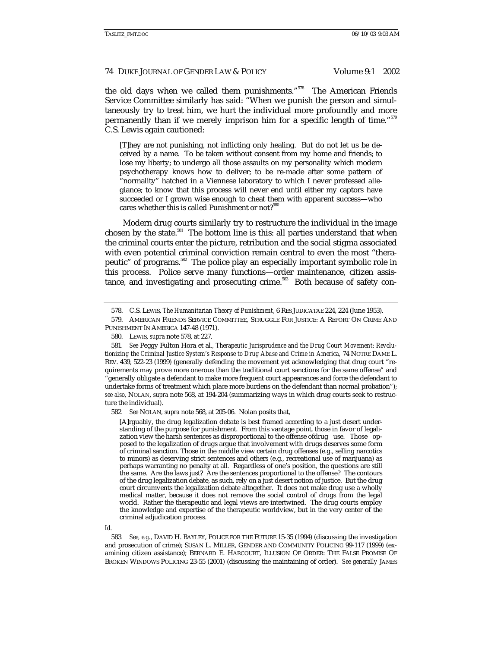## 74 DUKE JOURNAL OF GENDER LAW & POLICY Volume 9:1 2002

the old days when we called them punishments."<sup>578</sup> The American Friends Service Committee similarly has said: "When we punish the person and simultaneously try to treat him, we hurt the individual more profoundly and more permanently than if we merely imprison him for a specific length of time."<sup>579</sup> C.S. Lewis again cautioned:

[T]hey are not punishing, not inflicting only healing. But do not let us be deceived by a name. To be taken without consent from my home and friends; to lose my liberty; to undergo all those assaults on my personality which modern psychotherapy knows how to deliver; to be re-made after some pattern of "normality" hatched in a Viennese laboratory to which I never professed allegiance; to know that this process will never end until either my captors have succeeded or I grown wise enough to cheat them with apparent success—who cares whether this is called Punishment or not?<sup>580</sup>

Modern drug courts similarly try to restructure the individual in the image chosen by the state.<sup>581</sup> The bottom line is this: all parties understand that when the criminal courts enter the picture, retribution and the social stigma associated with even potential criminal conviction remain central to even the most "therapeutic" of programs.<sup>582</sup> The police play an especially important symbolic role in this process. Police serve many functions—order maintenance, citizen assistance, and investigating and prosecuting crime.<sup>583</sup> Both because of safety con-

582*. See* NOLAN*, supra* note 568, at 205-06. Nolan posits that,

[A]rguably, the drug legalization debate is best framed according to a just desert understanding of the purpose for punishment. From this vantage point, those in favor of legalization view the harsh sentences as disproportional to the offense ofdrug use. Those opposed to the legalization of drugs argue that involvement with drugs deserves some form of criminal sanction. Those in the middle view certain drug offenses (e.g., selling narcotics to minors) as deserving strict sentences and others (e.g., recreational use of marijuana) as perhaps warranting no penalty at all. Regardless of one's position, the questions are still the same. Are the laws just? Are the sentences proportional to the offense? The contours of the drug legalization debate, as such, rely on a just desert notion of justice. But the drug court circumvents the legalization debate altogether. It does not make drug use a wholly medical matter, because it does not remove the social control of drugs from the legal world. Rather the therapeutic and legal views are intertwined. The drug courts employ the knowledge and expertise of the therapeutic worldview, but in the very center of the criminal adjudication process.

*Id.*

583*. See, e.g.,* DAVID H. BAYLEY, POLICE FOR THE FUTURE 15-35 (1994) (discussing the investigation and prosecution of crime); SUSAN L. MILLER, GENDER AND COMMUNITY POLICING 99-117 (1999) (examining citizen assistance); BERNARD E. HARCOURT, ILLUSION OF ORDER: THE FALSE PROMISE OF BROKEN WINDOWS POLICING 23-55 (2001) (discussing the maintaining of order). *See generally* JAMES

<sup>578.</sup> C.S. LEWIS, *The Humanitarian Theory of Punishment*,6RES JUDICATAE 224, 224 (June 1953).

<sup>579.</sup> AMERICAN FRIENDS SERVICE COMMITTEE, STRUGGLE FOR JUSTICE: A REPORT ON CRIME AND PUNISHMENT IN AMERICA 147-48 (1971).

<sup>580.</sup> LEWIS, *supra* note 578, at 227.

<sup>581</sup>*. See* Peggy Fulton Hora et al*., Therapeutic Jurisprudence and the Drug Court Movement: Revolutionizing the Criminal Justice System's Response to Drug Abuse and Crime in America,* 74 NOTRE DAME L. REV. 439, 522-23 (1999) (generally defending the movement yet acknowledging that drug court "requirements may prove more onerous than the traditional court sanctions for the same offense" and "generally obligate a defendant to make more frequent court appearances and force the defendant to undertake forms of treatment which place more burdens on the defendant than normal probation"); *see also*, NOLAN, *supra* note 568, at 194-204 (summarizing ways in which drug courts seek to restructure the individual).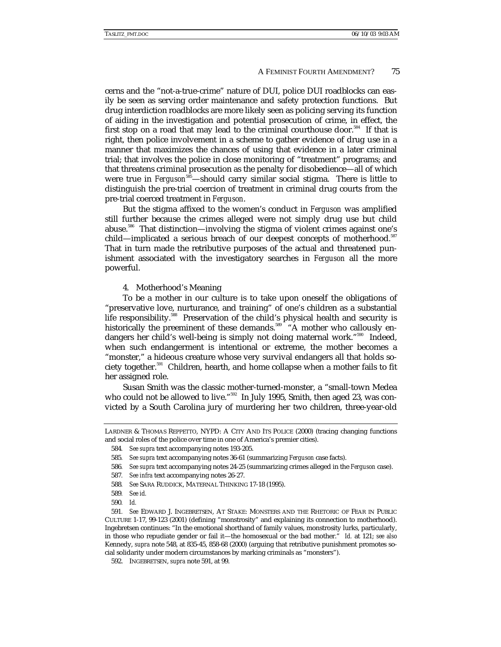cerns and the "not-a-true-crime" nature of DUI, police DUI roadblocks can easily be seen as serving order maintenance and safety protection functions. But drug interdiction roadblocks are more likely seen as policing serving its function of aiding in the investigation and potential prosecution of crime, in effect, the first stop on a road that may lead to the criminal courthouse door.<sup>584</sup> If that is right, then police involvement in a scheme to gather evidence of drug use in a manner that maximizes the chances of using that evidence in a later criminal trial; that involves the police in close monitoring of "treatment" programs; and that threatens criminal prosecution as the penalty for disobedience—all of which were true in *Ferguson*<sup>585</sup>—should carry similar social stigma. There is little to distinguish the pre-trial coercion of treatment in criminal drug courts from the pre-trial coerced treatment in *Ferguson*.

But the stigma affixed to the women's conduct in *Ferguson* was amplified still further because the crimes alleged were not simply drug use but child abuse.<sup>586</sup> That distinction—involving the stigma of violent crimes against one's child—implicated a serious breach of our deepest concepts of motherhood.<sup>587</sup> That in turn made the retributive purposes of the actual and threatened punishment associated with the investigatory searches in *Ferguson* all the more powerful.

## 4. Motherhood's Meaning

To be a mother in our culture is to take upon oneself the obligations of "preservative love, nurturance, and training" of one's children as a substantial life responsibility.<sup>588</sup> Preservation of the child's physical health and security is historically the preeminent of these demands.<sup>589</sup> "A mother who callously endangers her child's well-being is simply not doing maternal work."<sup>590</sup> Indeed, when such endangerment is intentional or extreme, the mother becomes a "monster," a hideous creature whose very survival endangers all that holds society together.<sup>591</sup> Children, hearth, and home collapse when a mother fails to fit her assigned role.

Susan Smith was the classic mother-turned-monster, a "small-town Medea who could not be allowed to live."<sup>592</sup> In July 1995, Smith, then aged 23, was convicted by a South Carolina jury of murdering her two children, three-year-old

- 587*. See infra* text accompanying notes 26-27.
- 588*. See* SARA RUDDICK, MATERNAL THINKING 17-18 (1995).

590*. Id.*

591*. See* EDWARD J. INGEBRETSEN, AT STAKE: MONSTERS AND THE RHETORIC OF FEAR IN PUBLIC CULTURE 1-17, 99-123 (2001) (defining "monstrosity" and explaining its connection to motherhood). Ingebretsen continues: "In the emotional shorthand of family values, monstrosity lurks, particularly, in those who repudiate gender or fail it—the homosexual or the bad mother." *Id.* at 121; *see also* Kennedy, *supra* note 548, at 835-45, 858-68 (2000) (arguing that retributive punishment promotes social solidarity under modern circumstances by marking criminals as "monsters").

LARDNER & THOMAS REPPETTO, NYPD: A CITY AND ITS POLICE (2000) (tracing changing functions and social roles of the police over time in one of America's premier cities).

<sup>584</sup>*. See supra* text accompanying notes 193-205.

<sup>585</sup>*. See supra* text accompanying notes 36-61 (summarizing *Ferguson* case facts).

<sup>586</sup>*. See supra* text accompanying notes 24-25 (summarizing crimes alleged in the *Ferguson* case).

<sup>589</sup>*. See id.*

<sup>592.</sup> INGEBRETSEN, *supra* note 591, at 99.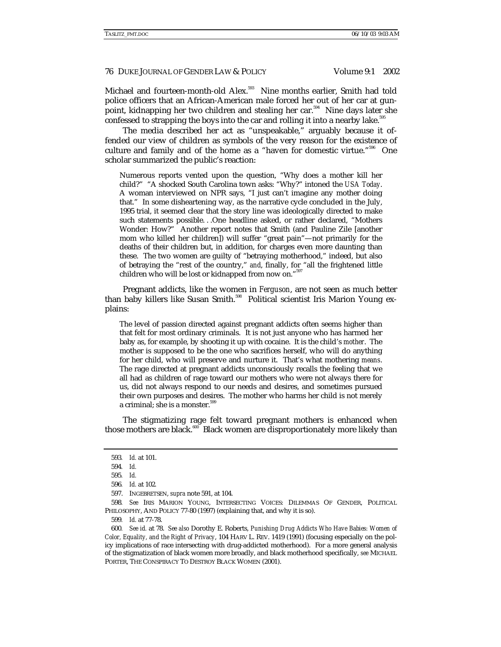Michael and fourteen-month-old Alex.<sup>593</sup> Nine months earlier, Smith had told police officers that an African-American male forced her out of her car at gunpoint, kidnapping her two children and stealing her car.<sup>594</sup> Nine days later she confessed to strapping the boys into the car and rolling it into a nearby lake.<sup>595</sup>

The media described her act as "unspeakable," arguably because it offended our view of children as symbols of the very reason for the existence of culture and family and of the home as a "haven for domestic virtue."<sup>596</sup> One scholar summarized the public's reaction:

Numerous reports vented upon the question, "Why does a mother kill her child?" "A shocked South Carolina town asks: "Why?" intoned the *USA Today*. A woman interviewed on NPR says, "I just can't imagine any mother doing that." In some disheartening way, as the narrative cycle concluded in the July, 1995 trial, it seemed clear that the story line was ideologically directed to make such statements possible. . .One headline asked, or rather declared, "Mothers Wonder: How?" Another report notes that Smith (and Pauline Zile [another mom who killed her children]) will suffer "great pain"—not primarily for the deaths of their children but, in addition, for charges even more daunting than these. The two women are guilty of "betraying motherhood," indeed, but also of betraying the "rest of the country," *and*, finally, for "all the frightened little children who will be lost or kidnapped from now on."<sup>597</sup>

Pregnant addicts, like the women in *Ferguson*, are not seen as much better than baby killers like Susan Smith.<sup>598</sup> Political scientist Iris Marion Young explains:

The level of passion directed against pregnant addicts often seems higher than that felt for most ordinary criminals. It is not just anyone who has harmed her baby as, for example, by shooting it up with cocaine. It is the child's *mother*. The mother is supposed to be the one who sacrifices herself, who will do anything for her child, who will preserve and nurture it. That's what mothering *means*. The rage directed at pregnant addicts unconsciously recalls the feeling that we all had as children of rage toward our mothers who were not always there for us, did not always respond to our needs and desires, and sometimes pursued their own purposes and desires. The mother who harms her child is not merely a criminal; she is a monster.<sup>599</sup>

The stigmatizing rage felt toward pregnant mothers is enhanced when those mothers are black.<sup>600</sup> Black women are disproportionately more likely than

<sup>593</sup>*. Id.* at 101.

<sup>594</sup>*. Id.*

<sup>595</sup>*. Id.*

<sup>596</sup>*. Id.* at 102*.*

<sup>597.</sup> INGEBRETSEN, *supra* note 591, at 104.

<sup>598</sup>*. See* IRIS MARION YOUNG, INTERSECTING VOICES: DILEMMAS OF GENDER, POLITICAL PHILOSOPHY, AND POLICY 77-80 (1997) (explaining that, and why it is so).

<sup>599</sup>*. Id.* at 77-78.

<sup>600</sup>*. See id.* at 78. *See also* Dorothy E. Roberts, *Punishing Drug Addicts Who Have Babies: Women of Color, Equality, and the Right of Privacy*, 104 HARV L. REV. 1419 (1991) (focusing especially on the policy implications of race intersecting with drug-addicted motherhood). For a more general analysis of the stigmatization of black women more broadly, and black motherhood specifically, *see* MICHAEL PORTER, THE CONSPIRACY TO DESTROY BLACK WOMEN (2001).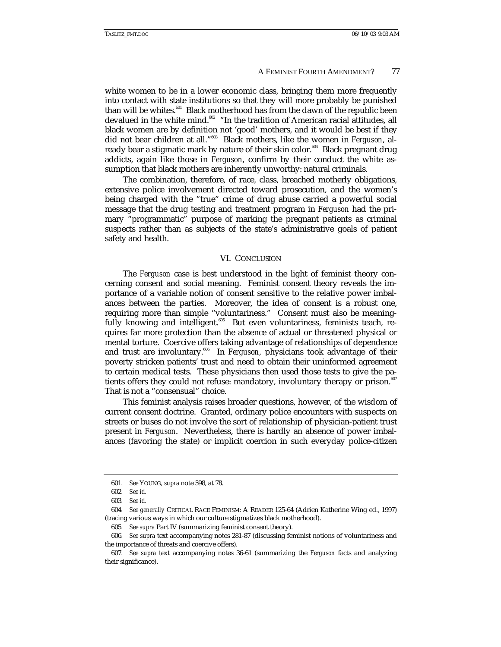white women to be in a lower economic class, bringing them more frequently into contact with state institutions so that they will more probably be punished than will be whites.<sup>601</sup> Black motherhood has from the dawn of the republic been devalued in the white mind.<sup>602</sup> "In the tradition of American racial attitudes, all black women are by definition not 'good' mothers, and it would be best if they did not bear children at all."<sup>603</sup> Black mothers, like the women in *Ferguson*, already bear a stigmatic mark by nature of their skin color.<sup>604</sup> Black pregnant drug addicts, again like those in *Ferguson*, confirm by their conduct the white assumption that black mothers are inherently unworthy: natural criminals.

The combination, therefore, of race, class, breached motherly obligations, extensive police involvement directed toward prosecution, and the women's being charged with the "true" crime of drug abuse carried a powerful social message that the drug testing and treatment program in *Ferguson* had the primary "programmatic" purpose of marking the pregnant patients as criminal suspects rather than as subjects of the state's administrative goals of patient safety and health.

## VI. CONCLUSION

The *Ferguson* case is best understood in the light of feminist theory concerning consent and social meaning. Feminist consent theory reveals the importance of a variable notion of consent sensitive to the relative power imbalances between the parties. Moreover, the idea of consent is a robust one, requiring more than simple "voluntariness." Consent must also be meaningfully knowing and intelligent.<sup>605</sup> But even voluntariness, feminists teach, requires far more protection than the absence of actual or threatened physical or mental torture. Coercive offers taking advantage of relationships of dependence and trust are involuntary.<sup>606</sup> In *Ferguson*, physicians took advantage of their poverty stricken patients' trust and need to obtain their uninformed agreement to certain medical tests. These physicians then used those tests to give the patients offers they could not refuse: mandatory, involuntary therapy or prison.<sup>607</sup> That is not a "consensual" choice.

This feminist analysis raises broader questions, however, of the wisdom of current consent doctrine. Granted, ordinary police encounters with suspects on streets or buses do not involve the sort of relationship of physician-patient trust present in *Ferguson*. Nevertheless, there is hardly an absence of power imbalances (favoring the state) or implicit coercion in such everyday police-citizen

<sup>601</sup>*. See* YOUNG*, supra* note 598, at 78.

<sup>602</sup>*. See id.*

<sup>603</sup>*. See id.*

<sup>604</sup>*. See generally* CRITICAL RACE FEMINISM:AREADER 125-64 (Adrien Katherine Wing ed., 1997) (tracing various ways in which our culture stigmatizes black motherhood).

<sup>605</sup>*. See supra* Part IV (summarizing feminist consent theory).

<sup>606</sup>*. See supra* text accompanying notes 281-87 (discussing feminist notions of voluntariness and the importance of threats and coercive offers).

<sup>607</sup>*. See supra* text accompanying notes 36-61 (summarizing the *Ferguson* facts and analyzing their significance).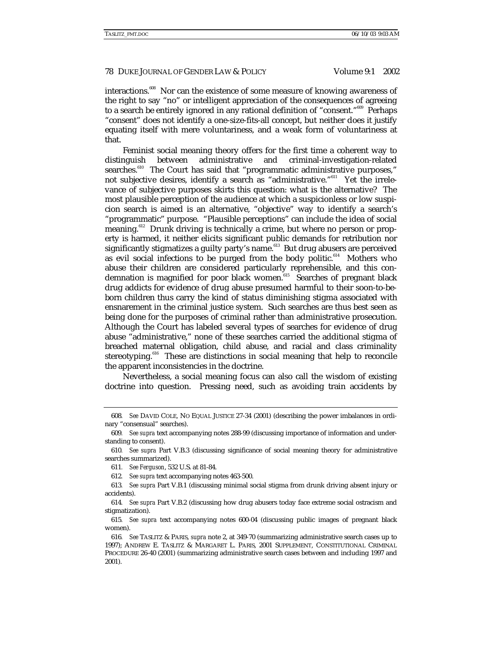interactions.<sup>608</sup> Nor can the existence of some measure of knowing awareness of the right to say "no" or intelligent appreciation of the consequences of agreeing to a search be entirely ignored in any rational definition of "consent."<sup>609</sup> Perhaps "consent" does not identify a one-size-fits-all concept, but neither does it justify equating itself with mere voluntariness, and a weak form of voluntariness at that.

Feminist social meaning theory offers for the first time a coherent way to distinguish between administrative and criminal-investigation-related searches.<sup>610</sup> The Court has said that "programmatic administrative purposes," not subjective desires, identify a search as "administrative."<sup>611</sup> Yet the irrelevance of subjective purposes skirts this question: what is the alternative? The most plausible perception of the audience at which a suspicionless or low suspicion search is aimed is an alternative, "objective" way to identify a search's "programmatic" purpose. "Plausible perceptions" can include the idea of social meaning.<sup>612</sup> Drunk driving is technically a crime, but where no person or property is harmed, it neither elicits significant public demands for retribution nor significantly stigmatizes a guilty party's name.<sup>613</sup> But drug abusers are perceived as evil social infections to be purged from the body politic.<sup>614</sup> Mothers who abuse their children are considered particularly reprehensible, and this condemnation is magnified for poor black women.<sup>615</sup> Searches of pregnant black drug addicts for evidence of drug abuse presumed harmful to their soon-to-beborn children thus carry the kind of status diminishing stigma associated with ensnarement in the criminal justice system. Such searches are thus best seen as being done for the purposes of criminal rather than administrative prosecution. Although the Court has labeled several types of searches for evidence of drug abuse "administrative," none of these searches carried the additional stigma of breached maternal obligation, child abuse, and racial and class criminality stereotyping.<sup>616</sup> These are distinctions in social meaning that help to reconcile the apparent inconsistencies in the doctrine.

Nevertheless, a social meaning focus can also call the wisdom of existing doctrine into question. Pressing need, such as avoiding train accidents by

<sup>608</sup>*. See* DAVID COLE, NO EQUAL JUSTICE 27-34 (2001) (describing the power imbalances in ordinary "consensual" searches).

<sup>609</sup>*. See supra* text accompanying notes 288-99 (discussing importance of information and understanding to consent).

<sup>610</sup>*. See supra* Part V.B.3 (discussing significance of social meaning theory for administrative searches summarized).

<sup>611</sup>*. See Ferguson*, 532 U.S. at 81-84.

<sup>612</sup>*. See supra* text accompanying notes 463-500.

<sup>613</sup>*. See supra* Part V.B.1 (discussing minimal social stigma from drunk driving absent injury or accidents).

<sup>614</sup>*. See supra* Part V.B.2 (discussing how drug abusers today face extreme social ostracism and stigmatization).

<sup>615</sup>*. See supra* text accompanying notes 600-04 (discussing public images of pregnant black women).

<sup>616</sup>*. See* TASLITZ & PARIS, *supra* note 2, at 349-70 (summarizing administrative search cases up to 1997); ANDREW E. TASLITZ & MARGARET L. PARIS, 2001 SUPPLEMENT, CONSTITUTIONAL CRIMINAL PROCEDURE 26-40 (2001) (summarizing administrative search cases between and including 1997 and 2001).